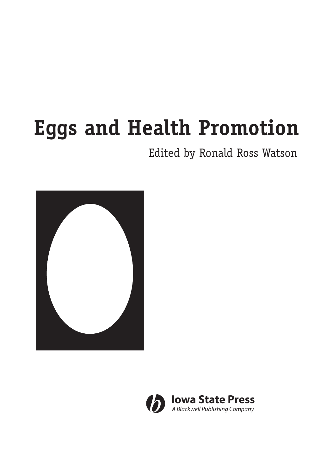## **Eggs and Health Promotion**

Edited by Ronald Ross Watson



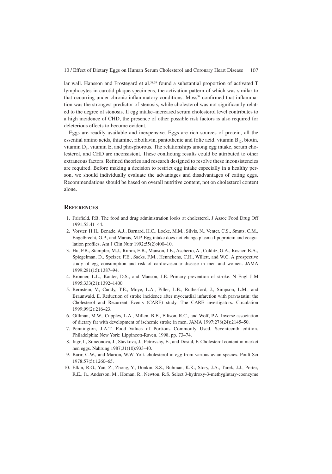lar wall. Hansson and Frostegard et al.<sup>38,39</sup> found a substantial proportion of activated T lymphocytes in carotid plaque specimens, the activation pattern of which was similar to that occurring under chronic inflammatory conditions. Moss<sup>39</sup> confirmed that inflammation was the strongest predictor of stenosis, while cholesterol was not significantly related to the degree of stenosis. If egg intake–increased serum cholesterol level contributes to a high incidence of CHD, the presence of other possible risk factors is also required for deleterious effects to become evident.

Eggs are readily available and inexpensive. Eggs are rich sources of protein, all the essential amino acids, thiamine, riboflavin, pantothenic and folic acid, vitamin  $B_{12}$ , biotin, vitamin  $D<sub>3</sub>$ , vitamin E, and phosphorous. The relationships among egg intake, serum cholesterol, and CHD are inconsistent. These conflicting results could be attributed to other extraneous factors. Refined theories and research designed to resolve these inconsistencies are required. Before making a decision to restrict egg intake especially in a healthy person, we should individually evaluate the advantages and disadvantages of eating eggs. Recommendations should be based on overall nutritive content, not on cholesterol content alone.

#### **REFERENCES**

- 1. Fairfield, P.B. The food and drug administration looks at cholesterol. J Assoc Food Drug Off 1991;55:41–44.
- 2. Vorster, H.H., Benade, A.J., Barnard, H.C., Locke, M.M., Silvis, N., Venter, C.S., Smuts, C.M., Engelbrecht, G.P., and Marais, M.P. Egg intake does not change plasma lipoprotein and coagulation profiles. Am J Clin Nutr 1992;55(2):400–10.
- 3. Hu, F.B., Stampfer, M.J., Rimm, E.B., Manson, J.E., Ascherio, A., Colditz, G.A., Rosner, B.A., Spiegelman, D., Speizer, F.E., Sacks, F.M., Hennekens, C.H., Willett, and W.C. A prospective study of egg consumption and risk of cardiovascular disease in men and women. JAMA 1999;281(15):1387–94.
- 4. Bronner, L.L., Kanter, D.S., and Manson, J.E. Primary prevention of stroke. N Engl J M 1995;333(21):1392–1400.
- 5. Bernstein, V., Cuddy, T.E., Moye, L.A., Piller, L.B., Rutherford, J., Simpson, L.M., and Braunwald, E. Reduction of stroke incidence after myocardial infarction with pravastatin: the Cholesterol and Recurrent Events (CARE) study. The CARE investigators. Circulation 1999;99(2):216–23.
- 6. Gillman, M.W., Cupples, L.A., Millen, B.E., Ellison, R.C., and Wolf, P.A. Inverse association of dietary fat with development of ischemic stroke in men. JAMA 1997;278(24):2145–50.
- 7. Pennington, J.A.T. Food Values of Portions Commonly Used. Seventeenth edition. Philadelphia; New York: Lippincott-Raven, 1998, pp. 73–74.
- 8. Ingr, I., Simeonova, J., Stavkova, J., Petrovshy, E., and Dostal, F. Cholesterol content in market hen eggs. Nahrung 1987;31(10):933–40.
- 9. Barir, C.W., and Marion, W.W. Yolk cholesterol in egg from various avian species. Poult Sci 1978;57(5):1260–65.
- 10. Elkin, R.G., Yan, Z., Zhong, Y., Donkin, S.S., Buhman, K.K., Story, J.A., Turek, J.J., Porter, R.E., Jr., Anderson, M., Homan, R., Newton, R.S. Select 3-hydroxy-3-methyglutary-coenzyme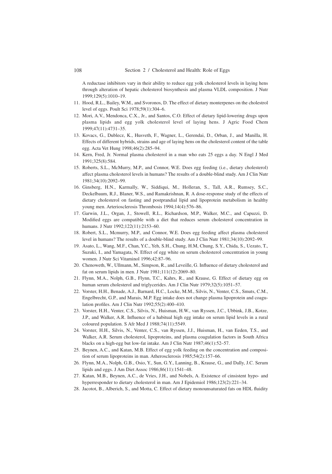A reductase inhibitors vary in their ability to reduce egg yolk cholesterol levels in laying hens through alteration of hepatic cholesterol biosynthesis and plasma VLDL composition. J Nutr 1999;129(5):1010–19.

- 11. Hood, R.L., Bailey, W.M., and Svoronos, D. The effect of dietary monterpenes on the cholestrol level of eggs. Poult Sci 1978;59(1):304–6.
- 12. Mori, A.V., Mendonca, C.X., Jr., and Santos, C.O. Effect of dietary lipid-lowering drugs upon plasma lipids and egg yolk cholesterol level of laying hens. J Agric Food Chem 1999;47(11):4731–35.
- 13. Kovacs, G., Dublecz, K., Husveth, F., Wagner, L., Gerendai, D., Orban, J., and Manilla, H. Effects of different hybrids, strains and age of laying hens on the cholesterol content of the table egg. Acta Vet Hung 1998;46(2):285–94.
- 14. Kern, Fred, Jr. Normal plasma cholesterol in a man who eats 25 eggs a day. N Engl J Med 1991;325(8):584.
- 15. Roberts, S.L., McMurry, M.P., and Connor, W.E. Does egg feeding (i.e., dietary cholesterol) affect plasma cholesterol levels in humans? The results of a double-blind study. Am J Clin Nutr 1981;34(10):2092–99*.*
- 16. Ginsberg, H.N., Karmally, W., Siddiqui, M., Holleran, S., Tall, A.R., Rumsey, S.C., Deckelbaum, R.J., Blaner, W.S., and Ramakrishnan, R. A dose-response study of the effects of dietary cholesterol on fasting and postprandial lipid and lipoprotein metabolism in healthy young men. Arteriosclerosis Thrombosis 1994;14(4):576–86.
- 17. Garwin, J.L., Organ, J., Stowell, R.L., Richardson, M.P., Walker, M.C., and Capuzzi, D. Modified eggs are compatible with a diet that reduces serum cholesterol concentration in humans. J Nutr 1992;122(11):2153–60.
- 18. Robert, S.L., Mcmurry, M.P., and Connor, W.E. Does egg feeding affect plasma cholesterol level in humans? The results of a double-blind study. Am J Clin Nutr 1981;34(10):2092–99.
- 19. Asato, L., Wang, M.F., Chan, Y.C., Yeh, S.H., Chung, H.M, Chung, S.Y., Chida, S., Uezato, T., Suzuki, I., and Yamagata, N. Effect of egg white on serum cholesterol concentration in young women. J Nutr Sci Vitaminol 1996;42:87–96.
- 20. Chenoweth, W., Ullmann, M., Simpson, R., and Leveille, G. Influence of dietary cholesterol and fat on serum lipids in men. J Nutr 1981;111(12):2069–80.
- 21. Flynn, M.A., Nolph, G.B., Flynn, T.C., Kahrs, R., and Krause, G. Effect of dietary egg on human serum cholesterol and triglycerides. Am J Clin Nutr 1979;32(5):1051–57.
- 22. Vorster, H.H., Benade, A.J., Barnard, H.C., Locke, M.M., Silvis, N., Venter, C.S., Smuts, C.M., Engelbrecht, G.P., and Marais, M.P. Egg intake does not change plasma lipoprotein and coagulation profiles. Am J Clin Nutr 1992;55(2):400–410.
- 23. Vorster, H.H., Venter, C.S., Silvis, N., Huisman, H.W., van Ryssen, J.C., Ubbink, J.B., Kotze, J.P., and Walker, A.R. Influence of a habitual high egg intake on serum lipid levels in a rural coloured population. S Afr Med J 1988;74(11):5549.
- 24*.* Vorster, H.H., Silvis, N., Venter, C.S., van Ryssen, J.J., Huisman, H., van Eeden, T.S., and Walker, A.R. Serum cholesterol, lipoproteins, and plasma coagulation factors in South Africa blacks on a high-egg but low-fat intake. Am J Clin Nutr 1987;46(1):52–57.
- 25. Beynen, A.C., and Katan, M.B. Effect of egg yolk feeding on the concentration and composition of serum lipoproteins in man. Atherosclerosis 1985;54(2):157–66.
- 26*.* Flynn, M.A., Nolph, G.B., Osio, Y., Sun, G.Y., Lanning, B., Krause, G., and Dally, J.C. Serum lipids and eggs. J Am Diet Assoc 1986;86(11):1541–48.
- 27. Katan, M.B., Beynen, A.C., de Vries, J.H., and Nobels, A. Existence of cinsistent hypo- and hyperresponder to dietary cholesterol in man. Am J Epidemiol 1986;123(2):221–34.
- 28. Jacotot, B., Alberich, S., and Motta, C. Effect of dietary monounsaturated fats on HDL fluidity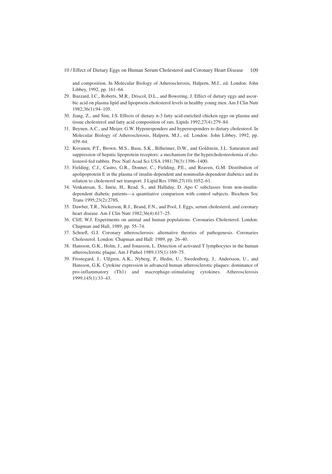10 / Effect of Dietary Eggs on Human Serum Cholesterol and Coronary Heart Disease 109

and composition. In Molecular Biology of Atherosclerosis, Halpern, M.J., ed. London: John Libbey, 1992, pp. 161–64.

- 29. Buzzard, I.C., Roberts, M.R., Driscol, D.L., and Bowering, J. Effect of dietary eggs and ascorbic acid on plasma lipid and lipoproein cholesterol levels in healthy young men. Am J Clin Nutr 1982;36(1):94–105.
- 30. Jiang, Z., and Sim, J.S. Effects of dietary n-3 fatty acid-enriched chicken eggs on plasma and tissue cholesterol and fatty acid composition of rats. Lipids 1992;27(4):279–84.
- 31. Beynen, A.C., and Meijer, G.W. Hyporesponders and hyperresponders to dietary cholesterol. In Molecular Biology of Atherosclerosis, Halpern, M.J., ed. London: John Libbey, 1992, pp. 459–64.
- 32. Kovanen, P.T., Brown, M.S., Basu, S.K., Bilheimer, D.W., and Goldstein, J.L. Saturation and suppression of hepatic lipoprotein receptors: a mechanism for the hypercholesterolemia of cholesterol-fed rabbits. Proc Natl Acad Sci USA 1981;78(3):1396–1400.
- 33. Fielding, C.J., Castro, G.R., Donner, C., Fielding, P.E., and Reaven, G.M. Distribution of apolipoprotein E in the plasma of insulin-dependent and noninsulin-dependent diabetics and its relation to cholesterol net transport. J Lipid Res 1986;27(10):1052–61.
- 34. Venkatesan, S., Imrie, H., Read, S., and Halliday, D. Apo C subclasses from non-insulindependent diabetic patients—a quantitative comparison with control subjects. Biochem Soc Trans 1995;23(2):278S.
- 35. Dawber, T.R., Nickerson, R.J., Brand, F.N., and Pool, J. Eggs, serum cholesterol, and coronary heart disease. Am J Clin Nutr 1982;36(4):617–25.
- 36. Cliff, W.J. Experiments on animal and human populations. Coronaries Cholesterol. London: Chapman and Hall, 1989, pp. 55–74.
- 37. Schoefl, G.I. Coronary atherosclerosis: alternative theories of pathogenesis. Coronaries Cholesterol. London: Chapman and Hall: 1989, pp. 26–40.
- 38. Hansson, G.K., Holm, J., and Jonasson, L. Detection of activated T lymphocytes in the human atherosclerotic plaque. Am J Pathol 1989;135(1):169–75.
- 39. Frostegard, J., Ulfgren, A.K., Nyberg, P., Hedin, U., Swedenborg, J., Andersson, U., and Hansson, G.K. Cytokine expression in advanced human atherosclerotic plaques: dominance of pro-inflammatory (Th1) and macrophage-stimulating cytokines. Atherosclerosis 1999;145(1):33–43.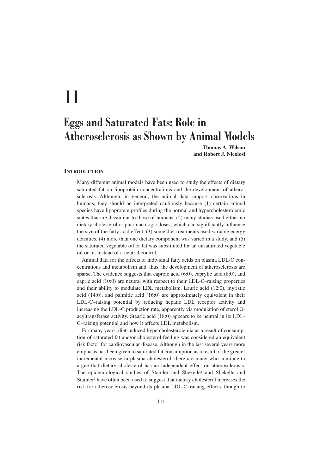# **11**

### **Eggs and Saturated Fats: Role in Atherosclerosis as Shown by Animal Models**

**Thomas A. Wilson and Robert J. Nicolosi**

#### **INTRODUCTION**

Many different animal models have been used to study the effects of dietary saturated fat on lipoprotein concentrations and the development of atherosclerosis. Although, in general, the animal data support observations in humans, they should be interpreted cautiously because (1) certain animal species have lipoprotein profiles during the normal and hypercholesterolemic states that are dissimilar to those of humans, (2) many studies used either no dietary cholesterol or pharmacologic doses, which can significantly influence the size of the fatty acid effect, (3) some diet treatments used variable energy densities, (4) more than one dietary component was varied in a study, and (5) the saturated vegetable oil or fat was substituted for an unsaturated vegetable oil or fat instead of a neutral control.

Animal data for the effects of individual fatty acids on plasma LDL-C concentrations and metabolism and, thus, the development of atherosclerosis are sparse. The evidence suggests that caproic acid (6:0), caprylic acid (8:0), and capric acid (10:0) are neutral with respect to their LDL-C–raising properties and their ability to modulate LDL metabolism. Lauric acid (12:0), myristic acid (14:0), and palmitic acid (16:0) are approximately equivalent in their LDL-C–raising potential by reducing hepatic LDL receptor activity and increasing the LDL-C production rate, apparently via modulation of sterol Oacyltransferase activity. Stearic acid (18:0) appears to be neutral in its LDL-C–raising potential and how it affects LDL metabolism.

For many years, diet-induced hypercholesterolemia as a result of consumption of saturated fat and/or cholesterol feeding was considered an equivalent risk factor for cardiovascular disease. Although in the last several years more emphasis has been given to saturated fat consumption as a result of the greater incremental increase in plasma cholesterol, there are many who continue to argue that dietary cholesterol has an independent effect on atherosclerosis. The epidemiological studies of Stamler and Shekelle<sup>1</sup> and Shekelle and Stamler<sup>2</sup> have often been used to suggest that dietary cholesterol increases the risk for atherosclerosis beyond its plasma LDL-C–raising effects, though to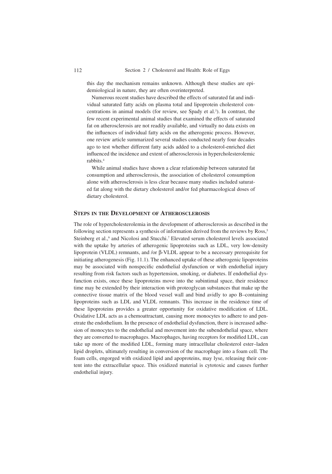this day the mechanism remains unknown. Although these studies are epidemiological in nature, they are often overinterpreted.

Numerous recent studies have described the effects of saturated fat and individual saturated fatty acids on plasma total and lipoprotein cholesterol concentrations in animal models (for review, see Spady et al.3 ). In contrast, the few recent experimental animal studies that examined the effects of saturated fat on atherosclerosis are not readily available, and virtually no data exists on the influences of individual fatty acids on the atherogenic process. However, one review article summarized several studies conducted nearly four decades ago to test whether different fatty acids added to a cholesterol-enriched diet influenced the incidence and extent of atherosclerosis in hypercholesterolemic rabbits.4

While animal studies have shown a clear relationship between saturated fat consumption and atherosclerosis, the association of cholesterol consumption alone with atherosclerosis is less clear because many studies included saturated fat along with the dietary cholesterol and/or fed pharmacological doses of dietary cholesterol.

#### **STEPS IN THE DEVELOPMENT OF ATHEROSCLEROSIS**

The role of hypercholesterolemia in the development of atherosclerosis as described in the following section represents a synthesis of information derived from the reviews by Ross,<sup>5</sup> Steinberg et al.,<sup>6</sup> and Nicolosi and Stucchi.<sup>7</sup> Elevated serum cholesterol levels associated with the uptake by arteries of atherogenic lipoproteins such as LDL, very low-density lipoprotein (VLDL) remnants, and /or β-VLDL appear to be a necessary prerequisite for initiating atherogenesis (Fig. 11.1). The enhanced uptake of these atherogenic lipoproteins may be associated with nonspecific endothelial dysfunction or with endothelial injury resulting from risk factors such as hypertension, smoking, or diabetes. If endothelial dysfunction exists, once these lipoproteins move into the subintimal space, their residence time may be extended by their interaction with proteoglycan substances that make up the connective tissue matrix of the blood vessel wall and bind avidly to apo B–containing lipoproteins such as LDL and VLDL remnants. This increase in the residence time of these lipoproteins provides a greater opportunity for oxidative modification of LDL. Oxidative LDL acts as a chemoattractant, causing more monocytes to adhere to and penetrate the endothelium. In the presence of endothelial dysfunction, there is increased adhesion of monocytes to the endothelial and movement into the subendothelial space, where they are converted to macrophages. Macrophages, having receptors for modified LDL, can take up more of the modified LDL, forming many intracellular cholesterol ester–laden lipid droplets, ultimately resulting in conversion of the macrophage into a foam cell. The foam cells, engorged with oxidized lipid and apoproteins, may lyse, releasing their content into the extracellular space. This oxidized material is cytotoxic and causes further endothelial injury.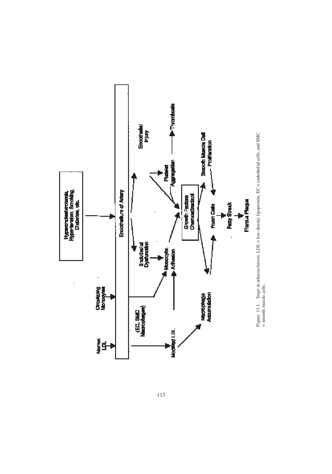



113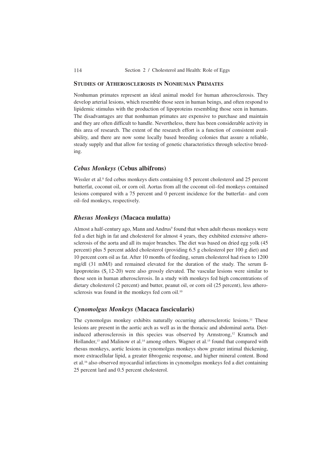#### **STUDIES OF ATHEROSCLEROSIS IN NONHUMAN PRIMATES**

Nonhuman primates represent an ideal animal model for human atherosclerosis. They develop arterial lesions, which resemble those seen in human beings, and often respond to lipidemic stimulus with the production of lipoproteins resembling those seen in humans. The disadvantages are that nonhuman primates are expensive to purchase and maintain and they are often difficult to handle. Nevertheless, there has been considerable activity in this area of research. The extent of the research effort is a function of consistent availability, and there are now some locally based breeding colonies that assure a reliable, steady supply and that allow for testing of genetic characteristics through selective breeding.

#### *Cebus Monkeys* **(Cebus albifrons)**

Wissler et al.<sup>8</sup> fed cebus monkeys diets containing 0.5 percent cholesterol and 25 percent butterfat, coconut oil, or corn oil. Aortas from all the coconut oil–fed monkeys contained lesions compared with a 75 percent and 0 percent incidence for the butterfat– and corn oil–fed monkeys, respectively.

#### *Rhesus Monkeys* **(Macaca mulatta)**

Almost a half-century ago, Mann and Andrus<sup>9</sup> found that when adult rhesus monkeys were fed a diet high in fat and cholesterol for almost 4 years, they exhibited extensive atherosclerosis of the aorta and all its major branches. The diet was based on dried egg yolk (45 percent) plus 5 percent added cholesterol (providing 6.5 g cholesterol per 100 g diet) and 10 percent corn oil as fat. After 10 months of feeding, serum cholesterol had risen to 1200 mg/dl (31 mM/l) and remained elevated for the duration of the study. The serum ßlipoproteins  $(S_f 12-20)$  were also grossly elevated. The vascular lesions were similar to those seen in human atherosclerosis. In a study with monkeys fed high concentrations of dietary cholesterol (2 percent) and butter, peanut oil, or corn oil (25 percent), less atherosclerosis was found in the monkeys fed corn oil.<sup>10</sup>

#### *Cynomolgus Monkeys* **(Macaca fascicularis)**

The cynomolgus monkey exhibits naturally occurring atherosclerotic lesions.11 These lesions are present in the aortic arch as well as in the thoracic and abdominal aorta. Dietinduced atherosclerosis in this species was observed by Armstrong,<sup>12</sup> Kramsch and Hollander,<sup>13</sup> and Malinow et al.<sup>14</sup> among others. Wagner et al.<sup>15</sup> found that compared with rhesus monkeys, aortic lesions in cynomolgus monkeys show greater intimal thickening, more extracellular lipid, a greater fibrogenic response, and higher mineral content. Bond et al.16 also observed myocardial infarctions in cynomolgus monkeys fed a diet containing 25 percent lard and 0.5 percent cholesterol.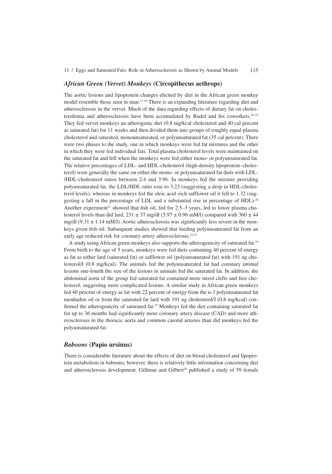#### *African Green (Vervet) Monkeys* **(Circopithecus aethrops)**

The aortic lesions and lipoprotein changes elicited by diet in the African green monkey model resemble those seen in man.<sup>17-19</sup> There is an expanding literature regarding diet and atherosclerosis in the vervet. Much of the data regarding effects of dietary fat on cholesterolemia and atherosclerosis have been accumulated by Rudel and his coworkers. $20-23$ They fed vervet monkeys an atherogenic diet (0.8 mg/kcal cholesterol and 40 cal percent as saturated fat) for 11 weeks and then divided them into groups of roughly equal plasma cholesterol and saturated, monounsaturated, or polyunsaturated fat (35 cal percent). There were two phases to the study, one in which monkeys were fed fat mixtures and the other in which they were fed individual fats. Total plasma cholesterol levels were maintained on the saturated fat and fell when the monkeys were fed either mono- or polyunsaturated fat. The relative percentages of LDL- and HDL-cholesterol (high-density lipoprotein–cholesterol) were generally the same on either the mono- or polyunsaturated fat diets with LDL- /HDL-cholesterol ratios between 2.4 and 3.96. In monkeys fed the mixture providing polyunsaturated fat, the LDL/HDL ratio rose to 3.23 (suggesting a drop in HDL-cholesterol levels), whereas in monkeys fed the oleic acid–rich safflower oil it fell to 1.32 (suggesting a fall in the percentage of LDL and a substantial rise in percentage of HDL).<sup>20</sup> Another experiment<sup>21</sup> showed that fish oil, fed for  $2.5-3$  years, led to lower plasma cholesterol levels than did lard,  $231 \pm 37$  mg/dl ( $5.97 \pm 0.96$  mM/l) compared with  $360 \pm 44$ mg/dl  $(9.31 \pm 1.14 \text{ mM/l})$ . Aortic atherosclerosis was significantly less severe in the monkeys given fish oil. Subsequent studies showed that feeding polyunsaturated fat from an early age reduced risk for coronary artery atherosclerosis.<sup>22,23</sup>

A study using African green monkeys also supports the atherogenicity of saturated fat.<sup>24</sup> From birth to the age of 5 years, monkeys were fed diets containing 40 percent of energy as fat as either lard (saturated fat) or safflower oil (polyunsaturated fat) with 191 ng cholesterol/J (0.8 mg/kcal). The animals fed the polyunsaturated fat had coronary intimal lesions one-fourth the size of the lesions in animals fed the saturated fat. In addition, the abdominal aorta of the group fed saturated fat contained more sterol clefts and free cholesterol, suggesting more complicated lesions. A similar study in African green monkeys fed 40 percent of energy as fat with 22 percent of energy from the n-3 polyunsaturated fat menhaden oil or from the saturated fat lard with 191 ng cholesterol/J (0.8 mg/kcal) confirmed the atherogenicity of saturated fat.<sup>25</sup> Monkeys fed the diet containing saturated fat for up to 36 months had significantly more coronary artery disease (CAD) and more atherosclerosis in the thoracic aorta and common carotid arteries than did monkeys fed the polyunsaturated fat.

#### *Baboons* **(Papio ursinus)**

There is considerable literature about the effects of diet on blood cholesterol and lipoprotein metabolism in baboons; however, there is relatively little information concerning diet and atherosclerosis development. Gillman and Gilbert<sup>26</sup> published a study of 59 female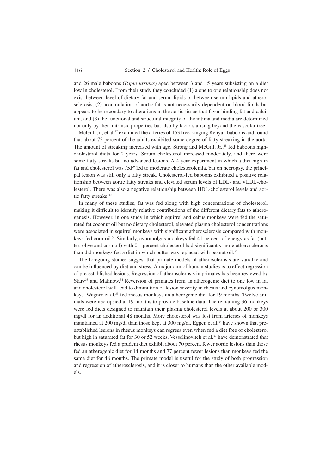and 26 male baboons (*Papio ursinus*) aged between 3 and 15 years subsisting on a diet low in cholesterol. From their study they concluded (1) a one to one relationship does not exist between level of dietary fat and serum lipids or between serum lipids and atherosclerosis, (2) accumulation of aortic fat is not necessarily dependent on blood lipids but appears to be secondary to alterations in the aortic tissue that favor binding fat and calcium, and (3) the functional and structural integrity of the intima and media are determined not only by their intrinsic properties but also by factors arising beyond the vascular tree.

McGill, Jr., et al.<sup>27</sup> examined the arteries of 163 free-ranging Kenyan baboons and found that about 75 percent of the adults exhibited some degree of fatty streaking in the aorta. The amount of streaking increased with age. Strong and McGill, Jr.,<sup>28</sup> fed baboons highcholesterol diets for 2 years. Serum cholesterol increased moderately, and there were some fatty streaks but no advanced lesions. A 4-year experiment in which a diet high in fat and cholesterol was fed<sup>29</sup> led to moderate cholesterolemia, but on necropsy, the principal lesion was still only a fatty streak. Cholesterol-fed baboons exhibited a positive relationship between aortic fatty streaks and elevated serum levels of LDL- and VLDL-cholesterol. There was also a negative relationship between HDL-cholesterol levels and aortic fatty streaks.<sup>30</sup>

In many of these studies, fat was fed along with high concentrations of cholesterol, making it difficult to identify relative contributions of the different dietary fats to atherogenesis. However, in one study in which squirrel and cebus monkeys were fed the saturated fat coconut oil but no dietary cholesterol, elevated plasma cholesterol concentrations were associated in squirrel monkeys with significant atherosclerosis compared with monkeys fed corn oil.31 Similarly, cynomolgus monkeys fed 41 percent of energy as fat (butter, olive and corn oil) with 0.1 percent cholesterol had significantly more atherosclerosis than did monkeys fed a diet in which butter was replaced with peanut oil.<sup>32</sup>

The foregoing studies suggest that primate models of atherosclerosis are variable and can be influenced by diet and stress. A major aim of human studies is to effect regression of pre-established lesions. Regression of atherosclerosis in primates has been reviewed by Stary33 and Malinow.34 Reversion of primates from an atherogenic diet to one low in fat and cholesterol will lead to diminution of lesion severity in rhesus and cynomolgus monkeys. Wagner et al.<sup>35</sup> fed rhesus monkeys an atherogenic diet for 19 months. Twelve animals were necropsied at 19 months to provide baseline data. The remaining 36 monkeys were fed diets designed to maintain their plasma cholesterol levels at about 200 or 300 mg/dl for an additional 48 months. More cholesterol was lost from arteries of monkeys maintained at 200 mg/dl than those kept at 300 mg/dl. Eggen et al.<sup>36</sup> have shown that preestablished lesions in rhesus monkeys can regress even when fed a diet free of cholesterol but high in saturated fat for 30 or 52 weeks. Vesselinovitch et al.<sup>37</sup> have demonstrated that rhesus monkeys fed a prudent diet exhibit about 70 percent fewer aortic lesions than those fed an atherogenic diet for 14 months and 77 percent fewer lesions than monkeys fed the same diet for 48 months. The primate model is useful for the study of both progression and regression of atherosclerosis, and it is closer to humans than the other available models.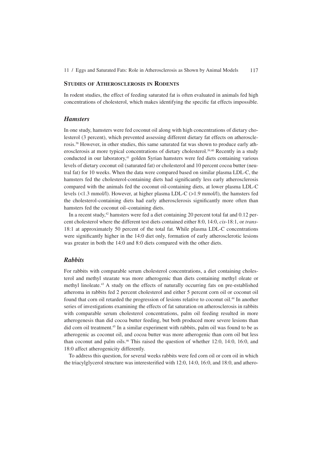#### **STUDIES OF ATHEROSCLEROSIS IN RODENTS**

In rodent studies, the effect of feeding saturated fat is often evaluated in animals fed high concentrations of cholesterol, which makes identifying the specific fat effects impossible.

#### *Hamsters*

In one study, hamsters were fed coconut oil along with high concentrations of dietary cholesterol (3 percent), which prevented assessing different dietary fat effects on atherosclerosis.38 However, in other studies, this same saturated fat was shown to produce early atherosclerosis at more typical concentrations of dietary cholesterol.<sup>39,40</sup> Recently in a study conducted in our laboratory,<sup>41</sup> golden Syrian hamsters were fed diets containing various levels of dietary coconut oil (saturated fat) or cholesterol and 10 percent cocoa butter (neutral fat) for 10 weeks. When the data were compared based on similar plasma LDL-C, the hamsters fed the cholesterol-containing diets had significantly less early atherosclerosis compared with the animals fed the coconut oil-containing diets, at lower plasma LDL-C levels (<1.3 mmol/l). However, at higher plasma LDL-C (>1.9 mmol/l), the hamsters fed the cholesterol-containing diets had early atherosclerosis significantly more often than hamsters fed the coconut oil–containing diets.

In a recent study,<sup>42</sup> hamsters were fed a diet containing 20 percent total fat and 0.12 percent cholesterol where the different test diets contained either 8:0, 14:0, *cis*-18:1, or *trans*-18:1 at approximately 50 percent of the total fat. While plasma LDL-C concentrations were significantly higher in the 14:0 diet only, formation of early atherosclerotic lesions was greater in both the 14:0 and 8:0 diets compared with the other diets.

#### *Rabbits*

For rabbits with comparable serum cholesterol concentrations, a diet containing cholesterol and methyl stearate was more atherogenic than diets containing methyl oleate or methyl linoleate.43 A study on the effects of naturally occurring fats on pre-established atheroma in rabbits fed 2 percent cholesterol and either 5 percent corn oil or coconut oil found that corn oil retarded the progression of lesions relative to coconut oil.<sup>44</sup> In another series of investigations examining the effects of fat saturation on atherosclerosis in rabbits with comparable serum cholesterol concentrations, palm oil feeding resulted in more atherogenesis than did cocoa butter feeding, but both produced more severe lesions than did corn oil treatment.45 In a similar experiment with rabbits, palm oil was found to be as atherogenic as coconut oil, and cocoa butter was more atherogenic than corn oil but less than coconut and palm oils.<sup>46</sup> This raised the question of whether 12:0, 14:0, 16:0, and 18:0 affect atherogenicity differently.

To address this question, for several weeks rabbits were fed corn oil or corn oil in which the triacylglycerol structure was interesterified with 12:0, 14:0, 16:0, and 18:0, and athero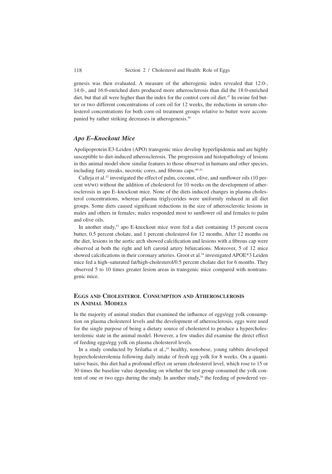genesis was then evaluated. A measure of the atherogenic index revealed that 12:0-, 14:0-, and 16:0-enriched diets produced more atherosclerosis than did the 18:0-enriched diet, but that all were higher than the index for the control corn oil diet.<sup>47</sup> In swine fed butter or two different concentrations of corn oil for 12 weeks, the reductions in serum cholesterol concentrations for both corn oil treatment groups relative to butter were accompanied by rather striking decreases in atherogenesis.48

#### *Apo E–Knockout Mice*

Apolipoprotein E3-Leiden (APO) transgenic mice develop hyperlipidemia and are highly susceptible to diet-induced atherosclerosis. The progression and histopathology of lesions in this animal model show similar features to those observed in humans and other species, including fatty streaks, necrotic cores, and fibrous caps.<sup>49–51</sup>

Calleja et al.<sup>52</sup> investigated the effect of palm, coconut, olive, and sunflower oils (10 percent wt/wt) without the addition of cholesterol for 10 weeks on the development of atherosclerosis in apo E–knockout mice. None of the diets induced changes in plasma cholesterol concentrations, whereas plasma triglycerides were uniformly reduced in all diet groups. Some diets caused significant reductions in the size of atherosclerotic lesions in males and others in females; males responded most to sunflower oil and females to palm and olive oils.

In another study,53 apo E-knockout mice were fed a diet containing 15 percent cocoa butter, 0.5 percent cholate, and 1 percent cholesterol for 12 months. After 12 months on the diet, lesions in the aortic arch showed calcification and lesions with a fibrous cap were observed at both the right and left carotid artery bifurcations. Moreover, 5 of 12 mice showed calcifications in their coronary arteries. Groot et al.<sup>54</sup> investigated APOE\*3 Leiden mice fed a high–saturated fat/high-cholesterol/0.5 percent cholate diet for 6 months. They observed 5 to 10 times greater lesion areas in transgenic mice compared with nontransgenic mice.

### **EGGS AND CHOLESTEROL CONSUMPTION AND ATHEROSCLEROSIS IN ANIMAL MODELS**

In the majority of animal studies that examined the influence of eggs/egg yolk consumption on plasma cholesterol levels and the development of atherosclerosis, eggs were used for the single purpose of being a dietary source of cholesterol to produce a hypercholesterolemic state in the animal model. However, a few studies did examine the direct effect of feeding eggs/egg yolk on plasma cholesterol levels.

In a study conducted by Srilatha et al.,<sup>55</sup> healthy, nonobese, young rabbits developed hypercholesterolemia following daily intake of fresh egg yolk for 8 weeks. On a quantitative basis, this diet had a profound effect on serum cholesterol level, which rose to 15 or 30 times the baseline value depending on whether the test group consumed the yolk content of one or two eggs during the study. In another study,<sup>56</sup> the feeding of powdered ver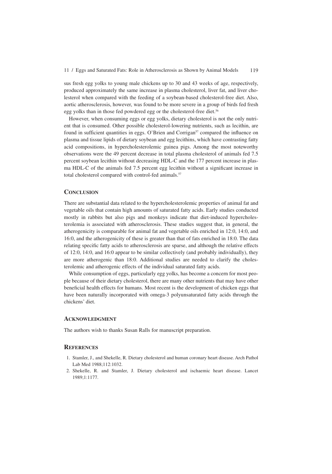sus fresh egg yolks to young male chickens up to 30 and 43 weeks of age, respectively, produced approximately the same increase in plasma cholesterol, liver fat, and liver cholesterol when compared with the feeding of a soybean-based cholesterol-free diet. Also, aortic atherosclerosis, however, was found to be more severe in a group of birds fed fresh egg yolks than in those fed powdered egg or the cholesterol-free diet.<sup>56</sup>

However, when consuming eggs or egg yolks, dietary cholesterol is not the only nutrient that is consumed. Other possible cholesterol-lowering nutrients, such as lecithin, are found in sufficient quantities in eggs. O'Brien and Corrigan<sup>57</sup> compared the influence on plasma and tissue lipids of dietary soybean and egg lecithins, which have contrasting fatty acid compositions, in hypercholesterolemic guinea pigs. Among the most noteworthy observations were the 49 percent decrease in total plasma cholesterol of animals fed 7.5 percent soybean lecithin without decreasing HDL-C and the 177 percent increase in plasma HDL-C of the animals fed 7.5 percent egg lecithin without a significant increase in total cholesterol compared with control-fed animals.<sup>57</sup>

#### **CONCLUSION**

There are substantial data related to the hypercholesterolemic properties of animal fat and vegetable oils that contain high amounts of saturated fatty acids. Early studies conducted mostly in rabbits but also pigs and monkeys indicate that diet-induced hypercholesterolemia is associated with atherosclerosis. These studies suggest that, in general, the atherogenicity is comparable for animal fat and vegetable oils enriched in 12:0, 14:0, and 16:0, and the atherogenicity of these is greater than that of fats enriched in 18:0. The data relating specific fatty acids to atherosclerosis are sparse, and although the relative effects of 12:0, 14:0, and 16:0 appear to be similar collectively (and probably individually), they are more atherogenic than 18:0. Additional studies are needed to clarify the cholesterolemic and atherogenic effects of the individual saturated fatty acids.

While consumption of eggs, particularly egg yolks, has become a concern for most people because of their dietary cholesterol, there are many other nutrients that may have other beneficial health effects for humans. Most recent is the development of chicken eggs that have been naturally incorporated with omega-3 polyunsaturated fatty acids through the chickens' diet.

#### **ACKNOWLEDGMENT**

The authors wish to thanks Susan Ralls for manuscript preparation.

### **REFERENCES**

- 1. Stamler, J., and Shekelle, R. Dietary cholesterol and human coronary heart disease. Arch Pathol Lab Med 1988;112:1032.
- 2. Shekelle, R. and Stamler, J. Dietary cholesterol and ischaemic heart disease. Lancet 1989;1:1177.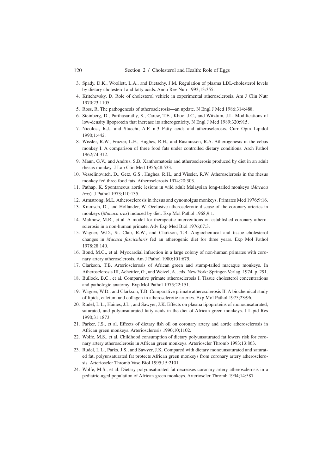- 3. Spady, D.K., Woollett, L.A., and Dietschy, J.M. Regulation of plasma LDL-cholesterol levels by dietary cholesterol and fatty acids. Annu Rev Nutr 1993;13:355.
- 4. Kritchevsky, D. Role of cholesterol vehicle in experimental atherosclerosis. Am J Clin Nutr 1970;23:1105.
- 5. Ross, R. The pathogenesis of atherosclerosis—an update. N Engl J Med 1986;314:488.
- 6. Steinberg, D., Parthasarathy, S., Carew, T.E., Khoo, J.C., and Witztum, J.L. Modifications of low-density lipoprotein that increase its atherogenicity. N Engl J Med 1989;320:915.
- 7. Nicolosi, R.J., and Stucchi, A.F. n-3 Fatty acids and atherosclerosis. Curr Opin Lipidol  $1990 \cdot 1.442$
- 8. Wissler, R.W., Frazier, L.E., Hughes, R.H., and Rasmussen, R.A. Atherogenesis in the cebus monkey I. A comparison of three food fats under controlled dietary conditions. Arch Pathol 1962;74:312.
- 9. Mann, G.V., and Andrus, S.B. Xanthomatosis and atherosclerosis produced by diet in an adult rhesus monkey. J Lab Clin Med 1956;48:533.
- 10. Vesselinovitch, D., Getz, G.S., Hughes, R.H., and Wissler, R.W. Atherosclerosis in the rhesus monkey fed three food fats. Atherosclerosis 1974;20:303.
- 11. Pathap, K. Spontaneous aortic lesions in wild adult Malaysian long-tailed monkeys (*Macaca irus*). J Pathol 1973;110:135.
- 12. Armstrong, M.L. Atherosclerosis in rhesus and cynomolgus monkeys. Primates Med 1976;9:16.
- 13. Kramsch, D., and Hollander, W. Occlusive atherosclerotic disease of the coronary arteries in monkeys (*Macaca irus*) induced by diet. Exp Mol Pathol 1968;9:1.
- 14. Malinow, M.R., et al. A model for therapeutic interventions on established coronary atherosclerosis in a non-human primate. Adv Exp Med Biol 1976;67:3.
- 15. Wagner, W.D., St. Clair, R.W., and Clarkson, T.B. Angiochemical and tissue cholesterol changes in *Macaca fascicularis* fed an atherogenic diet for three years. Exp Mol Pathol 1978;28:140.
- 16. Bond, M.G., et al. Myocardial infarction in a large colony of non-human primates with coronary artery atherosclerosis. Am J Pathol 1980;101:675.
- 17. Clarkson, T.B. Arteriosclerosis of African green and stump-tailed macaque monkeys. In Atherosclerosis III, Achettler, G., and Weizel, A., eds. New York: Springer-Verlag, 1974, p. 291.
- 18. Bullock, B.C., et al. Comparative primate atherosclerosis I. Tissue cholesterol concentrations and pathologic anatomy. Exp Mol Pathol 1975;22:151.
- 19. Wagner, W.D., and Clarkson, T.B. Comparative primate atherosclerosis II. A biochemical study of lipids, calcium and collagen in atherosclerotic arteries. Exp Mol Pathol 1975;23:96.
- 20. Rudel, L.L., Haines, J.L., and Sawyer, J.K. Effects on plasma lipoproteins of monounsaturated, saturated, and polyunsaturated fatty acids in the diet of African green monkeys. J Lipid Res 1990;31:1873.
- 21. Parker, J.S., et al. Effects of dietary fish oil on coronary artery and aortic atherosclerosis in African green monkeys. Arteriosclerosis 1990;10;1102.
- 22. Wolfe, M.S., et al. Childhood consumption of dietary polyunsaturated fat lowers risk for coronary artery atherosclerosis in African green monkeys. Arterioscler Thromb 1993;13:863.
- 23. Rudel, L.L., Parks, J.S., and Sawyer, J.K. Compared with dietary monounsaturated and saturated fat, polyunsaturated fat protects African green monkeys from coronary artery atherosclerosis. Arterioscler Thromb Vasc Biol 1995;15:2101.
- 24. Wolfe, M.S., et al. Dietary polyunsaturated fat decreases coronary artery atherosclerosis in a pediatric-aged population of African green monkeys. Arterioscler Thromb 1994;14:587.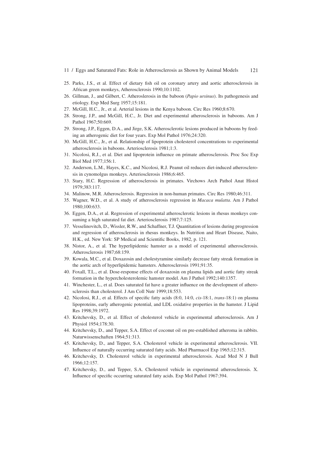- 25. Parks, J.S., et al. Effect of dietary fish oil on coronary artery and aortic atherosclerosis in African green monkeys, Atherosclerosis 1990;10:1102.
- 26. Gillman, J., and Gilbert, C. Atheroslerosis in the baboon (*Papio ursinus*). Its pathogenesis and etiology. Exp Med Surg 1957;15:181.
- 27. McGill, H.C., Jr., et al. Arterial lesions in the Kenya baboon. Circ Res 1960;8:670.
- 28. Strong, J.P., and McGill, H.C., Jr. Diet and experimental atherosclerosis in baboons. Am J Pathol 1967;50:669.
- 29. Strong, J.P., Eggen, D.A., and Jirge, S.K. Atherosclerotic lesions produced in baboons by feeding an atherogenic diet for four years. Exp Mol Pathol 1976;24:320.
- 30. McGill, H.C., Jr., et al. Relationship of lipoprotein cholesterol concentrations to experimental atherosclerosis in baboons. Arteriosclerosis 1981;1:3.
- 31. Nicolosi, R.J., et al. Diet and lipoprotein influence on primate atherosclerosis. Proc Soc Exp Biol Med 1977;156:1.
- 32. Anderson, L.M., Hayes, K.C., and Nicolosi, R.J. Peanut oil reduces diet-induced atherosclerosis in cynomolgus monkeys. Arteriosclerosis 1986;6:465.
- 33. Stary, H.C. Regression of atherosclerosis in primates. Virchows Arch Pathol Anat Histol 1979;383:117.
- 34. Malinow, M.R. Atherosclerosis. Regression in non-human primates. Circ Res 1980;46:311.
- 35. Wagner, W.D., et al. A study of atherosclerosis regression in *Macaca mulatta*. Am J Pathol 1980;100:633.
- 36. Eggen, D.A., et al. Regression of experimental atherosclerotic lesions in rhesus monkeys consuming a high saturated fat diet. Arteriosclerosis 1987;7:125.
- 37. Vesselinovitch, D., Wissler, R.W., and Schaffner, T.J. Quantitation of lesions during progression and regression of atherosclerosis in rhesus monkeys. In Nutrition and Heart Disease, Naito, H.K., ed. New York: SP Medical and Scientific Books, 1982, p. 121.
- 38. Nistor, A., et al. The hyperlipidemic hamster as a model of experimental atherosclerosis. Atherosclerosis 1987;68:159.
- 39. Kowala, M.C., et al. Doxazosin and cholestyramine similarly decrease fatty streak formation in the aortic arch of hyperlipidemic hamsters. Atherosclerosis 1991;91:35.
- 40. Foxall, T.L., et al. Dose-response effects of doxazosin on plasma lipids and aortic fatty streak formation in the hypercholesterolemic hamster model. Am J Pathol 1992;140:1357.
- 41. Winchester, L., et al. Does saturated fat have a greater influence on the development of atherosclerosis than cholesterol. J Am Coll Nutr 1999;18:553.
- 42. Nicolosi, R.J., et al. Effects of specific fatty acids (8:0, 14:0, *cis*-18:1, *trans*-18:1) on plasma lipoproteins, early atherogenic potential, and LDL oxidative properties in the hamster. J Lipid Res 1998;39:1972.
- 43. Kritchevsky, D., et al. Effect of cholesterol vehicle in experimental atherosclerosis. Am J Physiol 1954;178:30.
- 44. Kritchevsky, D., and Tepper, S.A. Effect of coconut oil on pre-established atheroma in rabbits. Naturwissenschaften 1964;51:313.
- 45. Kritchevsky, D., and Tepper, S.A. Cholesterol vehicle in experimental atherosclerosis. VII. Influence of naturally occurring saturated fatty acids. Med Pharmacol Exp 1965;12:315.
- 46. Kritchevsky, D. Cholesterol vehicle in experimental atherosclerosis. Acad Med N J Bull 1966;12:157.
- 47. Kritchevsky, D., and Tepper, S.A. Cholesterol vehicle in experimental atherosclerosis. X. Influence of specific occurring saturated fatty acids. Exp Mol Pathol 1967:394.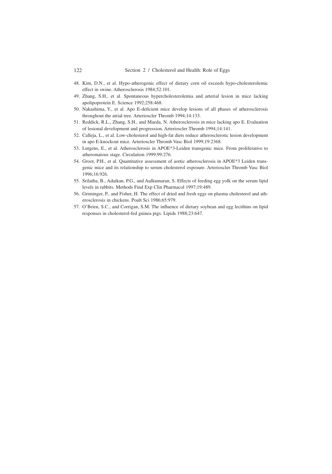- 48. Kim, D.N., et al. Hypo-atherogenic effect of dietary corn oil exceeds hypo-cholesterolemic effect in swine. Atherosclerosis 1984;52:101.
- 49. Zhang, S.H., et al. Spontaneous hypercholesterolemia and arterial lesion in mice lacking apolipoprotein E. Science 1992;258:468.
- 50. Nakashima, Y., et al. Apo E-deficient mice develop lesions of all phases of atherosclerosis throughout the atrial tree. Arterioscler Thromb 1994;14:133.
- 51. Reddick, R.L., Zhang, S.H., and Maeda, N. Atherosclerosis in mice lacking apo E. Evaluation of lesional development and progression. Arterioscler Thromb 1994;14:141.
- 52. Calleja, L., et al. Low-cholesterol and high-fat diets reduce atherosclerotic lesion development in apo E-knockout mice. Arterioscler Thromb Vasc Biol 1999;19:2368.
- 53. Lutgens, E., et al. Atherosclerosis in APOE\*3-Leiden transgenic mice. From proliferative to atheromatous stage. Circulation 1999;99:276.
- 54. Groot, P.H., et al. Quantitative assessment of aortic atherosclerosis in APOE\*3 Leiden transgenic mice and its relationship to serum cholesterol exposure. Arterioscler Thromb Vasc Biol 1996;16:926.
- 55. Srilatha, B., Adaikan, P.G., and Aulkumaran, S. Effects of feeding egg yolk on the serum lipid levels in rabbits. Methods Find Exp Clin Pharmacol 1997;19:489.
- 56. Griminger, P., and Fisher, H. The effect of dried and fresh eggs on plasma cholesterol and atherosclerosis in chickens. Poult Sci 1986;65:979.
- 57. O'Brien, S.C., and Corrigan, S.M. The influence of dietary soybean and egg lecithins on lipid responses in cholesterol-fed guinea pigs. Lipids 1988;23:647.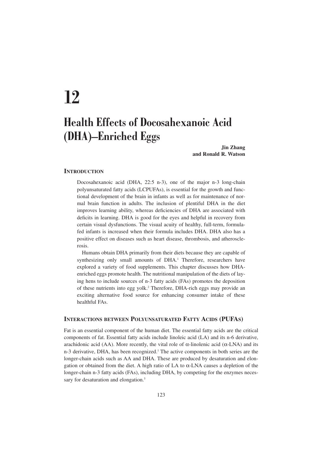# **12**

## **Health Effects of Docosahexanoic Acid (DHA)–Enriched Eggs**

**Jin Zhang and Ronald R. Watson**

#### **INTRODUCTION**

Docosahexanoic acid (DHA, 22:5 n-3), one of the major n-3 long-chain polyunsaturated fatty acids (LCPUFAs), is essential for the growth and functional development of the brain in infants as well as for maintenance of normal brain function in adults. The inclusion of plentiful DHA in the diet improves learning ability, whereas deficiencies of DHA are associated with deficits in learning. DHA is good for the eyes and helpful in recovery from certain visual dysfunctions. The visual acuity of healthy, full-term, formulafed infants is increased when their formula includes DHA. DHA also has a positive effect on diseases such as heart disease, thrombosis, and atherosclerosis.

Humans obtain DHA primarily from their diets because they are capable of synthesizing only small amounts of DHA.<sup>1</sup> Therefore, researchers have explored a variety of food supplements. This chapter discusses how DHAenriched eggs promote health. The nutritional manipulation of the diets of laying hens to include sources of n-3 fatty acids (FAs) promotes the deposition of these nutrients into egg yolk.<sup>2</sup> Therefore, DHA-rich eggs may provide an exciting alternative food source for enhancing consumer intake of these healthful FAs.

#### **INTERACTIONS BETWEEN POLYUNSATURATED FATTY ACIDS (PUFAS)**

Fat is an essential component of the human diet. The essential fatty acids are the critical components of fat. Essential fatty acids include linoleic acid (LA) and its n-6 derivative, arachidonic acid (AA). More recently, the vital role of  $α$ -linolenic acid ( $α$ -LNA) and its n-3 derivative, DHA, has been recognized.<sup>1</sup> The active components in both series are the longer-chain acids such as AA and DHA. These are produced by desaturation and elongation or obtained from the diet. A high ratio of LA to α-LNA causes a depletion of the longer-chain n-3 fatty acids (FAs), including DHA, by competing for the enzymes necessary for desaturation and elongation.<sup>3</sup>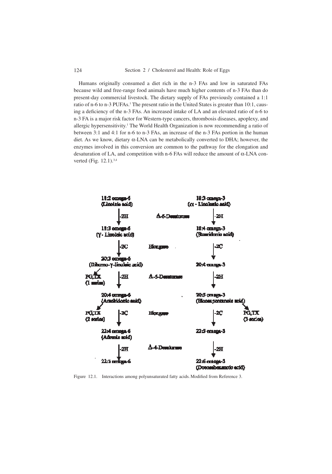Humans originally consumed a diet rich in the n-3 FAs and low in saturated FAs because wild and free-range food animals have much higher contents of n-3 FAs than do present-day commercial livestock. The dietary supply of FAs previously contained a 1:1 ratio of n-6 to n-3 PUFAs.<sup>1</sup> The present ratio in the United States is greater than 10:1, causing a deficiency of the n-3 FAs. An increased intake of LA and an elevated ratio of n-6 to n-3 FA is a major risk factor for Western-type cancers, thrombosis diseases, apoplexy, and allergic hypersensitivity.<sup>1</sup> The World Health Organization is now recommending a ratio of between 3:1 and 4:1 for n-6 to n-3 FAs, an increase of the n-3 FAs portion in the human diet. As we know, dietary α-LNA can be metabolically converted to DHA; however, the enzymes involved in this conversion are common to the pathway for the elongation and desaturation of LA, and competition with n-6 FAs will reduce the amount of α-LNA converted (Fig. 12.1).3,4



Figure 12.1. Interactions among polyunsaturated fatty acids. Modified from Reference 3.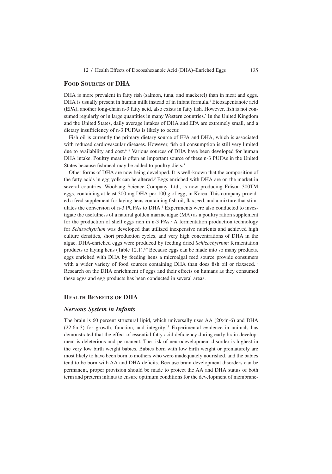#### **FOOD SOURCES OF DHA**

DHA is more prevalent in fatty fish (salmon, tuna, and mackerel) than in meat and eggs. DHA is usually present in human milk instead of in infant formula.<sup>1</sup> Eicosapentanoic acid (EPA), another long-chain n-3 fatty acid, also exists in fatty fish. However, fish is not consumed regularly or in large quantities in many Western countries.<sup>5</sup> In the United Kingdom and the United States, daily average intakes of DHA and EPA are extremely small, and a dietary insufficiency of n-3 PUFAs is likely to occur.

Fish oil is currently the primary dietary source of EPA and DHA, which is associated with reduced cardiovascular diseases. However, fish oil consumption is still very limited due to availability and cost.<sup>6,18</sup> Various sources of DHA have been developed for human DHA intake. Poultry meat is often an important source of these n-3 PUFAs in the United States because fishmeal may be added to poultry diets.<sup>5</sup>

Other forms of DHA are now being developed. It is well-known that the composition of the fatty acids in egg yolk can be altered.<sup>5</sup> Eggs enriched with DHA are on the market in several countries. Woobang Science Company, Ltd., is now producing Edison 300TM eggs, containing at least 300 mg DHA per 100 g of egg, in Korea. This company provided a feed supplement for laying hens containing fish oil, flaxseed, and a mixture that stimulates the conversion of n-3 PUFAs to DHA.<sup>6</sup> Experiments were also conducted to investigate the usefulness of a natural golden marine algae (MA) as a poultry ration supplement for the production of shell eggs rich in n-3 FAs.<sup>7</sup> A fermentation production technology for *Schizochytrium* was developed that utilized inexpensive nutrients and achieved high culture densities, short production cycles, and very high concentrations of DHA in the algae. DHA-enriched eggs were produced by feeding dried *Schizochytrium* fermentation products to laying hens (Table 12.1).<sup>8,9</sup> Because eggs can be made into so many products, eggs enriched with DHA by feeding hens a microalgal feed source provide consumers with a wider variety of food sources containing DHA than does fish oil or flaxseed.<sup>10</sup> Research on the DHA enrichment of eggs and their effects on humans as they consumed these eggs and egg products has been conducted in several areas.

#### **HEALTH BENEFITS OF DHA**

### *Nervous System in Infants*

The brain is 60 percent structural lipid, which universally uses AA (20:4n-6) and DHA (22:6n-3) for growth, function, and integrity.11 Experimental evidence in animals has demonstrated that the effect of essential fatty acid deficiency during early brain development is deleterious and permanent. The risk of neurodevelopment disorder is highest in the very low birth weight babies. Babies born with low birth weight or prematurely are most likely to have been born to mothers who were inadequately nourished, and the babies tend to be born with AA and DHA deficits. Because brain development disorders can be permanent, proper provision should be made to protect the AA and DHA status of both term and preterm infants to ensure optimum conditions for the development of membrane-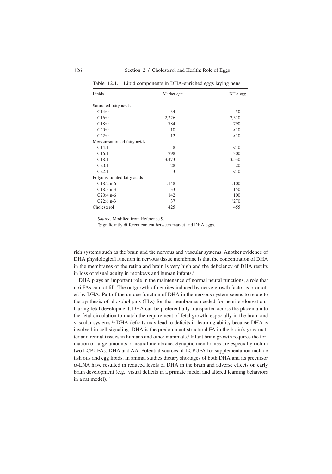126 Section 2 / Cholesterol and Health: Role of Eggs

| Lipids                      | Market egg | DHA egg |
|-----------------------------|------------|---------|
| Saturated fatty acids       |            |         |
| C14:0                       | 34         | 50      |
| C16:0                       | 2,226      | 2,310   |
| C18:0                       | 784        | 790     |
| C20:0                       | 10         | <10     |
| C22:0                       | 12         | <10     |
| Monounsaturated fatty acids |            |         |
| C14:1                       | 8          | <10     |
| C16:1                       | 298        | 300     |
| C18:1                       | 3,473      | 3,530   |
| C20:1                       | 28         | 20      |
| C22:1                       | 3          | <10     |
| Polyunsaturated fatty acids |            |         |
| $C18:2 n-6$                 | 1,148      | 1,100   |
| $C18:3 n-3$                 | 33         | 150     |
| $C20:4n-6$                  | 142        | 100     |
| $C22:6 n-3$                 | 37         | 270     |
| Cholesterol                 | 425        | 455     |

Table 12.1. Lipid components in DHA-enriched eggs laying hens

*Source.* Modified from Reference 9.

a Significantly different content between market and DHA eggs.

rich systems such as the brain and the nervous and vascular systems. Another evidence of DHA physiological function in nervous tissue membrane is that the concentration of DHA in the membranes of the retina and brain is very high and the deficiency of DHA results in loss of visual acuity in monkeys and human infants.4

DHA plays an important role in the maintenance of normal neural functions, a role that n-6 FAs cannot fill. The outgrowth of neurites induced by nerve growth factor is promoted by DHA. Part of the unique function of DHA in the nervous system seems to relate to the synthesis of phospholipids (PLs) for the membranes needed for neurite elongation.<sup>1</sup> During fetal development, DHA can be preferentially transported across the placenta into the fetal circulation to match the requirement of fetal growth, especially in the brain and vascular systems.12 DHA deficits may lead to deficits in learning ability because DHA is involved in cell signaling. DHA is the predominant structural FA in the brain's gray matter and retinal tissues in humans and other mammals.1 Infant brain growth requires the formation of large amounts of neural membrane. Synaptic membranes are especially rich in two LCPUFAs: DHA and AA. Potential sources of LCPUFA for supplementation include fish oils and egg lipids. In animal studies dietary shortages of both DHA and its precursor α-LNA have resulted in reduced levels of DHA in the brain and adverse effects on early brain development (e.g., visual deficits in a primate model and altered learning behaviors in a rat model).<sup>13</sup>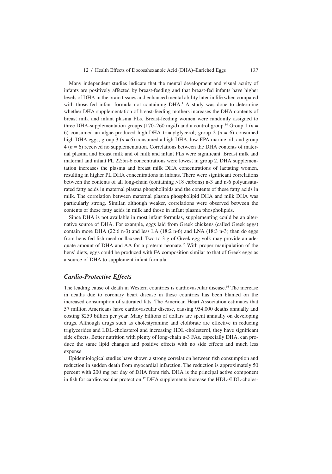Many independent studies indicate that the mental development and visual acuity of infants are positively affected by breast-feeding and that breast-fed infants have higher levels of DHA in the brain tissues and enhanced mental ability later in life when compared with those fed infant formula not containing DHA.<sup>1</sup> A study was done to determine whether DHA supplementation of breast-feeding mothers increases the DHA contents of breast milk and infant plasma PLs. Breast-feeding women were randomly assigned to three DHA-supplementation groups (170–260 mg/d) and a control group.<sup>14</sup> Group 1 ( $n =$ 6) consumed an algae-produced high-DHA triacylglycerol; group 2  $(n = 6)$  consumed high-DHA eggs; group 3 ( $n = 6$ ) consumed a high-DHA, low-EPA marine oil; and group  $4 (n = 6)$  received no supplementation. Correlations between the DHA contents of maternal plasma and breast milk and of milk and infant PLs were significant. Breast milk and maternal and infant PL 22:5n-6 concentrations were lowest in group 2. DHA supplementation increases the plasma and breast milk DHA concentrations of lactating women, resulting in higher PL DHA concentrations in infants. There were significant correlations between the contents of all long-chain (containing >18 carbons) n-3 and n-6 polyunsaturated fatty acids in maternal plasma phospholipids and the contents of these fatty acids in milk. The correlation between maternal plasma phospholipid DHA and milk DHA was particularly strong. Similar, although weaker, correlations were observed between the contents of these fatty acids in milk and those in infant plasma phospholipids.

Since DHA is not available in most infant formulas, supplementing could be an alternative source of DHA. For example, eggs laid from Greek chickens (called Greek eggs) contain more DHA (22:6 n-3) and less LA (18:2 n-6) and LNA (18:3 n-3) than do eggs from hens fed fish meal or flaxseed. Two to 3 g of Greek egg yolk may provide an adequate amount of DHA and AA for a preterm neonate.<sup>15</sup> With proper manipulation of the hens' diets, eggs could be produced with FA composition similar to that of Greek eggs as a source of DHA to supplement infant formula.

#### *Cardio-Protective Effects*

The leading cause of death in Western countries is cardiovascular disease.16 The increase in deaths due to coronary heart disease in these countries has been blamed on the increased consumption of saturated fats. The American Heart Association estimates that 57 million Americans have cardiovascular disease, causing 954,000 deaths annually and costing \$259 billion per year. Many billions of dollars are spent annually on developing drugs. Although drugs such as cholestyramine and clolibrate are effective in reducing triglycerides and LDL-cholesterol and increasing HDL-cholesterol, they have significant side effects. Better nutrition with plenty of long-chain n-3 FAs, especially DHA, can produce the same lipid changes and positive effects with no side effects and much less expense.

Epidemiological studies have shown a strong correlation between fish consumption and reduction in sudden death from myocardial infarction. The reduction is approximately 50 percent with 200 mg per day of DHA from fish. DHA is the principal active component in fish for cardiovascular protection.<sup>17</sup> DHA supplements increase the HDL-/LDL-choles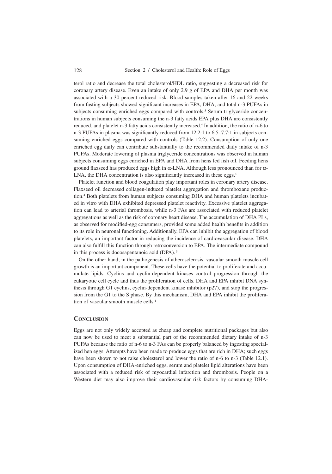terol ratio and decrease the total cholesterol/HDL ratio, suggesting a decreased risk for coronary artery disease. Even an intake of only 2.9 g of EPA and DHA per month was associated with a 30 percent reduced risk. Blood samples taken after 16 and 22 weeks from fasting subjects showed significant increases in EPA, DHA, and total n-3 PUFAs in subjects consuming enriched eggs compared with controls.<sup>5</sup> Serum triglyceride concentrations in human subjects consuming the n-3 fatty acids EPA plus DHA are consistently reduced, and platelet n-3 fatty acids consistently increased.<sup>4</sup> In addition, the ratio of n-6 to n-3 PUFAs in plasma was significantly reduced from 12.2:1 to 6.5–7.7:1 in subjects consuming enriched eggs compared with controls (Table 12.2). Consumption of only one enriched egg daily can contribute substantially to the recommended daily intake of n-3 PUFAs. Moderate lowering of plasma triglyceride concentrations was observed in human subjects consuming eggs enriched in EPA and DHA from hens fed fish oil. Feeding hens ground flaxseed has produced eggs high in  $\alpha$ -LNA. Although less pronounced than for  $\alpha$ -LNA, the DHA concentration is also significantly increased in these eggs.<sup>4</sup>

Platelet function and blood coagulation play important roles in coronary artery disease. Flaxseed oil decreased collagen-induced platelet aggregation and thromboxane production.4 Both platelets from human subjects consuming DHA and human platelets incubated in vitro with DHA exhibited depressed platelet reactivity. Excessive platelet aggregation can lead to arterial thrombosis, while n-3 FAs are associated with reduced platelet aggregations as well as the risk of coronary heart disease. The accumulation of DHA PLs, as observed for modified-egg consumers, provided some added health benefits in addition to its role in neuronal functioning. Additionally, EPA can inhibit the aggregation of blood platelets, an important factor in reducing the incidence of cardiovascular disease. DHA can also fulfill this function through retroconversion to EPA. The intermediate compound in this process is docosapentanoic acid (DPA). <sup>5</sup>

On the other hand, in the pathogenesis of atherosclerosis, vascular smooth muscle cell growth is an important component. These cells have the potential to proliferate and accumulate lipids. Cyclins and cyclin-dependent kinases control progression through the eukaryotic cell cycle and thus the proliferation of cells. DHA and EPA inhibit DNA synthesis through G1 cyclins, cyclin-dependent kinase inhibitor (p27), and stop the progression from the G1 to the S phase. By this mechanism, DHA and EPA inhibit the proliferation of vascular smooth muscle cells.<sup>1</sup>

#### **CONCLUSION**

Eggs are not only widely accepted as cheap and complete nutritional packages but also can now be used to meet a substantial part of the recommended dietary intake of n-3 PUFAs because the ratio of n-6 to n-3 FAs can be properly balanced by ingesting specialized hen eggs. Attempts have been made to produce eggs that are rich in DHA; such eggs have been shown to not raise cholesterol and lower the ratio of n-6 to n-3 (Table 12.1). Upon consumption of DHA-enriched eggs, serum and platelet lipid alterations have been associated with a reduced risk of myocardial infarction and thrombosis. People on a Western diet may also improve their cardiovascular risk factors by consuming DHA-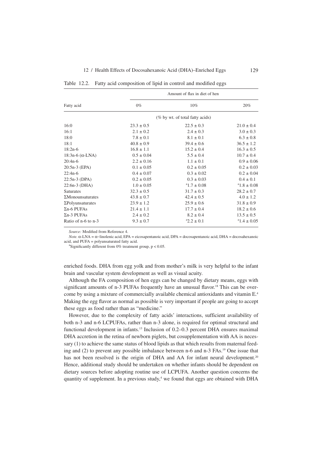12 / Health Effects of Docosahexanoic Acid (DHA)–Enriched Eggs 129

|                            | Amount of flax in diet of hen   |                        |                        |  |  |
|----------------------------|---------------------------------|------------------------|------------------------|--|--|
| Fatty acid                 | $0\%$                           | 10%                    | 20%                    |  |  |
|                            | (% by wt. of total fatty acids) |                        |                        |  |  |
| 16:0                       | $23.3 \pm 0.5$                  | $22.5 \pm 0.3$         | $21.0 \pm 0.4$         |  |  |
| 16:1                       | $2.1 \pm 0.2$                   | $2.4 \pm 0.3$          | $3.0 \pm 0.3$          |  |  |
| 18:0                       | $7.8 \pm 0.1$                   | $8.1 \pm 0.1$          | $6.3 \pm 0.8$          |  |  |
| 18:1                       | $40.8 \pm 0.9$                  | $39.4 \pm 0.6$         | $36.5 \pm 1.2$         |  |  |
| $18:2n-6$                  | $16.8 \pm 1.1$                  | $15.2 \pm 0.4$         | $16.3 \pm 0.5$         |  |  |
| $18:3n-6$ ( $\alpha$ -LNA) | $0.5 \pm 0.04$                  | $5.5 \pm 0.4$          | $10.7 \pm 0.4$         |  |  |
| $20:4n-6$                  | $2.2 \pm 0.16$                  | $1.1 \pm 0.1$          | $0.9 \pm 0.06$         |  |  |
| 20:5n-3 (EPA)              | $0.1 \pm 0.05$                  | $0.2 \pm 0.05$         | $0.2 \pm 0.03$         |  |  |
| $22:4n-6$                  | $0.4 \pm 0.07$                  | $0.3 \pm 0.02$         | $0.2 \pm 0.04$         |  |  |
| 22:5n-3 (DPA)              | $0.2 \pm 0.05$                  | $0.3 \pm 0.03$         | $0.4 \pm 0.1$          |  |  |
| $22:6n-3$ (DHA)            | $1.0 \pm 0.05$                  | $^{\rm a}1.7 \pm 0.08$ | $a_{1.8} \pm 0.08$     |  |  |
| <b>Saturates</b>           | $32.3 \pm 0.5$                  | $31.7 \pm 0.3$         | $28.2 \pm 0.7$         |  |  |
| $\Sigma$ Monounsaturates   | $43.8 \pm 0.7$                  | $42.4 \pm 0.5$         | $4.0 \pm 1.2$          |  |  |
| $\Sigma$ Polyunsaturates   | $23.9 \pm 1.2$                  | $25.9 \pm 0.6$         | $31.8 \pm 0.9$         |  |  |
| $\Sigma$ n-6 PUFAs         | $21.4 \pm 1.1$                  | $17.7 \pm 0.4$         | $18.2 \pm 0.6$         |  |  |
| $\Sigma$ n-3 PUFAs         | $2.4 \pm 0.2$                   | $8.2 \pm 0.4$          | $13.5 \pm 0.5$         |  |  |
| Ratio of n-6 to n-3        | $9.3 \pm 0.7$                   | $a_{2,2} \pm 0.1$      | $^{\circ}1.4 \pm 0.05$ |  |  |

Table 12.2. Fatty acid composition of lipid in control and modified eggs

*Source:* Modified from Reference 4.

*Note.* α-LNA = α-linolenic acid, EPA = eicosapentanoic acid, DPA = docosapentanoic acid, DHA = docosahexanoic acid, and PUFA = polyunsaturated fatty acid.

<sup>a</sup>Significantly different from 0% treatment group,  $p < 0.05$ .

enriched foods. DHA from egg yolk and from mother's milk is very helpful to the infant brain and vascular system development as well as visual acuity.

Although the FA composition of hen eggs can be changed by dietary means, eggs with significant amounts of n-3 PUFAs frequently have an unusual flavor.<sup>18</sup> This can be overcome by using a mixture of commercially available chemical antioxidants and vitamin E.4 Making the egg flavor as normal as possible is very important if people are going to accept these eggs as food rather than as "medicine."

However, due to the complexity of fatty acids' interactions, sufficient availability of both n-3 and n-6 LCPUFAs, rather than n-3 alone, is required for optimal structural and functional development in infants.<sup>13</sup> Inclusion of 0.2–0.3 percent DHA ensures maximal DHA accretion in the retina of newborn piglets, but cosupplementation with AA is necessary (1) to achieve the same status of blood lipids as that which results from maternal feeding and (2) to prevent any possible imbalance between n-6 and n-3 FAs.<sup>19</sup> One issue that has not been resolved is the origin of DHA and AA for infant neural development.<sup>20</sup> Hence, additional study should be undertaken on whether infants should be dependent on dietary sources before adopting routine use of LCPUFA. Another question concerns the quantity of supplement. In a previous study, $4$  we found that eggs are obtained with DHA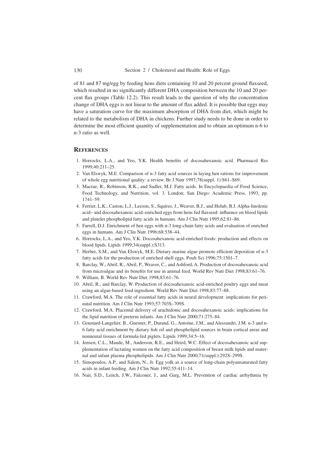of 81 and 87 mg/egg by feeding hens diets containing 10 and 20 percent ground flaxseed, which resulted in no significantly different DHA composition between the 10 and 20 percent flax groups (Table 12.2). This result leads to the question of why the concentration change of DHA eggs is not linear to the amount of flax added. It is possible that eggs may have a saturation curve for the maximum absorption of DHA from diet, which might be related to the metabolism of DHA in chickens. Further study needs to be done in order to determine the most efficient quantity of supplementation and to obtain an optimum n-6 to n-3 ratio as well.

### **REFERENCES**

- 1. Horrocks, L.A., and Yeo, Y.K. Health benefits of docosahexanoic acid. Pharmacol Res 1999;40:211–25.
- 2. Van Elswyk, M.E. Comparison of n-3 fatty acid sources in laying hen rations for improvement of whole egg nutritional quality: a review. Br J Nutr 1997;78(suppl. 1):S61–S69.
- 3. Macrae, R., Robinson, R.K., and Sadler, M.J. Fatty acids. In Encyclopaedia of Food Science, Food Technology, and Nutrition, vol. 3. London; San Diego: Academic Press, 1993, pp. 1741–59.
- 4. Ferrier, L.K., Caston, L.J., Leeson, S., Squires, J., Weaver, B.J., and Holub, B.J. Alpha-linolenic acid– and docosahexanoic acid–enriched eggs from hens fed flaxseed: influence on blood lipids and platelet phospholipid fatty acids in humans. Am J Clin Nutr 1995;62:81–86.
- 5. Farrell, D.J. Enrichment of hen eggs with n-3 long-chain fatty acids and evaluation of enriched eggs in humans*.* Am J Clin Nutr 1996;68:538–44.
- 6. Horrocks, L.A., and Yeo, Y.K. Docosahexanoic acid-enriched foods: production and effects on blood lipids. Lipids 1999;34(suppl.):S313.
- 7. Herber, S.M., and Van Elswyk, M.E. Dietary marine algae promote efficient deposition of n-3 fatty acids for the production of enriched shell eggs. Poult Sci 1996;75:1501–7.
- 8. Barclay, W., Abril, R., Abril, P., Weaver, C., and Ashford, A. Production of docosahexanoic acid from microalgae and its benefits for use in animal feed. World Rev Nutr Diet 1998;83:61–76.
- 9. William, B. World Rev Nutr Diet 1998;83:61–76.
- 10. Abril, R., and Barclay, W. Production of docosahexanoic acid-enriched poultry eggs and meat using an algae-based feed ingredient. World Rev Nutr Diet 1998;83:77–88.
- 11. Crawford, M.A. The role of essential fatty acids in neural development: implications for perinatal nutrition. Am J Clin Nutr 1993;57:703S–709S.
- 12. Crawford, M.A. Placental delivery of arachidonic and docosahexanoic acids: implications for the lipid nutrition of preterm infants. Am J Clin Nutr 2000;71:275–84.
- 13. Goustard-Langelier, B., Guesnet, P., Durand, G., Antoine, J.M., and Alessandri, J.M. n-3 and n-6 fatty acid enrichment by dietary fish oil and phospholipid sources in brain cortical areas and nonneural tissues of formula-fed piglets. Lipids 1999;34:5–16.
- 14. Jensen, C.L., Maude, M., Anderson, R.E., and Heird, W.C. Effect of docosahexanoic acid supplementation of lactating women on the fatty acid composition of breast milk lipids and maternal and infant plasma phospholipids. Am J Clin Nutr 2000;71(suppl.):292S–299S.
- 15. Simopoulos, A.P., and Salem, N., Jr. Egg yolk as a source of long-chain polyunsaturated fatty acids in infant feeding. Am J Clin Nutr 1992;55:411–14.
- 16. Nair, S.D., Leitch, J.W., Falconer, J., and Garg, M.L. Prevention of cardiac arrhythmia by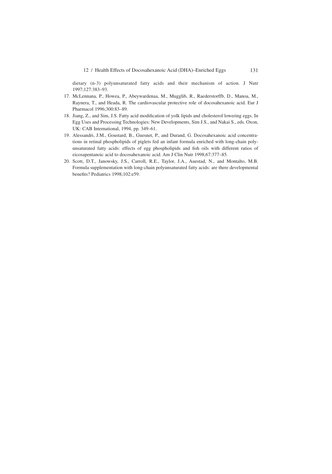dietary (n-3) polyunsaturated fatty acids and their mechanism of action. J Nutr 1997;127:383–93.

- 17. McLennana, P., Howea, P., Abeywardenaa, M., Mugglib, R., Raederstorffb, D., Manoa, M., Raynera, T., and Heada, R. The cardiovascular protective role of docosahexanoic acid. Eur J Pharmacol 1996;300:83–89.
- 18. Jiang, Z., and Sim, J.S. Fatty acid modification of yolk lipids and cholesterol lowering eggs. In Egg Uses and Processing Technologies: New Developments, Sim J.S., and Nakai S., eds. Oxon, UK: CAB International, 1994, pp. 349–61.
- 19. Alessandri, J.M., Goustard, B., Guesnet, P., and Durand, G. Docosahexanoic acid concentrations in retinal phospholipids of piglets fed an infant formula enriched with long-chain polyunsaturated fatty acids: effects of egg phospholipids and fish oils with different ratios of eicosapentanoic acid to docosahexanoic acid. Am J Clin Nutr 1998;67:377–85.
- 20. Scott, D.T., Janowsky, J.S., Carroll, R.E., Taylor, J.A., Auestad, N., and Montalto, M.B. Formula supplementation with long-chain polyunsaturated fatty acids: are there developmental benefits? Pediatrics 1998;102:e59.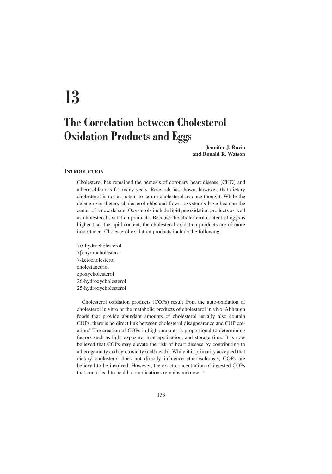# **13**

# **The Correlation between Cholesterol Oxidation Products and Eggs**

**Jennifer J. Ravia and Ronald R. Watson**

### **INTRODUCTION**

Cholesterol has remained the nemesis of coronary heart disease (CHD) and atheroschlerosis for many years. Research has shown, however, that dietary cholesterol is not as potent to serum cholesterol as once thought. While the debate over dietary cholesterol ebbs and flows, oxysterols have become the center of a new debate. Oxysterols include lipid peroxidation products as well as cholesterol oxidation products. Because the cholesterol content of eggs is higher than the lipid content, the cholesterol oxidation products are of more importance. Cholesterol oxidation products include the following:

7α-hydrocholesterol 7β-hydrocholesterol 7-ketocholesterol cholestanetriol epoxycholesterol 26-hydroxycholesterol 25-hydroxycholesterol

Cholesterol oxidation products (COPs) result from the auto-oxidation of cholesterol in vitro or the metabolic products of cholesterol in vivo. Although foods that provide abundant amounts of cholesterol usually also contain COPs, there is no direct link between cholesterol disappearance and COP creation.9 The creation of COPs in high amounts is proportional to determining factors such as light exposure, heat application, and storage time. It is now believed that COPs may elevate the risk of heart disease by contributing to atherogenicity and cytotoxicity (cell death). While it is primarily accepted that dietary cholesterol does not directly influence atherosclerosis, COPs are believed to be involved. However, the exact concentration of ingested COPs that could lead to health complications remains unknown.<sup>4</sup>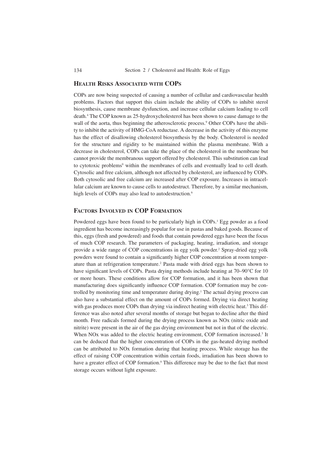## **HEALTH RISKS ASSOCIATED WITH COPS**

COPs are now being suspected of causing a number of cellular and cardiovascular health problems. Factors that support this claim include the ability of COPs to inhibit sterol biosynthesis, cause membrane dysfunction, and increase cellular calcium leading to cell death.4 The COP known as 25-hydroxycholesterol has been shown to cause damage to the wall of the aorta, thus beginning the atherosclerotic process.<sup>9</sup> Other COPs have the ability to inhibit the activity of HMG-CoA reductase. A decrease in the activity of this enzyme has the effect of disallowing cholesterol biosynthesis by the body. Cholesterol is needed for the structure and rigidity to be maintained within the plasma membrane. With a decrease in cholesterol, COPs can take the place of the cholesterol in the membrane but cannot provide the membranous support offered by cholesterol. This substitution can lead to cytotoxic problems<sup>9</sup> within the membranes of cells and eventually lead to cell death. Cytosolic and free calcium, although not affected by cholesterol, are influenced by COPs. Both cytosolic and free calcium are increased after COP exposure. Increases in intracellular calcium are known to cause cells to autodestruct. Therefore, by a similar mechanism, high levels of COPs may also lead to autodestruction.<sup>6</sup>

# **FACTORS INVOLVED IN COP FORMATION**

Powdered eggs have been found to be particularly high in COPs.<sup>1</sup> Egg powder as a food ingredient has become increasingly popular for use in pastas and baked goods. Because of this, eggs (fresh and powdered) and foods that contain powdered eggs have been the focus of much COP research. The parameters of packaging, heating, irradiation, and storage provide a wide range of COP concentrations in egg yolk powder.<sup>2</sup> Spray-dried egg yolk powders were found to contain a significantly higher COP concentration at room temperature than at refrigeration temperature.2 Pasta made with dried eggs has been shown to have significant levels of COPs. Pasta drying methods include heating at 70–90°C for 10 or more hours. These conditions allow for COP formation, and it has been shown that manufacturing does significantly influence COP formation. COP formation may be controlled by monitoring time and temperature during drying.<sup>1</sup> The actual drying process can also have a substantial effect on the amount of COPs formed. Drying via direct heating with gas produces more COPs than drying via indirect heating with electric heat.<sup>3</sup> This difference was also noted after several months of storage but began to decline after the third month. Free radicals formed during the drying process known as NOx (nitric oxide and nitrite) were present in the air of the gas drying environment but not in that of the electric. When NOx was added to the electric heating environment, COP formation increased.<sup>3</sup> It can be deduced that the higher concentration of COPs in the gas-heated drying method can be attributed to NOx formation during that heating process. While storage has the effect of raising COP concentration within certain foods, irradiation has been shown to have a greater effect of COP formation.<sup>9</sup> This difference may be due to the fact that most storage occurs without light exposure.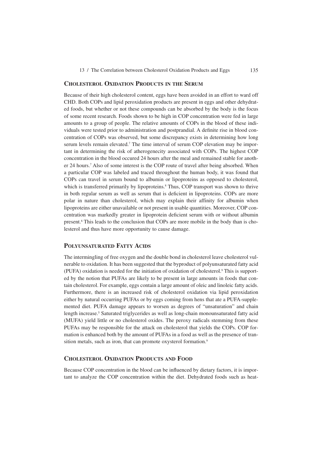# **CHOLESTEROL OXIDATION PRODUCTS IN THE SERUM**

Because of their high cholesterol content, eggs have been avoided in an effort to ward off CHD. Both COPs and lipid peroxidation products are present in eggs and other dehydrated foods, but whether or not these compounds can be absorbed by the body is the focus of some recent research. Foods shown to be high in COP concentration were fed in large amounts to a group of people. The relative amounts of COPs in the blood of these individuals were tested prior to administration and postprandial. A definite rise in blood concentration of COPs was observed, but some discrepancy exists in determining how long serum levels remain elevated.<sup>7</sup> The time interval of serum COP elevation may be important in determining the risk of atherogenecity associated with COPs. The highest COP concentration in the blood occured 24 hours after the meal and remained stable for another 24 hours.7 Also of some interest is the COP route of travel after being absorbed. When a particular COP was labeled and traced throughout the human body, it was found that COPs can travel in serum bound to albumin or lipoproteins as opposed to cholesterol, which is transferred primarily by lipoproteins.<sup>8</sup> Thus, COP transport was shown to thrive in both regular serum as well as serum that is deficient in lipoproteins. COPs are more polar in nature than cholesterol, which may explain their affinity for albumin when lipoproteins are either unavailable or not present in usable quantities. Moreover, COP concentration was markedly greater in lipoprotein deficient serum with or without albumin present.<sup>8</sup> This leads to the conclusion that COPs are more mobile in the body than is cholesterol and thus have more opportunity to cause damage.

# **POLYUNSATURATED FATTY ACIDS**

The intermingling of free oxygen and the double bond in cholesterol leave cholesterol vulnerable to oxidation. It has been suggested that the byproduct of polyunsaturated fatty acid (PUFA) oxidation is needed for the initiation of oxidation of cholesterol.<sup>9</sup> This is supported by the notion that PUFAs are likely to be present in large amounts in foods that contain cholesterol. For example, eggs contain a large amount of oleic and linoleic fatty acids. Furthermore, there is an increased risk of cholesterol oxidation via lipid peroxidation either by natural occurring PUFAs or by eggs coming from hens that ate a PUFA-supplemented diet. PUFA damage appears to worsen as degrees of "unsaturation" and chain length increase.<sup>5</sup> Saturated triglycerides as well as long-chain monounsaturated fatty acid (MUFA) yield little or no cholesterol oxides. The peroxy radicals stemming from these PUFAs may be responsible for the attack on cholesterol that yields the COPs. COP formation is enhanced both by the amount of PUFAs in a food as well as the presence of transition metals, such as iron, that can promote oxysterol formation.<sup>9</sup>

# **CHOLESTEROL OXIDATION PRODUCTS AND FOOD**

Because COP concentration in the blood can be influenced by dietary factors, it is important to analyze the COP concentration within the diet. Dehydrated foods such as heat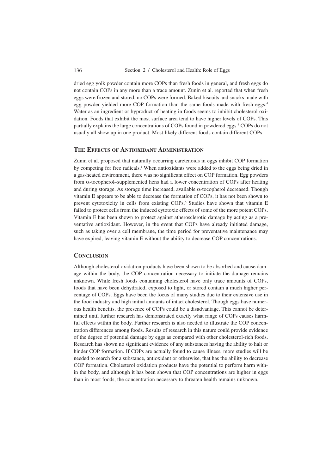dried egg yolk powder contain more COPs than fresh foods in general, and fresh eggs do not contain COPs in any more than a trace amount. Zunin et al. reported that when fresh eggs were frozen and stored, no COPs were formed. Baked biscuits and snacks made with egg powder yielded more COP formation than the same foods made with fresh eggs.<sup>4</sup> Water as an ingredient or byproduct of heating in foods seems to inhibit cholesterol oxidation. Foods that exhibit the most surface area tend to have higher levels of COPs. This partially explains the large concentrations of COPs found in powdered eggs.4 COPs do not usually all show up in one product. Most likely different foods contain different COPs.

#### **THE EFFECTS OF ANTIOXIDANT ADMINISTRATION**

Zunin et al. proposed that naturally occurring caretenoids in eggs inhibit COP formation by competing for free radicals.<sup>1</sup> When antioxidants were added to the eggs being dried in a gas-heated environment, there was no significant effect on COP formation. Egg powders from  $\alpha$ -tocopherol–supplemented hens had a lower concentration of COPs after heating and during storage. As storage time increased, available  $\alpha$ -tocopherol decreased. Though vitamin E appears to be able to decrease the formation of COPs, it has not been shown to prevent cytotoxicity in cells from existing COPs.6 Studies have shown that vitamin E failed to protect cells from the induced cytotoxic effects of some of the more potent COPs. Vitamin E has been shown to protect against atherosclerotic damage by acting as a preventative antioxidant. However, in the event that COPs have already initiated damage, such as taking over a cell membrane, the time period for preventative maintenance may have expired, leaving vitamin E without the ability to decrease COP concentrations.

# **CONCLUSION**

Although cholesterol oxidation products have been shown to be absorbed and cause damage within the body, the COP concentration necessary to initiate the damage remains unknown. While fresh foods containing cholesterol have only trace amounts of COPs, foods that have been dehydrated, exposed to light, or stored contain a much higher percentage of COPs. Eggs have been the focus of many studies due to their extensive use in the food industry and high initial amounts of intact cholesterol. Though eggs have numerous health benefits, the presence of COPs could be a disadvantage. This cannot be determined until further research has demonstrated exactly what range of COPs causes harmful effects within the body. Further research is also needed to illustrate the COP concentration differences among foods. Results of research in this nature could provide evidence of the degree of potential damage by eggs as compared with other cholesterol-rich foods. Research has shown no significant evidence of any substances having the ability to halt or hinder COP formation. If COPs are actually found to cause illness, more studies will be needed to search for a substance, antioxidant or otherwise, that has the ability to decrease COP formation. Cholesterol oxidation products have the potential to perform harm within the body, and although it has been shown that COP concentrations are higher in eggs than in most foods, the concentration necessary to threaten health remains unknown.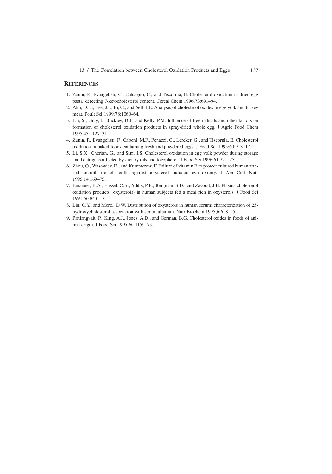## **REFERENCES**

- 1. Zunin, P., Evangelisti, C., Calcagno, C., and Tiscornia, E. Cholesterol oxidation in dried egg pasta: detecting 7-ketocholesterol content. Cereal Chem 1996;73:691–94.
- 2. Ahn, D.U., Lee, J.I., Jo, C., and Sell, J.L. Analysis of cholesterol oxides in egg yolk and turkey meat. Poult Sci 1999;78:1060–64.
- 3. Lai, S., Gray, I., Buckley, D.J., and Kelly, P.M. Influence of free radicals and other factors on formation of cholesterol oxidation products in spray-dried whole egg. J Agric Food Chem 1995;43:1127–31.
- 4. Zunin, P., Evangelisti, F., Caboni, M.F., Penazzi, G., Lercker, G., and Tiscornia, E. Cholesterol oxidation in baked foods containing fresh and powdered eggs. J Food Sci 1995;60:913–17.
- 5. Li, S.X., Cherian, G., and Sim, J.S. Cholesterol oxidation in egg yolk powder during storage and heating as affected by dietary oils and tocopherol. J Food Sci 1996;61:721–25.
- 6. Zhou, Q., Wasowicz, E., and Kummerow, F. Failure of vitamin E to protect cultured human arterial smooth muscle cells against oxysterol induced cytotoxicity. J Am Coll Nutr 1995;14:169–75.
- 7. Emanuel, H.A., Hassel, C.A., Addis, P.B., Bergman, S.D., and Zavoral, J.H. Plasma cholesterol oxidation products (oxysterols) in human subjects fed a meal rich in oxysterols. J Food Sci 1991;56:843–47.
- 8. Lin, C.Y., and Morel, D.W. Distribution of oxysterols in human serum: characterization of 25 hydroxycholesterol association with serum albumin. Nutr Biochem 1995;6:618–25.
- 9. Paniangvait, P., King, A.J., Jones, A.D., and German, B.G. Cholesterol oxides in foods of animal origin. J Food Sci 1995;60:1159–73.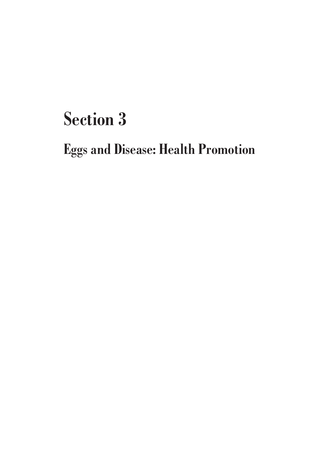# **Section 3**

**Eggs and Disease: Health Promotion**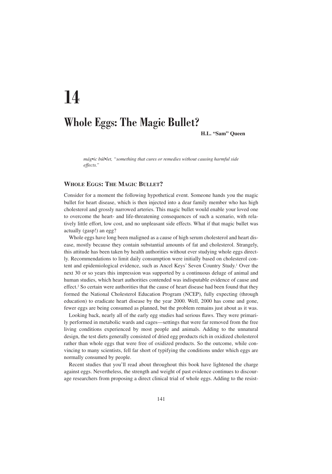# **14**

# **Whole Eggs: The Magic Bullet?**

**H.L. "Sam" Queen**

*mág•ic búl•let, "something that cures or remedies without causing harmful side effects."*

# **WHOLE EGGS: THE MAGIC BULLET?**

Consider for a moment the following hypothetical event. Someone hands you the magic bullet for heart disease, which is then injected into a dear family member who has high cholesterol and grossly narrowed arteries. This magic bullet would enable your loved one to overcome the heart- and life-threatening consequences of such a scenario, with relatively little effort, low cost, and no unpleasant side effects. What if that magic bullet was actually (gasp!) an egg?

Whole eggs have long been maligned as a cause of high serum cholesterol and heart disease, mostly because they contain substantial amounts of fat and cholesterol. Strangely, this attitude has been taken by health authorities without ever studying whole eggs directly. Recommendations to limit daily consumption were initially based on cholesterol content and epidemiological evidence, such as Ancel Keys' Seven Country Study.1 Over the next 30 or so years this impression was supported by a continuous deluge of animal and human studies, which heart authorities contended was indisputable evidence of cause and effect.<sup>2</sup> So certain were authorities that the cause of heart disease had been found that they formed the National Cholesterol Education Program (NCEP), fully expecting (through education) to eradicate heart disease by the year 2000. Well, 2000 has come and gone, fewer eggs are being consumed as planned, but the problem remains just about as it was.

Looking back, nearly all of the early egg studies had serious flaws. They were primarily performed in metabolic wards and cages—settings that were far removed from the free living conditions experienced by most people and animals. Adding to the unnatural design, the test diets generally consisted of dried egg products rich in oxidized cholesterol rather than whole eggs that were free of oxidized products. So the outcome, while convincing to many scientists, fell far short of typifying the conditions under which eggs are normally consumed by people.

Recent studies that you'll read about throughout this book have lightened the charge against eggs. Nevertheless, the strength and weight of past evidence continues to discourage researchers from proposing a direct clinical trial of whole eggs. Adding to the resist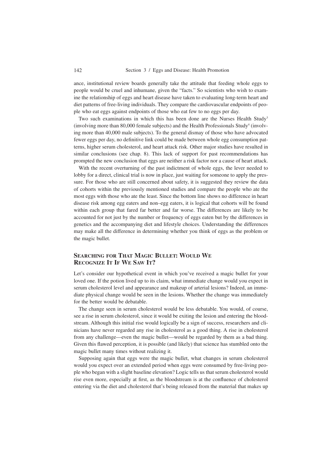ance, institutional review boards generally take the attitude that feeding whole eggs to people would be cruel and inhumane, given the "facts." So scientists who wish to examine the relationship of eggs and heart disease have taken to evaluating long-term heart and diet patterns of free-living individuals. They compare the cardiovascular endpoints of people who eat eggs against endpoints of those who eat few to no eggs per day.

Two such examinations in which this has been done are the Nurses Health Study<sup>3</sup> (involving more than 80,000 female subjects) and the Health Professionals Study4 (involving more than 40,000 male subjects). To the general dismay of those who have advocated fewer eggs per day, no definitive link could be made between whole egg consumption patterns, higher serum cholesterol, and heart attack risk. Other major studies have resulted in similar conclusions (see chap. 8). This lack of support for past recommendations has prompted the new conclusion that eggs are neither a risk factor nor a cause of heart attack.

With the recent overturning of the past indictment of whole eggs, the lever needed to lobby for a direct, clinical trial is now in place, just waiting for someone to apply the pressure. For those who are still concerned about safety, it is suggested they review the data of cohorts within the previously mentioned studies and compare the people who ate the most eggs with those who ate the least. Since the bottom line shows no difference in heart disease risk among egg eaters and non–egg eaters, it is logical that cohorts will be found within each group that fared far better and far worse. The differences are likely to be accounted for not just by the number or frequency of eggs eaten but by the differences in genetics and the accompanying diet and lifestyle choices. Understanding the differences may make all the difference in determining whether you think of eggs as the problem or the magic bullet.

# **SEARCHING FOR THAT MAGIC BULLET: WOULD WE RECOGNIZE IT IF WE SAW IT?**

Let's consider our hypothetical event in which you've received a magic bullet for your loved one. If the potion lived up to its claim, what immediate change would you expect in serum cholesterol level and appearance and makeup of arterial lesions? Indeed, an immediate physical change would be seen in the lesions. Whether the change was immediately for the better would be debatable.

The change seen in serum cholesterol would be less debatable. You would, of course, see a rise in serum cholesterol, since it would be exiting the lesion and entering the bloodstream. Although this initial rise would logically be a sign of success, researchers and clinicians have never regarded any rise in cholesterol as a good thing. A rise in cholesterol from any challenge—even the magic bullet—would be regarded by them as a bad thing. Given this flawed perception, it is possible (and likely) that science has stumbled onto the magic bullet many times without realizing it.

Supposing again that eggs were the magic bullet, what changes in serum cholesterol would you expect over an extended period when eggs were consumed by free-living people who began with a slight baseline elevation? Logic tells us that serum cholesterol would rise even more, especially at first, as the bloodstream is at the confluence of cholesterol entering via the diet and cholesterol that's being released from the material that makes up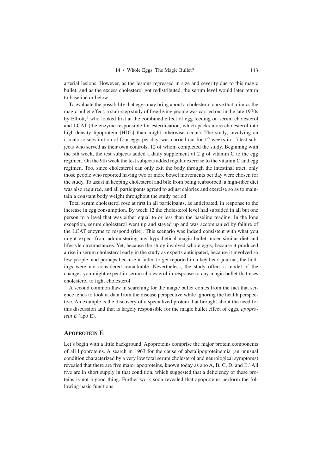arterial lesions. However, as the lesions regressed in size and severity due to this magic bullet, and as the excess cholesterol got redistributed, the serum level would later return to baseline or below.

To evaluate the possibility that eggs may bring about a cholesterol curve that mimics the magic bullet effect, a stair-step study of free-living people was carried out in the late 1970s by Elliott,<sup>5</sup> who looked first at the combined effect of egg feeding on serum cholesterol and LCAT (the enzyme responsible for esterification, which packs more cholesterol into high-density lipoprotein [HDL] than might otherwise occur). The study, involving an isocaloric substitution of four eggs per day, was carried out for 12 weeks in 15 test subjects who served as their own controls, 12 of whom completed the study. Beginning with the 5th week, the test subjects added a daily supplement of  $2 \text{ g}$  of vitamin C to the egg regimen. On the 9th week the test subjects added regular exercise to the vitamin C and egg regimen. Too, since cholesterol can only exit the body through the intestinal tract, only those people who reported having two or more bowel movements per day were chosen for the study. To assist in keeping cholesterol and bile from being reabsorbed, a high-fiber diet was also required, and all participants agreed to adjust calories and exercise so as to maintain a constant body weight throughout the study period.

Total serum cholesterol rose at first in all participants, as anticipated, in response to the increase in egg consumption. By week 12 the cholesterol level had subsided in all but one person to a level that was either equal to or less than the baseline reading. In the lone exception, serum cholesterol went up and stayed up and was accompanied by failure of the LCAT enzyme to respond (rise). This scenario was indeed consistent with what you might expect from administering any hypothetical magic bullet under similar diet and lifestyle circumstances. Yet, because the study involved whole eggs, because it produced a rise in serum cholesterol early in the study as experts anticipated, because it involved so few people, and perhaps because it failed to get reported in a key heart journal, the findings were not considered remarkable. Nevertheless, the study offers a model of the changes you might expect in serum cholesterol in response to any magic bullet that uses cholesterol to fight cholesterol.

A second common flaw in searching for the magic bullet comes from the fact that science tends to look at data from the disease perspective while ignoring the health perspective. An example is the discovery of a specialized protein that brought about the need for this discussion and that is largely responsible for the magic bullet effect of eggs, *apoprotein E* (apo E).

#### **APOPROTEIN E**

Let's begin with a little background. Apoproteins comprise the major protein components of all lipoproteins. A search in 1963 for the cause of abetalipoproteinemia (an unusual condition characterized by a very low total serum cholesterol and neurological symptoms) revealed that there are five major apoproteins, known today as apo A, B, C, D, and  $E^6$  All five are in short supply in that condition, which suggested that a deficiency of these proteins is not a good thing. Further work soon revealed that apoproteins perform the following basic functions: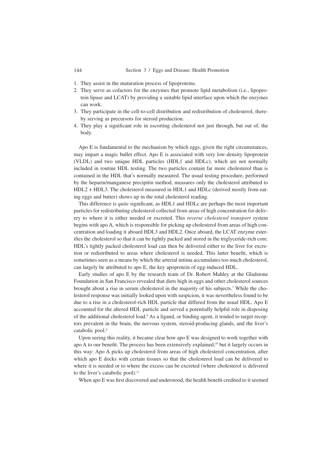- 1. They assist in the maturation process of lipoproteins.
- 2. They serve as cofactors for the enzymes that promote lipid metabolism (i.e., lipoprotein lipase and LCAT) by providing a suitable lipid interface upon which the enzymes can work.
- 3. They participate in the cell-to-cell distribution and redistribution of cholesterol, thereby serving as precursors for steroid production.
- 4. They play a significant role in escorting cholesterol not just through, but out of, the body.

Apo E is fundamental to the mechanism by which eggs, given the right circumstances, may impart a magic bullet effect. Apo E is associated with very low-density lipoprotein (VLDL) and two unique HDL particles (HDL1 and HDLc), which are not normally included in routine HDL testing. The two particles contain far more cholesterol than is contained in the HDL that's normally measured. The usual testing procedure, performed by the heparin/manganese precipitin method, measures only the cholesterol attributed to HDL2 + HDL3. The cholesterol measured in HDL1 and HDLc (derived mostly from eating eggs and butter) shows up in the total cholesterol reading.

This difference is *quite* significant, as HDL1 and HDLc are perhaps the most important particles for redistributing cholesterol collected from areas of high concentration for delivery to where it is either needed or excreted. This *reverse cholesterol transport* system begins with apo A, which is responsible for picking up cholesterol from areas of high concentration and loading it aboard HDL3 and HDL2. Once aboard, the LCAT enzyme esterifies the cholesterol so that it can be tightly packed and stored in the triglyceride-rich core. HDL's tightly packed cholesterol load can then be delivered either to the liver for excretion or redistributed to areas where cholesterol is needed. This latter benefit, which is sometimes seen as a means by which the arterial intima accumulates too much cholesterol, can largely be attributed to apo E, the key apoprotein of egg-induced HDL.

Early studies of apo E by the research team of Dr. Robert Mahley at the Gladstone Foundation in San Francisco revealed that diets high in eggs and other cholesterol sources brought about a rise in serum cholesterol in the majority of his subjects.7 While the cholesterol response was initially looked upon with suspicion, it was nevertheless found to be due to a rise in a cholesterol-rich HDL particle that differed from the usual HDL. Apo E accounted for the altered HDL particle and served a potentially helpful role in disposing of the additional cholesterol load.<sup>8</sup> As a ligand, or binding agent, it tended to target receptors prevalent in the brain, the nervous system, steroid-producing glands, and the liver's catabolic pool.<sup>9</sup>

Upon seeing this reality, it became clear how apo E was designed to work together with apo A to our benefit. The process has been extensively explained, $10$  but it largely occurs in this way: Apo A picks up cholesterol from areas of high cholesterol concentration, after which apo E docks with certain tissues so that the cholesterol load can be delivered to where it is needed or to where the excess can be excreted (where cholesterol is delivered to the liver's catabolic pool).<sup>11</sup>

When apo E was first discovered and understood, the health benefit credited to it seemed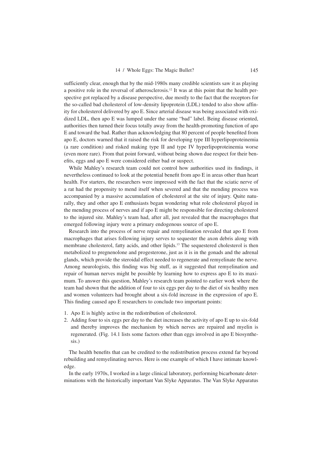sufficiently clear, enough that by the mid-1980s many credible scientists saw it as playing a positive role in the reversal of atherosclerosis.<sup>12</sup> It was at this point that the health perspective got replaced by a disease perspective, due mostly to the fact that the receptors for the so-called bad cholesterol of low-density lipoprotein (LDL) tended to also show affinity for cholesterol delivered by apo E. Since arterial disease was being associated with oxidized LDL, then apo E was lumped under the same "bad" label. Being disease oriented, authorities then turned their focus totally away from the health-promoting function of apo E and toward the bad. Rather than acknowledging that 80 percent of people benefited from apo E, doctors warned that it raised the risk for developing type III hyperlipoproteinemia (a rare condition) and risked making type II and type IV hyperlipoproteinemia worse (even more rare). From that point forward, without being shown due respect for their benefits, eggs and apo E were considered either bad or suspect.

While Mahley's research team could not control how authorities used its findings, it nevertheless continued to look at the potential benefit from apo E in areas other than heart health. For starters, the researchers were impressed with the fact that the sciatic nerve of a rat had the propensity to mend itself when severed and that the mending process was accompanied by a massive accumulation of cholesterol at the site of injury. Quite naturally, they and other apo E enthusiasts began wondering what role cholesterol played in the mending process of nerves and if apo E might be responsible for directing cholesterol to the injured site. Mahley's team had, after all, just revealed that the macrophages that emerged following injury were a primary endogenous source of apo E.

Research into the process of nerve repair and remyelination revealed that apo E from macrophages that arises following injury serves to sequester the axon debris along with membrane cholesterol, fatty acids, and other lipids.<sup>13</sup> The sequestered cholesterol is then metabolized to pregnenolone and progesterone, just as it is in the gonads and the adrenal glands, which provide the steroidal effect needed to regenerate and remyelinate the nerve. Among neurologists, this finding was big stuff, as it suggested that remyelination and repair of human nerves might be possible by learning how to express apo E to its maximum. To answer this question, Mahley's research team pointed to earlier work where the team had shown that the addition of four to six eggs per day to the diet of six healthy men and women volunteers had brought about a six-fold increase in the expression of apo E. This finding caused apo E researchers to conclude two important points:

- 1. Apo E is highly active in the redistribution of cholesterol.
- 2. Adding four to six eggs per day to the diet increases the activity of apo E up to six-fold and thereby improves the mechanism by which nerves are repaired and myelin is regenerated. (Fig. 14.1 lists some factors other than eggs involved in apo E biosynthesis.)

The health benefits that can be credited to the redistribution process extend far beyond rebuilding and remyelinating nerves. Here is one example of which I have intimate knowledge.

In the early 1970s, I worked in a large clinical laboratory, performing bicarbonate determinations with the historically important Van Slyke Apparatus. The Van Slyke Apparatus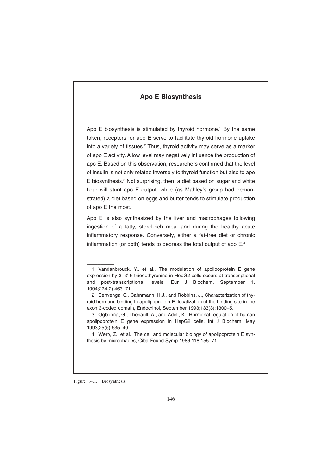# **Apo E Biosynthesis**

Apo E biosynthesis is stimulated by thyroid hormone.<sup>1</sup> By the same token, receptors for apo E serve to facilitate thyroid hormone uptake into a variety of tissues.<sup>2</sup> Thus, thyroid activity may serve as a marker of apo E activity. A low level may negatively influence the production of apo E. Based on this observation, researchers confirmed that the level of insulin is not only related inversely to thyroid function but also to apo E biosynthesis.3 Not surprising, then, a diet based on sugar and white flour will stunt apo E output, while (as Mahley's group had demonstrated) a diet based on eggs and butter tends to stimulate production of apo E the most.

Apo E is also synthesized by the liver and macrophages following ingestion of a fatty, sterol-rich meal and during the healthy acute inflammatory response. Conversely, either a fat-free diet or chronic inflammation (or both) tends to depress the total output of apo E.4

Figure 14.1. Biosynthesis.

 $\overline{\phantom{a}}$   $\overline{\phantom{a}}$   $\overline{\phantom{a}}$   $\overline{\phantom{a}}$   $\overline{\phantom{a}}$   $\overline{\phantom{a}}$   $\overline{\phantom{a}}$   $\overline{\phantom{a}}$   $\overline{\phantom{a}}$   $\overline{\phantom{a}}$   $\overline{\phantom{a}}$   $\overline{\phantom{a}}$   $\overline{\phantom{a}}$   $\overline{\phantom{a}}$   $\overline{\phantom{a}}$   $\overline{\phantom{a}}$   $\overline{\phantom{a}}$   $\overline{\phantom{a}}$   $\overline{\$ 

<sup>1.</sup> Vandanbrouck, Y., et al., The modulation of apolipoprotein E gene expression by 3, 3'-5-triiodothyronine in HepG2 cells occurs at transcriptional and post-transcriptional levels, Eur J Biochem, September 1, 1994;224(2):463–71.

<sup>2.</sup> Benvenga, S., Cahnmann, H.J., and Robbins, J., Characterization of thyroid hormone binding to apolipoprotein-E: localization of the binding site in the exon 3-coded domain, Endocrinol, September 1993;133(3):1300–5.

<sup>3.</sup> Ogbonna, G., Theriault, A., and Adeli, K., Hormonal regulation of human apolipoprotein E gene expression in HepG2 cells, Int J Biochem, May 1993;25(5):635–40.

<sup>4.</sup> Werb, Z., et al., The cell and molecular biology of apolipoprotein E synthesis by microphages, Ciba Found Symp 1986;118:155–71.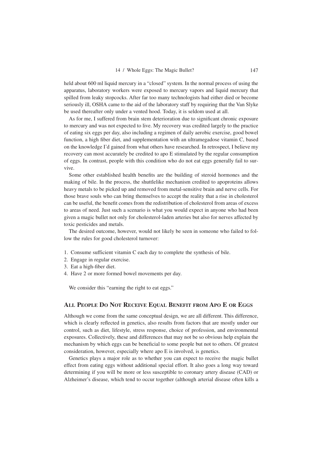held about 600 ml liquid mercury in a "closed" system. In the normal process of using the apparatus, laboratory workers were exposed to mercury vapors and liquid mercury that spilled from leaky stopcocks. After far too many technologists had either died or become seriously ill, OSHA came to the aid of the laboratory staff by requiring that the Van Slyke be used thereafter only under a vented hood. Today, it is seldom used at all.

As for me, I suffered from brain stem deterioration due to significant chronic exposure to mercury and was not expected to live. My recovery was credited largely to the practice of eating six eggs per day, also including a regimen of daily aerobic exercise, good bowel function, a high fiber diet, and supplementation with an ultramegadose vitamin C, based on the knowledge I'd gained from what others have researched. In retrospect, I believe my recovery can most accurately be credited to apo E stimulated by the regular consumption of eggs. In contrast, people with this condition who do not eat eggs generally fail to survive.

Some other established health benefits are the building of steroid hormones and the making of bile. In the process, the shuttlelike mechanism credited to apoproteins allows heavy metals to be picked up and removed from metal-sensitive brain and nerve cells. For those brave souls who can bring themselves to accept the reality that a rise in cholesterol can be useful, the benefit comes from the redistribution of cholesterol from areas of excess to areas of need. Just such a scenario is what you would expect in anyone who had been given a magic bullet not only for cholesterol-laden arteries but also for nerves affected by toxic pesticides and metals.

The desired outcome, however, would not likely be seen in someone who failed to follow the rules for good cholesterol turnover:

- 1. Consume sufficient vitamin C each day to complete the synthesis of bile.
- 2. Engage in regular exercise.
- 3. Eat a high-fiber diet.
- 4. Have 2 or more formed bowel movements per day.

We consider this "earning the right to eat eggs."

## **ALL PEOPLE DO NOT RECEIVE EQUAL BENEFIT FROM APO E OR EGGS**

Although we come from the same conceptual design, we are all different. This difference, which is clearly reflected in genetics, also results from factors that are mostly under our control, such as diet, lifestyle, stress response, choice of profession, and environmental exposures. Collectively, these and differences that may not be so obvious help explain the mechanism by which eggs can be beneficial to some people but not to others. Of greatest consideration, however, especially where apo E is involved, is genetics.

Genetics plays a major role as to whether you can expect to receive the magic bullet effect from eating eggs without additional special effort. It also goes a long way toward determining if you will be more or less susceptible to coronary artery disease (CAD) or Alzheimer's disease, which tend to occur together (although arterial disease often kills a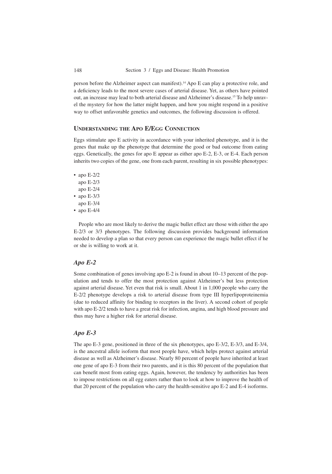person before the Alzheimer aspect can manifest).14 Apo E can play a protective role, and a deficiency leads to the most severe cases of arterial disease. Yet, as others have pointed out, an increase may lead to both arterial disease and Alzheimer's disease.15 To help unravel the mystery for how the latter might happen, and how you might respond in a positive way to offset unfavorable genetics and outcomes, the following discussion is offered.

#### **UNDERSTANDING THE APO E/EGG CONNECTION**

Eggs stimulate apo E activity in accordance with your inherited phenotype, and it is the genes that make up the phenotype that determine the good or bad outcome from eating eggs. Genetically, the genes for apo E appear as either apo E-2, E-3, or E-4. Each person inherits two copies of the gene, one from each parent, resulting in six possible phenotypes:

- apo E-2/2 • apo E-2/3 • apo E-2/4 • apo E-3/3 • apo E-3/4
- apo E-4/4

People who are most likely to derive the magic bullet effect are those with either the apo E-2/3 or 3/3 phenotypes. The following discussion provides background information needed to develop a plan so that every person can experience the magic bullet effect if he or she is willing to work at it.

# *Apo E-2*

Some combination of genes involving apo E-2 is found in about 10–13 percent of the population and tends to offer the most protection against Alzheimer's but less protection against arterial disease. Yet even that risk is small. About 1 in 1,000 people who carry the E-2/2 phenotype develops a risk to arterial disease from type III hyperlipoproteinemia (due to reduced affinity for binding to receptors in the liver). A second cohort of people with apo E-2/2 tends to have a great risk for infection, angina, and high blood pressure and thus may have a higher risk for arterial disease.

# *Apo E-3*

The apo E-3 gene, positioned in three of the six phenotypes, apo E-3/2, E-3/3, and E-3/4, is the ancestral allele isoform that most people have, which helps protect against arterial disease as well as Alzheimer's disease. Nearly 80 percent of people have inherited at least one gene of apo E-3 from their two parents, and it is this 80 percent of the population that can benefit most from eating eggs. Again, however, the tendency by authorities has been to impose restrictions on all egg eaters rather than to look at how to improve the health of that 20 percent of the population who carry the health-sensitive apo E-2 and E-4 isoforms.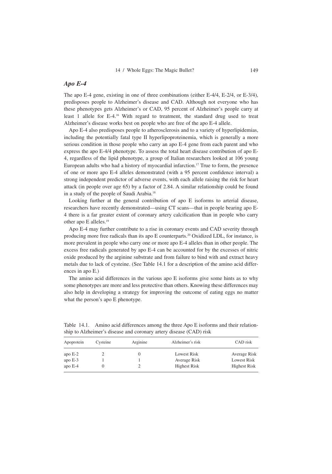# *Apo E-4*

The apo E-4 gene, existing in one of three combinations (either E-4/4, E-2/4, or E-3/4), predisposes people to Alzheimer's disease and CAD. Although not everyone who has these phenotypes gets Alzheimer's or CAD, 95 percent of Alzheimer's people carry at least 1 allele for E-4.<sup>16</sup> With regard to treatment, the standard drug used to treat Alzheimer's disease works best on people who are free of the apo E-4 allele.

Apo E-4 also predisposes people to atherosclerosis and to a variety of hyperlipidemias, including the potentially fatal type II hyperlipoproteinemia, which is generally a more serious condition in those people who carry an apo E-4 gene from each parent and who express the apo E-4/4 phenotype. To assess the total heart disease contribution of apo E-4, regardless of the lipid phenotype, a group of Italian researchers looked at 106 young European adults who had a history of myocardial infarction.<sup>17</sup> True to form, the presence of one or more apo E-4 alleles demonstrated (with a 95 percent confidence interval) a strong independent predictor of adverse events, with each allele raising the risk for heart attack (in people over age 65) by a factor of 2.84. A similar relationship could be found in a study of the people of Saudi Arabia.<sup>18</sup>

Looking further at the general contribution of apo E isoforms to arterial disease, researchers have recently demonstrated—using CT scans—that in people bearing apo E-4 there is a far greater extent of coronary artery calcification than in people who carry other apo E alleles.19

Apo E-4 may further contribute to a rise in coronary events and CAD severity through producing more free radicals than its apo E counterparts.20 Oxidized LDL, for instance, is more prevalent in people who carry one or more apo E-4 alleles than in other people. The excess free radicals generated by apo E-4 can be accounted for by the excesses of nitric oxide produced by the arginine substrate and from failure to bind with and extract heavy metals due to lack of cysteine. (See Table 14.1 for a description of the amino acid differences in apo E.)

The amino acid differences in the various apo E isoforms give some hints as to why some phenotypes are more and less protective than others. Knowing these differences may also help in developing a strategy for improving the outcome of eating eggs no matter what the person's apo E phenotype.

| Apoprotein | Cysteine | Arginine | Alzheimer's risk    | CAD risk            |
|------------|----------|----------|---------------------|---------------------|
| apo $E-2$  |          |          | <b>Lowest Risk</b>  | Average Risk        |
| apo $E-3$  |          |          | Average Risk        | <b>Lowest Risk</b>  |
| apo $E-4$  |          |          | <b>Highest Risk</b> | <b>Highest Risk</b> |

Table 14.1. Amino acid differences among the three Apo E isoforms and their relationship to Alzheimer's disease and coronary artery disease (CAD) risk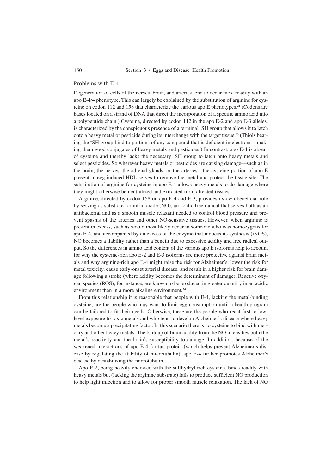#### Problems with E-4

Degeneration of cells of the nerves, brain, and arteries tend to occur most readily with an apo E-4/4 phenotype. This can largely be explained by the substitution of arginine for cysteine on codon 112 and 158 that characterize the various apo E phenotypes.21 (Codons are bases located on a strand of DNA that direct the incorporation of a specific amino acid into a polypeptide chain.) Cysteine, directed by codon 112 in the apo E-2 and apo E-3 alleles, is characterized by the conspicuous presence of a terminal <sup>−</sup> SH group that allows it to latch onto a heavy metal or pesticide during its interchange with the target tissue.23 (Thiols bearing the <sup>−</sup> SH group bind to portions of any compound that is deficient in electrons—making them good conjugates of heavy metals and pesticides.) In contrast, apo E-4 is absent of cysteine and thereby lacks the necessary <sup>−</sup> SH group to latch onto heavy metals and select pesticides. So wherever heavy metals or pesticides are causing damage—such as in the brain, the nerves, the adrenal glands, or the arteries—the cysteine portion of apo E present in egg-induced HDL serves to remove the metal and protect the tissue site. The substitution of arginine for cysteine in apo E-4 allows heavy metals to do damage where they might otherwise be neutralized and extracted from affected tissues.

Arginine, directed by codon 158 on apo E-4 and E-3, provides its own beneficial role by serving as substrate for nitric oxide (NO), an acidic free radical that serves both as an antibacterial and as a smooth muscle relaxant needed to control blood pressure and prevent spasms of the arteries and other NO-sensitive tissues. However, when arginine is present in excess, such as would most likely occur in someone who was homozygous for apo E-4, and accompanied by an excess of the enzyme that induces its synthesis (iNOS), NO becomes a liability rather than a benefit due to excessive acidity and free radical output. So the differences in amino acid content of the various apo E isoforms help to account for why the cysteine-rich apo E-2 and E-3 isoforms are more protective against brain metals and why arginine-rich apo E-4 might raise the risk for Alzheimer's, lower the risk for metal toxicity, cause early-onset arterial disease, and result in a higher risk for brain damage following a stroke (where acidity becomes the determinant of damage). Reactive oxygen species (ROS), for instance, are known to be produced in greater quantity in an acidic environment than in a more alkaline environment**. 24**

From this relationship it is reasonable that people with E-4, lacking the metal-binding cysteine, are the people who may want to limit egg consumption until a health program can be tailored to fit their needs. Otherwise, these are the people who react first to lowlevel exposure to toxic metals and who tend to develop Alzheimer's disease where heavy metals become a precipitating factor. In this scenario there is no cysteine to bind with mercury and other heavy metals. The buildup of brain acidity from the NO intensifies both the metal's reactivity and the brain's susceptibility to damage. In addition, because of the weakened interactions of apo E-4 for tau-protein (which helps prevent Alzheimer's disease by regulating the stability of microtubulin), apo E-4 further promotes Alzheimer's disease by destabilizing the microtubulin.

Apo E-2, being heavily endowed with the sulfhydryl-rich cysteine, binds readily with heavy metals but (lacking the arginine substrate) fails to produce sufficient NO production to help fight infection and to allow for proper smooth muscle relaxation. The lack of NO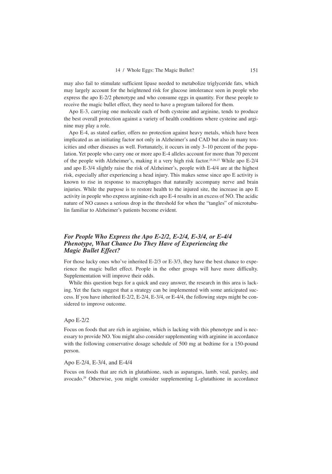may also fail to stimulate sufficient lipase needed to metabolize triglyceride fats, which may largely account for the heightened risk for glucose intolerance seen in people who express the apo E-2/2 phenotype and who consume eggs in quantity. For these people to receive the magic bullet effect, they need to have a program tailored for them.

Apo E-3, carrying one molecule each of both cysteine and arginine, tends to produce the best overall protection against a variety of health conditions where cysteine and arginine may play a role.

Apo E-4, as stated earlier, offers no protection against heavy metals, which have been implicated as an initiating factor not only in Alzheimer's and CAD but also in many toxicities and other diseases as well. Fortunately, it occurs in only 3–10 percent of the population. Yet people who carry one or more apo E-4 alleles account for more than 70 percent of the people with Alzheimer's, making it a very high risk factor.25,26,27 While apo E-2/4 and apo E-3/4 slightly raise the risk of Alzheimer's, people with E-4/4 are at the highest risk, especially after experiencing a head injury. This makes sense since apo E activity is known to rise in response to macrophages that naturally accompany nerve and brain injuries. While the purpose is to restore health to the injured site, the increase in apo E activity in people who express arginine-rich apo E-4 results in an excess of NO. The acidic nature of NO causes a serious drop in the threshold for when the "tangles" of microtubulin familiar to Alzheimer's patients become evident.

# *For People Who Express the Apo E-2/2, E-2/4, E-3/4, or E-4/4 Phenotype, What Chance Do They Have of Experiencing the Magic Bullet Effect?*

For those lucky ones who've inherited E-2/3 or E-3/3, they have the best chance to experience the magic bullet effect. People in the other groups will have more difficulty. Supplementation will improve their odds.

While this question begs for a quick and easy answer, the research in this area is lacking. Yet the facts suggest that a strategy can be implemented with some anticipated success. If you have inherited E-2/2, E-2/4, E-3/4, or E-4/4, the following steps might be considered to improve outcome.

#### Apo E-2/2

Focus on foods that are rich in arginine, which is lacking with this phenotype and is necessary to provide NO. You might also consider supplementing with arginine in accordance with the following conservative dosage schedule of 500 mg at bedtime for a 150-pound person.

# Apo E-2/4, E-3/4, and E-4/4

Focus on foods that are rich in glutathione, such as asparagus, lamb, veal, parsley, and avocado.29 Otherwise, you might consider supplementing L-glutathione in accordance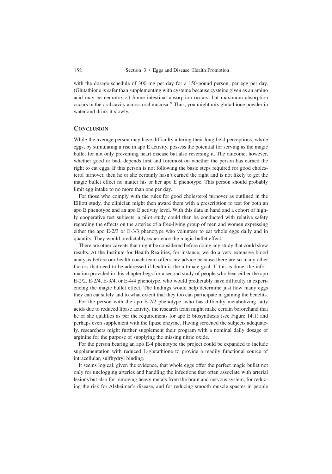with the dosage schedule of 300 mg per day for a 150-pound person, per egg per day. (Glutathione is safer than supplementing with cysteine because cysteine given as an amino acid may be neurotoxic.) Some intestinal absorption occurs, but maximum absorption occurs in the oral cavity across oral mucosa.28 Thus, you might mix glutathione powder in water and drink it slowly.

#### **CONCLUSION**

While the average person may have difficulty altering their long-held perceptions, whole eggs, by stimulating a rise in apo E activity, possess the potential for serving as the magic bullet for not only preventing heart disease but also reversing it. The outcome, however, whether good or bad, depends first and foremost on whether the person has earned the right to eat eggs. If this person is not following the basic steps required for good cholesterol turnover, then he or she certainly hasn't earned the right and is not likely to get the magic bullet effect no matter his or her apo E phenotype. This person should probably limit egg intake to no more than one per day.

For those who comply with the rules for good cholesterol turnover as outlined in the Elliott study, the clinician might then award them with a prescription to test for both an apo E phenotype and an apo E activity level. With this data in hand and a cohort of highly cooperative test subjects, a pilot study could then be conducted with relative safety regarding the effects on the arteries of a free-living group of men and women expressing either the apo E-2/3 or E-3/3 phenotype who volunteer to eat whole eggs daily and in quantity. They would predictably experience the magic bullet effect.

There are other caveats that might be considered before doing any study that could skew results. At the Institute for Health Realities, for instance, we do a very extensive blood analysis before our health coach team offers any advice because there are so many other factors that need to be addressed if health is the ultimate goal. If this is done, the information provided in this chapter begs for a second study of people who bear either the apo E-2/2, E-2/4, E-3/4, or E-4/4 phenotype, who would predictably have difficulty in experiencing the magic bullet effect. The findings would help determine just how many eggs they can eat safely and to what extent that they too can participate in gaining the benefits.

For the person with the apo E-2/2 phenotype, who has difficulty metabolizing fatty acids due to reduced lipase activity, the research team might make certain beforehand that he or she qualifies as per the requirements for apo E biosynthesis (see Figure 14.1) and perhaps even supplement with the lipase enzyme. Having screened the subjects adequately, researchers might further supplement their program with a nominal daily dosage of arginine for the purpose of supplying the missing nitric oxide.

For the person bearing an apo E-4 phenotype the project could be expanded to include supplementation with reduced L-glutathione to provide a readily functional source of intracellular, sulfhydryl binding.

It seems logical, given the evidence, that whole eggs offer the perfect magic bullet not only for unclogging arteries and handling the infections that often associate with arterial lesions but also for removing heavy metals from the brain and nervous system, for reducing the risk for Alzheimer's disease, and for reducing smooth muscle spasms in people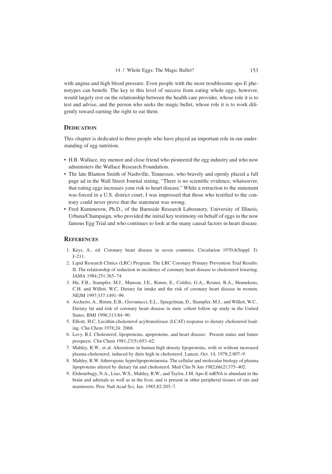with angina and high blood pressure. Even people with the most troublesome apo E phenotypes can benefit. The key to this level of success from eating whole eggs, however, would largely rest on the relationship between the health care provider, whose role it is to test and advise, and the person who seeks the magic bullet, whose role it is to work diligently toward earning the right to eat them.

#### **DEDICATION**

This chapter is dedicated to three people who have played an important role in our understanding of egg nutrition.

- H.B. Wallace, my mentor and close friend who pioneered the egg industry and who now administers the Wallace Research Foundation.
- The late Blanton Smith of Nashville, Tennessee, who bravely and openly placed a full page ad in the Wall Street Journal stating, "There is no scientific evidence, whatsoever, that eating eggs increases your risk to heart disease." While a retraction to the statement was forced in a U.S. district court, I was impressed that those who testified to the contrary could never prove that the statement was wrong.
- Fred Kummerow, Ph.D., of the Burnside Research Laboratory, University of Illinois, Urbana/Champaign, who provided the initial key testimony on behalf of eggs in the now famous Egg Trial and who continues to look at the many causal factors in heart disease.

#### **REFERENCES**

- 1. Keys, A., ed. Coronary heart disease in seven countries. Circulation 1970;4(Suppl. I):  $I = 2.11$ .
- 2. Lipid Research Clinics (LRC) Program. The LRC Coronary Primary Prevention Trial Results: II. The relationship of reduction in incidence of coronary heart disease to cholesterol lowering. JAMA 1984;251:365–74.
- 3. Hu, F.B., Stampfer, M.J., Manson, J.E., Rimm, E., Colditz, G.A., Rosner, B.A., Hennekens, C.H. and Willett, W.C. Dietary fat intake and the risk of coronary heart disease in women. NEJM 1997;337:1491–99.
- 4. Ascherio, A., Rimm, E.B., Giovanucci, E.L., Spiegelman, D., Stampfer, M.J., and Willett, W.C.. Dietary fat and risk of coronary heart disease in men: cohort follow up study in the United States. BMJ 1996;313:84–90.
- 5. Elliott, H.C. Lecithin-cholesterol acyltransferase (LCAT) response to dietary cholesterol loading. Clin Chem 1978;24: 2068.
- 6. Levy, R.I. Cholesterol, lipoproteins, apoproteins, and heart disease: Present status and future prospects. Clin Chem 1981;27(5):653–62.
- 7. Mahley, R.W., et al. Alterations in human high density lipoproteins, with or without increased plasma-cholesterol, induced by diets high in cholesterol. Lancet, Oct. 14, 1978;2:807–9.
- 8. Mahley, R.W. Atherogenic hyperlipoproteinemia. The cellular and molecular biology of plasma lipoproteins altered by dietary fat and cholesterol. Med Clin N Am 1982;66(2):375–402.
- 9. Elshourbagy, N.A., Liao, W.S., Mahley, R.W., and Taylor, J.M. Apo-E mRNA is abundant in the brain and adrenals as well as in the liver, and is present in other peripheral tissues of rats and marmosets. Proc Natl Acad Sci, Jan. 1985;82:203–7.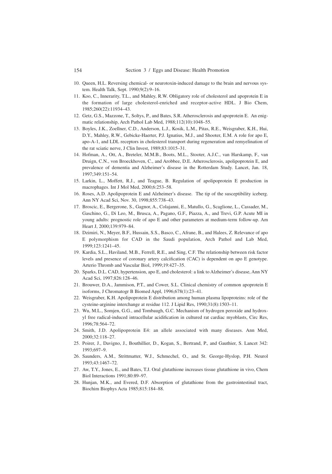- 10. Queen, H.L. Reversing chemical- or neurotoxin-induced damage to the brain and nervous system. Health Talk, Sept. 1990;9(2):9–16.
- 11. Koo, C., Innerarity, T.L., and Mahley, R.W. Obligatory role of cholesterol and apoprotein E in the formation of large cholesterol-enriched and receptor-active HDL. J Bio Chem, 1985;260(22):11934–43.
- 12. Getz, G.S., Mazzone, T., Soltys, P., and Bates, S.R. Atherosclerosis and apoprotein E. An enigmatic relationship, Arch Pathol Lab Med, 1988;112(10):1048–55.
- 13. Boyles, J.K., Zoellner, C.D., Anderson, L.J., Kosik, L.M., Pitas, R.E., Weisgraber, K.H., Hui, D.Y., Mahley, R.W., Gebicke-Haerter, P.J. Ignatius, M.J., and Shooter, E.M. A role for apo E, apo-A-1, and LDL receptors in cholesterol transport during regeneration and remyelination of the rat sciatic nerve, J Clin Invest, 1989;83:1015–31.
- 14. Hofman, A., Ott, A., Breteler, M.M.B., Boots, M.L., Stooter, A.J.C., van Harskamp, F., van Druign, C.N., von Broeckhoven, C., and Arobbee, D.E. Atherosclerosis, apolipoprotein E, and prevalence of dementia and Alzheimer's disease in the Rotterdam Study. Lancet, Jan. 18, 1997;349:151–54.
- 15. Larkin, L., Moffett, R.J., and Teague, B. Regulation of apolipoprotein E production in macrophages. Int J Mol Med, 2000;6:253–58.
- 16. Roses, A.D. Apolipoprotein E and Alzheimer's disease. The tip of the susceptibility iceberg. Ann NY Acad Sci, Nov. 30, 1998;855:738–43.
- 17. Broscic, E., Bergerone, S., Gagnor, A., Colajanni, E., Matullo, G., Scaglione, L., Cassader, M., Gaschino, G., Di Leo, M., Brusca, A., Pagano, G.F., Piazza, A., and Trevi, G.P. Acute MI in young adults: prognostic role of apo E and other parameters at medium-term follow-up. Am Heart J, 2000;139:979–84.
- 18. Dzimiri, N., Meyer, B.F., Hussain, S.S., Basco, C., Afrane, B., and Halees, Z. Relevance of apo E polymorphism for CAD in the Saudi population, Arch Pathol and Lab Med, 1999;123:1241–45.
- 19. Kardia, S.L., Haviland, M.B., Ferrell, R.E., and Sing, C.F. The relationship between risk factor levels and presence of coronary artery calcification (CAC) is dependent on apo E genotype. Arterio Thromb and Vascular Biol, 1999;19:427–35.
- 20. Sparks, D.L. CAD, hypertension, apo E, and cholesterol: a link to Alzheimer's disease, Ann NY Acad Sci, 1997;826:128–46.
- 21. Brouwer, D.A., Jammison, P.T., and Cower, S.L. Clinical chemistry of common apoprotein E isoforms, J Chromatogr B Biomed Appl, 1996;678(1):23–41.
- 22. Weisgraber, K.H. Apolipoprotein E distribution among human plasma lipoproteins: role of the cysteine-arginine interchange at residue 112. J Lipid Res, 1990;31(8):1503–11.
- 23. Wu, M.L., Somjen, G.G., and Tombaugh, G.C. Mechanism of hydrogen peroxide and hydroxyl free radical-induced intracellular acidification in cultured rat cardiac myoblasts, Circ Res, 1996;78:564–72.
- 24. Smith, J.D. Apolipoprotein E4: an allele associated with many diseases. Ann Med, 2000;32:118–27.
- 25. Poirer, J., Davigno, J., Bouthillier, D., Kogan, S., Bertrand, P., and Gauthier, S. Lancet 342: 1993;697–9.
- 26. Saunders, A.M., Strittmatter, W.J., Schmechel, O., and St. George-Hyslop, P.H. Neurol 1993;43:1467–72.
- 27. Aw, T.Y., Jones, E., and Bates, T.J. Oral glutathione increases tissue glutathione in vivo, Chem Biol Interactions 1991;80:89–97.
- 28. Hunjan, M.K., and Evered, D.F. Absorption of glutathione from the gastrointestinal tract, Biochim Biophys Acta 1985;815:184–88.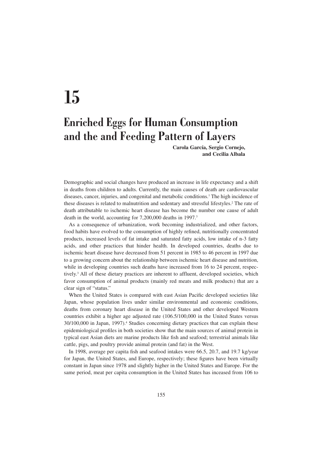# **15**

# **Enriched Eggs for Human Consumption and the and Feeding Pattern of Layers**

**Carola García, Sergio Cornejo, and Cecilia Albala**

Demographic and social changes have produced an increase in life expectancy and a shift in deaths from children to adults. Currently, the main causes of death are cardiovascular diseases, cancer, injuries, and congenital and metabolic conditions.<sup>1</sup> The high incidence of these diseases is related to malnutrition and sedentary and stressful lifestyles.<sup>2</sup> The rate of death attributable to ischemic heart disease has become the number one cause of adult death in the world, accounting for 7,200,000 deaths in 1997.<sup>3</sup>

As a consequence of urbanization, work becoming industrialized, and other factors, food habits have evolved to the consumption of highly refined, nutritionally concentrated products, increased levels of fat intake and saturated fatty acids, low intake of n-3 fatty acids, and other practices that hinder health. In developed countries, deaths due to ischemic heart disease have decreased from 51 percent in 1985 to 46 percent in 1997 due to a growing concern about the relationship between ischemic heart disease and nutrition, while in developing countries such deaths have increased from 16 to 24 percent, respectively.3 All of these dietary practices are inherent to affluent, developed societies, which favor consumption of animal products (mainly red meats and milk products) that are a clear sign of "status."

When the United States is compared with east Asian Pacific developed societies like Japan, whose population lives under similar environmental and economic conditions, deaths from coronary heart disease in the United States and other developed Western countries exhibit a higher age adjusted rate (106.5/100,000 in the United States versus 30/100,000 in Japan, 1997).4 Studies concerning dietary practices that can explain these epidemiological profiles in both societies show that the main sources of animal protein in typical east Asian diets are marine products like fish and seafood; terrestrial animals like cattle, pigs, and poultry provide animal protein (and fat) in the West.

In 1998, average per capita fish and seafood intakes were 66.5, 20.7, and 19.7 kg/year for Japan, the United States, and Europe, respectively; these figures have been virtually constant in Japan since 1978 and slightly higher in the United States and Europe. For the same period, meat per capita consumption in the United States has inceased from 106 to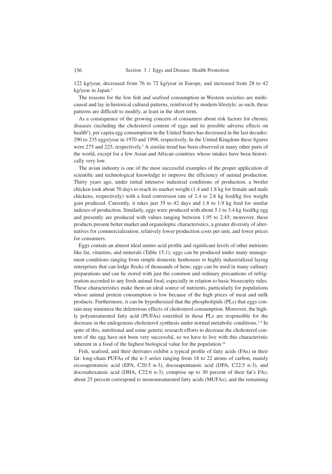122 kg/year, decreased from 76 to 72 kg/year in Europe, and increased from 28 to 42 kg/year in Japan.<sup>5</sup>

The reasons for the low fish and seafood consumption in Western societies are multicausal and lay in historical cultural patterns, reinforced by modern lifestyle; as such, these patterns are difficult to modify, at least in the short term.

As a consequence of the growing concern of consumers about risk factors for chronic diseases (including the cholesterol content of eggs and its possible adverse effects on health<sup>6</sup>), per capita egg consumption in the United States has decreased in the last decades: 290 to 235 eggs/year in 1970 and 1998, respectively. In the United Kingdom these figures were 275 and 225, respectively.<sup>5</sup> A similar trend has been observed in many other parts of the world, except for a few Asian and African countries whose intakes have been historically very low.

The avian industry is one of the most successful examples of the proper application of scientific and technological knowledge to improve the efficiency of animal production. Thirty years ago, under initial intensive industrial conditions of production, a broiler chicken took about 70 days to reach its market weight (1.4 and 1.8 kg for female and male chickens, respectively) with a feed conversion rate of 2.4 to 2.6 kg feed/kg live weight gain produced. Currently, it takes just 35 to 42 days and 1.8 to 1.9 kg feed for similar indexes of production. Similarly, eggs were produced with about 3.1 to 3.4 kg feed/kg egg and presently are produced with values ranging between 1.95 to 2.45; moreover, these products present better market and organoleptic characteristics, a greater diversity of alternatives for commercialization, relatively lower production costs per unit, and lower prices for consumers.

Eggs contain an almost ideal amino acid profile and significant levels of other nutrients like fat, vitamins, and minerals (Table 15.1); eggs can be produced under many management conditions ranging from simple domestic henhouses to highly industrialized laying enterprises that can lodge flocks of thousands of hens; eggs can be used in many culinary preparations and can be stored with just the common and ordinary precautions of refrigeration accorded to any fresh animal food, especially in relation to basic biosecurity rules. These characteristics make them an ideal source of nutrients, particularly for populations whose animal protein consumption is low because of the high prices of meat and milk products. Furthermore, it can be hypothesized that the phospholipids (PLs) that eggs contain may minimize the deleterious effects of cholesterol consumption. Moreover, the highly polyunsaturated fatty acid (PUFAs) esterified in those PLs are responsible for the decrease in the endogenous cholesterol synthesis under normal metabolic conditions.<sup>7-9</sup> In spite of this, nutritional and some genetic research efforts to decrease the cholesterol content of the egg have not been very successful, so we have to live with this characteristic inherent in a food of the highest biological value for the population.<sup>10</sup>

Fish, seafood, and their derivates exhibit a typical profile of fatty acids (FAs) in their fat: long-chain PUFAs of the n-3 series ranging from 18 to 22 atoms of carbon, mainly eicosapentanoic acid (EPA, C20:5 n-3), docosapentanoic acid (DPA, C22:5 n-3), and docosahexanoic acid (DHA, C22:6 n-3), comprise up to 30 percent of their fat's FAs; about 25 percent correspond to monounsaturated fatty acids (MUFAs), and the remaining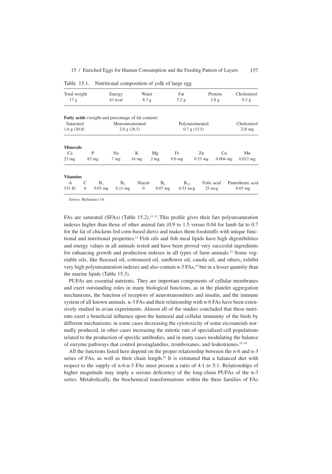15 / Enriched Eggs for Human Consumption and the Feeding Pattern of Layers 157

| Total weight     |          |                 | Energy                                                    | Water            |                 | Fat               | Protein                 | Cholesterol      |
|------------------|----------|-----------------|-----------------------------------------------------------|------------------|-----------------|-------------------|-------------------------|------------------|
| 17 g             |          |                 | 61 kcal                                                   | 8.3 g            |                 | 5.2 g             | 2.8 <sub>g</sub>        | $0.3$ g          |
|                  |          |                 | <b>Fatty acids</b> (weight and percentage of fat content) |                  |                 |                   |                         |                  |
| Saturated        |          |                 | Monounsaturated                                           |                  |                 |                   | Polyunsaturated         | Cholesterol      |
| $1.6$ g $(30.8)$ |          |                 | $2.0$ g $(38.5)$                                          |                  |                 |                   | $0.7$ g $(13.5)$        | $218$ mg         |
| <b>Minerals</b>  |          |                 |                                                           |                  |                 |                   |                         |                  |
| Ca               |          | P               | Na                                                        | K                | Μg              | Fe                | Zn<br>Cu                | Mn               |
| $23 \text{ mg}$  |          | $83 \text{ mg}$ | 7 <sub>mg</sub>                                           | 16 <sub>mg</sub> | 2 <sub>mg</sub> | 0.6 <sub>mg</sub> | $0.53$ mg<br>$0.004$ mg | $0.012$ mg       |
| <b>Vitamins</b>  |          |                 |                                                           |                  |                 |                   |                         |                  |
| A                | C        | $B_1$           | B <sub>2</sub>                                            | Niacin           | $B_6$           | $B_{12}$          | Folic acid              | Pantothenic acid |
| 331 IU           | $\Omega$ | $0.03$ mg       | $0.11$ mg                                                 | $\mathbf{0}$     | $0.07$ mg       | $0.53$ mcg        | $25 \text{ mcg}$        | $0.65$ mg        |

Table 15.1. Nutritional composition of yolk of large egg

*Source.* Reference 14.

FAs are saturated (SFAs) (Table 15.2).<sup>11-12</sup> This profile gives their fats polyunsaturation indexes higher than those of other animal fats (0.9 to 1.5 versus 0.04 for lamb fat to 0.7 for the fat of chickens fed corn-based diets) and makes them foodstuffs with unique functional and nutritional properties.13 Fish oils and fish meal lipids have high digestibilities and energy values in all animals tested and have been proved very succesful ingredients for enhancing growth and production indexes in all types of farm animals.<sup>12</sup> Some vegetable oils, like flaxseed oil, cottonseed oil, sunflower oil, canola oil, and others, exhibit very high polyunsaturation indexes and also contain  $n-3$  FAs,  $14$  but in a lesser quantity than the marine lipids (Table 15.3).

PUFAs are essential nutrients. They are important components of cellular membranes and exert outstanding roles in many biological functions, as in the platelet aggregation mechanisms, the function of receptors of neurotransmitters and insulin, and the immune system of all known animals. n-3 FAs and their relationship with n-6 FAs have been extensively studied in avian experiments. Almost all of the studies concluded that these nutrients exert a beneficial influence upon the humoral and cellular immunity of the birds by different mechanisms: in some cases decreasing the cytotoxicity of some eicosanoids normally produced, in other cases increasing the mitotic rate of specialized cell populations related to the production of specific antibodies, and in many cases modulating the balance of enzyme pathways that control prostaglandins, tromboxanes, and leukotrienes.15–18

All the functions listed here depend on the proper relationship between the n-6 and n-3 series of FAs, as well as their chain length.<sup>19</sup> It is estimated that a balanced diet with respect to the supply of n-6:n-3 FAs must present a ratio of 4:1 to 5:1. Relationships of higher magnitude may imply a serious deficiency of the long-chain PUFAs of the n-3 series. Metabolically, the biochemical transformations within the three families of FAs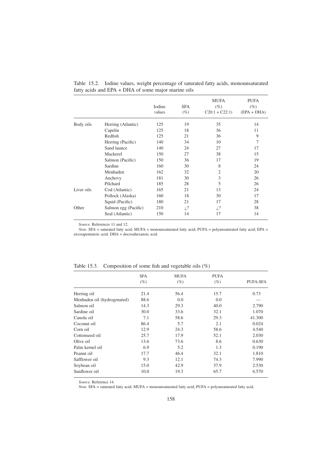|            |                      | Iodine<br>values | <b>SFA</b><br>(%) | <b>MUFA</b><br>$(\%)$<br>$C20:1 + C22:1$ | <b>PUFA</b><br>$(\%)$<br>$(EPA + DHA)$ |
|------------|----------------------|------------------|-------------------|------------------------------------------|----------------------------------------|
| Body oils  | Herring (Atlantic)   | 125              | 19                | 35                                       | 14                                     |
|            | Capelin              | 125              | 18                | 36                                       | 11                                     |
|            | Redfish              | 125              | 21                | 36                                       | 9                                      |
|            | Herring (Pacific)    | 140              | 34                | 10                                       | 7                                      |
|            | Sand launce          | 140              | 24                | 27                                       | 17                                     |
|            | Mackerel             | 150              | 27                | 38                                       | 15                                     |
|            | Salmon (Pacific)     | 150              | 36                | 17                                       | 19                                     |
|            | Sardine              | 160              | 30                | 8                                        | 24                                     |
|            | Menhaden             | 162              | 32                | $\overline{2}$                           | 20                                     |
|            | Anchovy              | 181              | 30                | 3                                        | 26                                     |
|            | Pilchard             | 185              | 28                | 5                                        | 26                                     |
| Liver oils | Cod (Atlantic)       | 165              | 21                | 13                                       | 24                                     |
|            | Pollock (Alaska)     | 160              | 18                | 30                                       | 17                                     |
|            | Squid (Pacific)      | 180              | 21                | 17                                       | 28                                     |
| Other      | Salmon egg (Pacific) | 210              | $i^2$             | $i$ ?                                    | 38                                     |
|            | Seal (Atlantic)      | 150              | 14                | 17                                       | 14                                     |

Table 15.2. Iodine values, weight percentage of saturated fatty acids, monounsaturated fatty acids and EPA + DHA of some major marine oils

*Source.* References 11 and 12.

*Note.* SFA = saturated fatty acid; MUFA = monounsaturated fatty acid; PUFA = polyunsaturated fatty acid; EPA = eicosapentanoic acid; DHA = docosahexanoic acid.

|                             | <b>SFA</b><br>$(\%)$ | <b>MUFA</b><br>$(\%)$ | <b>PUFA</b><br>$(\%)$ | PUFA:SFA |
|-----------------------------|----------------------|-----------------------|-----------------------|----------|
| Herring oil                 | 21.4                 | 56.4                  | 15.7                  | 0.73     |
| Menhaden oil (hydrogenated) | 88.6                 | 0.0                   | 0.0                   |          |
| Salmon oil                  | 14.3                 | 29.3                  | 40.0                  | 2.790    |
| Sardine oil                 | 30.0                 | 33.6                  | 32.1                  | 1.070    |
| Canola oil                  | 7.1                  | 58.6                  | 29.3                  | 41.300   |
| Coconut oil                 | 86.4                 | 5.7                   | 2.1                   | 0.024    |
| Corn oil                    | 12.9                 | 24.3                  | 58.6                  | 4.540    |
| Cottonseed oil              | 25.7                 | 17.9                  | 52.1                  | 2.030    |
| Olive oil                   | 13.6                 | 73.6                  | 8.6                   | 0.630    |
| Palm kernel oil             | 6.9                  | 5.2                   | 1.3                   | 0.190    |
| Peanut oil                  | 17.7                 | 46.4                  | 32.1                  | 1.810    |
| Safflower oil               | 9.3                  | 12.1                  | 74.3                  | 7.990    |
| Soybean oil                 | 15.0                 | 42.9                  | 37.9                  | 2.530    |
| Sunflower oil               | 10.0                 | 19.3                  | 65.7                  | 6.570    |
|                             |                      |                       |                       |          |

Table 15.3. Composition of some fish and vegetable oils (%)

*Source.* Reference 14.

*Note.* SFA = saturated fatty acid; MUFA = monounsaturated fatty acid; PUFA = polyunsaturated fatty acid.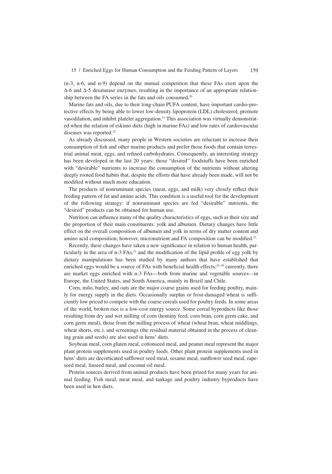(n-3, n-6, and n-9) depend on the mutual competition that these FAs exert upon the Δ-6 and Δ-5 desaturase enzymes, resulting in the importance of an appropriate relationship between the FA series in the fats and oils consumed.<sup>20</sup>

Marine fats and oils, due to their long-chain PUFA content, have important cardio-protective effects by being able to lower low-density lipoprotein (LDL) cholesterol, promote vasodilation, and inhibit platelet aggregation.21 This association was virtually demonstrated when the relation of eskimo diets (high in marine FAs) and low rates of cardiovascular diseases was reported.<sup>22</sup>

As already discussed, many people in Western societies are reluctant to increase their consumption of fish and other marine products and prefer those foods that contain terrestrial animal meat, eggs, and refined carbohydrates. Consequently, an interesting strategy has been developed in the last 20 years: those "desired" foodstuffs have been enriched with "desirable" nutrients to increase the consumption of the nutrients without altering deeply rooted food habits that, despite the efforts that have already been made, will not be modified without much more education.

The products of nonruminant species (meat, eggs, and milk) very closely reflect their feeding pattern of fat and amino acids. This condition is a useful tool for the development of the following strategy: if nonruminant species are fed "desirable" nutrients, the "desired" products can be obtained for human use.

Nutrition can influence many of the quality characteristics of eggs, such as their size and the proportion of their main constituents: yolk and albumen. Dietary changes have little effect on the overall composition of albumen and yolk in terms of dry matter content and amino acid composition; however, micronutrient and FA composition can be modified.<sup>23</sup>

Recently, these changes have taken a new significance in relation to human health, particularly in the area of n-3  $FAs<sup>23</sup>$  and the modification of the lipid profile of egg yolk by dietary manipulations has been studied by many authors that have established that enriched eggs would be a source of FAs with beneficial health effects;<sup>24-30</sup> currently, there are market eggs enriched with n-3 FAs—both from marine and vegetable sources—in Europe, the United States, and South America, mainly in Brazil and Chile.

Corn, milo, barley, and oats are the major coarse grains used for feeding poultry, mainly for energy supply in the diets. Occasionally surplus or frost-damaged wheat is sufficiently low priced to compete with the coarse cereals used for poultry feeds. In some areas of the world, broken rice is a low-cost energy source. Some cereal byproducts like those resulting from dry and wet milling of corn (hominy feed, corn bran, corn germ cake, and corn germ meal), those from the milling process of wheat (wheat bran, wheat middlings, wheat shorts, etc.), and screenings (the residual material obtained in the process of cleaning grain and seeds) are also used in hens' diets.

Soybean meal, corn gluten meal, cottonseed meal, and peanut meal represent the major plant protein supplements used in poultry feeds. Other plant protein supplements used in hens' diets are decorticated safflower seed meal, sesame meal, sunflower seed meal, rapeseed meal, linseed meal, and coconut oil meal.

Protein sources derived from animal products have been prized for many years for animal feeding. Fish meal, meat meal, and tankage and poultry industry byproducts have been used in hen diets.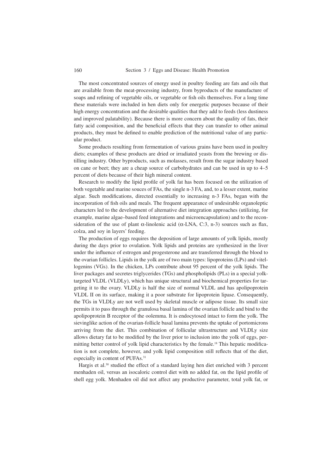The most concentrated sources of energy used in poultry feeding are fats and oils that are available from the meat-processing industry, from byproducts of the manufacture of soaps and refining of vegetable oils, or vegetable or fish oils themselves. For a long time these materials were included in hen diets only for energetic purposes because of their high energy concentration and the desirable qualities that they add to feeds (less dustiness and improved palatability). Because there is more concern about the quality of fats, their fatty acid composition, and the beneficial effects that they can transfer to other animal products, they must be defined to enable prediction of the nutritional value of any particular product.

Some products resulting from fermentation of various grains have been used in poultry diets; examples of these products are dried or irradiated yeasts from the brewing or distilling industry. Other byproducts, such as molasses, result from the sugar industry based on cane or beet; they are a cheap source of carbohydrates and can be used in up to 4–5 percent of diets because of their high mineral content.

Research to modify the lipid profile of yolk fat has been focused on the utilization of both vegetable and marine souces of FAs, the single n-3 FA, and, to a lesser extent, marine algae. Such modifications, directed essentially to increasing n-3 FAs, began with the incorporation of fish oils and meals. The frequent appearance of undesirable organoleptic characters led to the development of alternative diet integration approaches (utilizing, for example, marine algae–based feed integrations and microencapsulation) and to the reconsideration of the use of plant  $\alpha$ -linolenic acid ( $\alpha$ -LNA, C:3, n-3) sources such as flax, colza, and soy in layers' feeding.

The production of eggs requires the deposition of large amounts of yolk lipids, mostly during the days prior to ovulation. Yolk lipids and proteins are synthesized in the liver under the influence of estrogen and progesterone and are transferred through the blood to the ovarian follicles. Lipids in the yolk are of two main types: lipoproteins (LPs) and vitellogenins (VGs). In the chicken, LPs contribute about 95 percent of the yolk lipids. The liver packages and secretes triglycerides (TGs) and phospholipids (PLs) in a special yolktargeted VLDL (VLDLy), which has unique structural and biochemical properties for targeting it to the ovary. VLDLy is half the size of normal VLDL and has apolipoprotein VLDL II on its surface, making it a poor substrate for lipoprotein lipase. Consequently, the TGs in VLDLy are not well used by skeletal muscle or adipose tissue. Its small size permits it to pass through the granulosa basal lamina of the ovarian follicle and bind to the apolipoprotein B receptor of the oolemma. It is endocytosed intact to form the yolk. The sievinglike action of the ovarian-follicle basal lamina prevents the uptake of portomicrons arriving from the diet. This combination of follicular ultrastructure and VLDLy size allows dietary fat to be modified by the liver prior to inclusion into the yolk of eggs, permitting better control of yolk lipid characteristics by the female.18 This hepatic modification is not complete, however, and yolk lipid composition still reflects that of the diet, especially in content of PUFAs.<sup>31</sup>

Hargis et al.<sup>30</sup> studied the effect of a standard laying hen diet enriched with 3 percent menhaden oil, versus an isocaloric control diet with no added fat, on the lipid profile of shell egg yolk. Menhaden oil did not affect any productive parameter, total yolk fat, or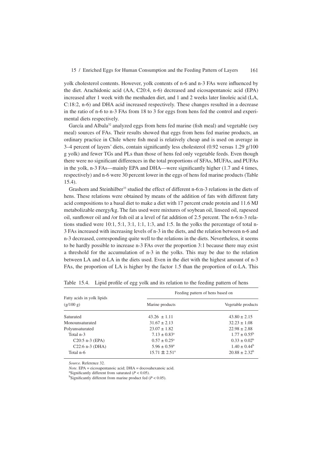yolk cholesterol contents. However, yolk contents of n-6 and n-3 FAs were influenced by the diet. Arachidonic acid (AA, C20:4, n-6) decreased and eicosapentanoic acid (EPA) increased after 1 week with the menhaden diet, and 1 and 2 weeks later linoleic acid (LA, C:18:2, n-6) and DHA acid increased respectively. These changes resulted in a decrease in the ratio of n-6 to n-3 FAs from 18 to 3 for eggs from hens fed the control and experimental diets respectively.

García and Albala<sup>32</sup> analyzed eggs from hens fed marine (fish meal) and vegetable (soy meal) sources of FAs. Their results showed that eggs from hens fed marine products, an ordinary practice in Chile where fish meal is relatively cheap and is used on average in 3–4 percent of layers' diets, contain significantly less cholesterol (0.92 versus 1.29 g/100 g yolk) and fewer TGs and PLs than those of hens fed only vegetable feeds. Even though there were no significant differences in the total proportions of SFAs, MUFAs, and PUFAs in the yolk, n-3 FAs—mainly EPA and DHA—were significantly higher (1.7 and 4 times, respectively) and n-6 were 30 percent lower in the eggs of hens fed marine products (Table 15.4).

Grashorn and Steinhilber<sup>33</sup> studied the effect of different n-6:n-3 relations in the diets of hens. These relations were obtained by means of the addition of fats with different fatty acid compositions to a basal diet to make a diet with 17 percent crude protein and 11.6 MJ metabolizable energy/kg. The fats used were mixtures of soybean oil, linseed oil, rapeseed oil, sunflower oil and /or fish oil at a level of fat addition of 2.5 percent. The n-6:n-3 relations studied were 10:1, 5:1, 3:1, 1:1, 1:3, and 1:5. In the yolks the percentage of total n-3 FAs increased with increasing levels of n-3 in the diets, and the relation between n-6 and n-3 decreased, corresponding quite well to the relations in the diets. Nevertheless, it seems to be hardly possible to increase n-3 FAs over the proportion 3:1 because there may exist a threshold for the accumulation of n-3 in the yolks. This may be due to the relation between LA and  $\alpha$ -LA in the diets used. Even in the diet with the highest amount of n-3 FAs, the proportion of LA is higher by the factor 1.5 than the proportion of  $\alpha$ -LA. This

| Fatty acids in yolk lipids | Feeding pattern of hens based on |                         |  |  |
|----------------------------|----------------------------------|-------------------------|--|--|
| (g/100 g)                  | Marine products                  | Vegetable products      |  |  |
| Saturated                  | $43.26 \pm 1.11$                 | $43.80 \pm 2.15$        |  |  |
| Monounsaturated            | $31.67 \pm 2.13$                 | $32.23 \pm 1.08$        |  |  |
| Polyunsaturated            | $23.07 \pm 1.82$                 | $22.98 \pm 2.88$        |  |  |
| Total n-3                  | $7.13 \pm 0.83^{\circ}$          | $1.77 \pm 0.55^{\rm b}$ |  |  |
| $C20:5 n-3 (EPA)$          | $0.57 \pm 0.25^{\circ}$          | $0.33 \pm 0.02^b$       |  |  |
| $C22:6 n-3 (DHA)$          | $5.96 \pm 0.59$ <sup>a</sup>     | $1.40 \pm 0.44^b$       |  |  |
| Total n-6                  | $15.71 \pm 2.51^{\circ}$         | $20.88 \pm 2.32^b$      |  |  |

Table 15.4. Lipid profile of egg yolk and its relation to the feeding pattern of hens

*Source.* Reference 32.

*Note.* EPA = eicosapentanoic acid; DHA = docosahexanoic acid.

<sup>a</sup>Significantly different from saturated ( $P < 0.05$ ).

<sup>b</sup>Significantly different from marine product fed  $(P < 0.05)$ .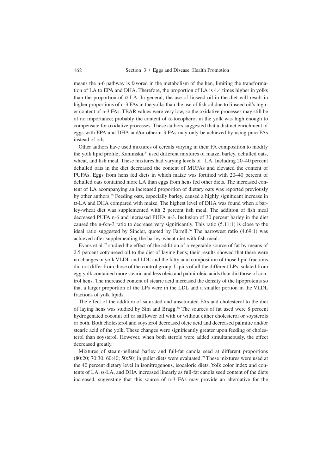means the n-6 pathway is favored in the metabolism of the hen, limiting the transformation of LA to EPA and DHA. Therefore, the proportion of LA is 4.4 times higher in yolks than the proportion of α-LA. In general, the use of linseed oil in the diet will result in higher proportions of n-3 FAs in the yolks than the use of fish oil due to linseed oil's higher content of n-3 FAs. TBAR values were very low, so the oxidative processes may still be of no importance; probably the content of α-tocopherol in the yolk was high enough to compensate for oxidative processes. These authors suggested that a distinct enrichment of eggs with EPA and DHA and/or other n-3 FAs may only be achieved by using pure FAs instead of oils.

Other authors have used mixtures of cereals varying in their FA composition to modify the yolk lipid profile; Kaminska,<sup>34</sup> used different mixtures of maize, barley, dehulled oats, wheat, and fish meal. These mixtures had varying levels of LA. Including 20–40 percent dehulled oats in the diet decreased the content of MUFAs and elevated the content of PUFAs. Eggs from hens fed diets in which maize was fortified with 20–40 percent of dehulled oats contained more LA than eggs from hens fed other diets. The increased content of LA acompanying an increased proportion of dietary oats was reported previously by other authors.35 Feeding oats, especially barley, caused a highly significant increase in α-LA and DHA compared with maize. The highest level of DHA was found when a barley-wheat diet was supplemented with 2 percent fish meal. The addition of fish meal decreased PUFA n-6 and increased PUFA n-3. Inclusion of 30 percent barley in the diet caused the n-6:n-3 ratio to decrease very significantly. This ratio (5.11:1) is close to the ideal ratio suggested by Sincler, quoted by Farrell.<sup>36</sup> The narrowest ratio  $(4.69:1)$  was achieved after supplementing the barley-wheat diet with fish meal.

Evans et al.<sup>37</sup> studied the effect of the addition of a vegetable source of fat by means of 2.5 percent cottonseed oil to the diet of laying hens; their results showed that there were no changes in yolk VLDL and LDL and the fatty acid composition of those lipid fractions did not differ from those of the control group. Lipids of all the different LPs isolated from egg yolk contained more stearic and less oleic and palmitoleic acids than did those of control hens. The increased content of stearic acid increased the density of the lipoproteins so that a larger proportion of the LPs were in the LDL and a smaller portion in the VLDL fractions of yolk lipids.

The effect of the addition of saturated and unsaturated FAs and cholesterol to the diet of laying hens was studied by Sim and Bragg.<sup>38</sup> The sources of fat used were 8 percent hydrogenated coconut oil or safflower oil with or without either cholesterol or soysterols or both. Both cholesterol and soysterol decreased oleic acid and decreased palmitic and/or stearic acid of the yolk. These changes were significantly greater upon feeding of cholesterol than soysterol. However, when both sterols were added simultaneously, the effect decreased greatly.

Mixtures of steam-pelleted barley and full-fat canola seed at different proportions (80:20; 70:30; 60:40; 50:50) in pullet diets were evaluated.39 These mixtures were used at the 40 percent dietary level in isonitrogenous, isocaloric diets. Yolk color index and contents of LA, α-LA, and DHA increased linearly as full-fat canola seed content of the diets increased, suggesting that this source of n-3 FAs may provide an alternative for the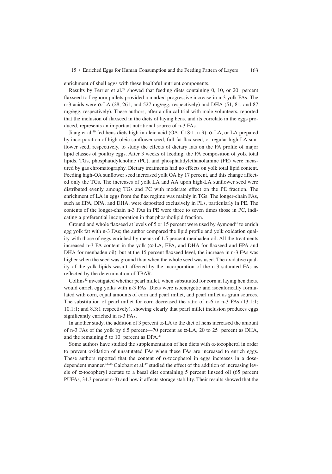enrichment of shell eggs with these healthful nutrient components.

Results by Ferrier et al.<sup>29</sup> showed that feeding diets containing 0, 10, or 20 percent flaxseed to Leghorn pullets provided a marked progressive increase in n-3 yolk FAs. The n-3 acids were α-LA (28, 261, and 527 mg/egg, respectively) and DHA (51, 81, and 87 mg/egg, respectively). These authors, after a clinical trial with male volunteers, reported that the inclusion of flaxseed in the diets of laying hens, and its correlate in the eggs produced, represents an important nutritional source of n-3 FAs.

Jiang et al.<sup>40</sup> fed hens diets high in oleic acid (OA, C18:1, n-9),  $\alpha$ -LA, or LA prepared by incorporation of high-oleic sunflower seed, full-fat flax seed, or regular high-LA sunflower seed, respectively, to study the effects of dietary fats on the FA profile of major lipid classes of poultry eggs. After 3 weeks of feeding, the FA composition of yolk total lipids, TGs, phosphatidylcholine (PC), and phosphatidylethanolamine (PE) were measured by gas chromatography. Dietary treatments had no effects on yolk total lipid content. Feeding high-OA sunflower seed increased yolk OA by 17 percent, and this change affected only the TGs. The increases of yolk LA and AA upon high-LA sunflower seed were distributed evenly among TGs and PC with moderate effect on the PE fraction. The enrichment of LA in eggs from the flax regime was mainly in TGs. The longer-chain FAs, such as EPA, DPA, and DHA, were deposited exclusively in PLs, particularly in PE. The contents of the longer-chain n-3 FAs in PE were three to seven times those in PC, indicating a preferential incorporation in that phospholipid fraction.

Ground and whole flaxseed at levels of 5 or 15 percent were used by Aymond<sup>41</sup> to enrich egg yolk fat with n-3 FAs; the author compared the lipid profile and yolk oxidation quality with those of eggs enriched by means of 1.5 percent menhaden oil. All the treatments increased n-3 FA content in the yolk (α-LA, EPA, and DHA for flaxseed and EPA and DHA for menhaden oil), but at the 15 percent flaxseed level, the increase in n-3 FAs was higher when the seed was ground than when the whole seed was used. The oxidative quality of the yolk lipids wasn't affected by the incorporation of the n-3 saturated FAs as reflected by the determination of TBAR.

Collins<sup>42</sup> investigated whether pearl millet, when substituted for corn in laying hen diets, would enrich egg yolks with n-3 FAs. Diets were isoenergetic and isocalorically formulated with corn, equal amounts of corn and pearl millet, and pearl millet as grain sources. The substitution of pearl millet for corn decreased the ratio of n-6 to n-3 FAs (13.1:1; 10.1:1; and 8.3:1 respectively), showing clearly that pearl millet inclusion produces eggs significantly enriched in n-3 FAs.

In another study, the addition of 3 percent  $\alpha$ -LA to the diet of hens increased the amount of n-3 FAs of the yolk by 6.5 percent—70 percent as  $\alpha$ -LA, 20 to 25 percent as DHA, and the remaining 5 to 10 percent as DPA.<sup>43</sup>

Some authors have studied the supplementation of hen diets with α-tocopherol in order to prevent oxidation of unsatutated FAs when these FAs are increased to enrich eggs. These authors reported that the content of  $\alpha$ -tocopherol in eggs increases in a dosedependent manner. $44-46$  Galobart et al. $47$  studied the effect of the addition of increasing levels of α-tocopheryl acetate to a basal diet containing 5 percent linseed oil (65 percent PUFAs, 34.3 percent n-3) and how it affects storage stability. Their results showed that the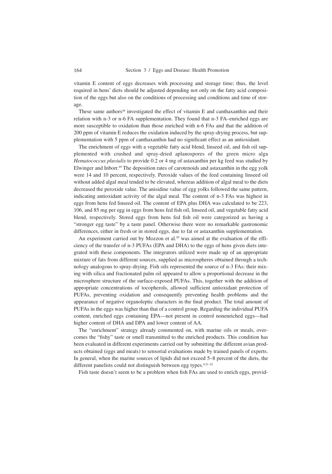vitamin E content of eggs decreases with processing and storage time; thus, the level required in hens' diets should be adjusted depending not only on the fatty acid composition of the eggs but also on the conditions of processing and conditions and time of storage.

These same authors<sup>48</sup> investigated the effect of vitamin E and canthaxanthin and their relation with n-3 or n-6 FA supplementation. They found that n-3 FA–enriched eggs are more susceptible to oxidation than those enriched with n-6 FAs and that the addition of 200 ppm of vitamin E reduces the oxidation induced by the spray-drying process, but supplementation with 5 ppm of canthaxanthin had no significant effect as an antioxidant.

The enrichment of eggs with a vegetable fatty acid blend, linseed oil, and fish oil supplemented with crushed and spray-dried aplanospores of the green micro alga *Hematococcus pluvialis* to provide 0.2 or 4 mg of astaxanthin per kg feed was studied by Elwinger and Inborr.49 The deposition rates of carotenoids and astaxanthin in the egg yolk were 14 and 10 percent, respectively. Peroxide values of the feed containing linseed oil without added algal meal tended to be elevated, whereas addition of algal meal to the diets decreased the peroxide value. The anisidine value of egg yolks followed the same pattern, indicating antioxidant activity of the algal meal. The content of n-3 FAs was highest in eggs from hens fed linseed oil. The content of EPA plus DHA was calculated to be 223, 106, and 85 mg per egg in eggs from hens fed fish oil, linseed oil, and vegetable fatty acid blend, respectively. Stored eggs from hens fed fish oil were categorized as having a "stronger egg taste" by a taste panel. Otherwise there were no remarkable gastronomic differences, either in fresh or in stored eggs, due to fat or astaxanthin supplementation.

An experiment carried out by Mozzon et al.<sup>50</sup> was aimed at the evaluation of the efficiency of the transfer of n-3 PUFAs (EPA and DHA) to the eggs of hens given diets integrated with these components. The integrators utilized were made up of an appropriate mixture of fats from different sources, supplied as microspheres obtained through a technology analogous to spray-drying. Fish oils represented the source of n-3 FAs: their mixing with silica and fractionated palm oil appeared to allow a proportional decrease in the microsphere structure of the surface-exposed PUFAs. This, together with the addition of appropriate concentrations of tocopherols, allowed sufficient antioxidant protection of PUFAs, preventing oxidation and consequently preventing health problems and the appearance of negative organoleptic characters in the final product. The total amount of PUFAs in the eggs was higher than that of a control group. Regarding the individual PUFA content, enriched eggs containing EPA—not present in control nonenriched eggs—had higher content of DHA and DPA and lower content of AA.

The "enrichment" strategy already commented on, with marine oils or meals, overcomes the "fishy" taste or smell transmitted to the enriched products. This condition has been evaluated in different experiments carried out by submitting the different avian products obtained (eggs and meats) to sensorial evaluations made by trained panels of experts. In general, when the marine sources of lipids did not exceed 5–8 percent of the diets, the different panelists could not distinguish between egg types.<sup>9,51–52</sup>

Fish taste doesn't seem to be a problem when fish FAs are used to enrich eggs, provid-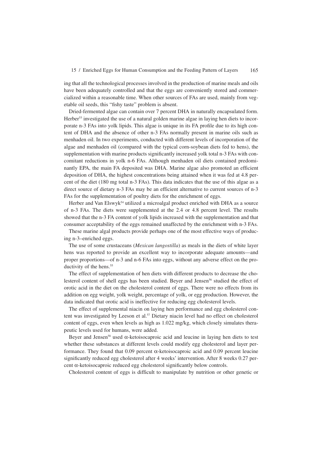ing that all the technological processes involved in the production of marine meals and oils have been adequately controlled and that the eggs are conveniently stored and commercialized within a reasonable time. When other sources of FAs are used, mainly from vegetable oil seeds, this "fishy taste" problem is absent.

Dried-fermented algae can contain over 7 percent DHA in naturally encapsulated form. Herber<sup>53</sup> investigated the use of a natural golden marine algae in laying hen diets to incorporate n-3 FAs into yolk lipids. This algae is unique in its FA profile due to its high content of DHA and the absence of other n-3 FAs normally present in marine oils such as menhaden oil. In two experiments, conducted with different levels of incorporation of the algae and menhaden oil (compared with the typical corn-soybean diets fed to hens), the supplementation with marine products significantly increased yolk total n-3 FAs with concomitant reductions in yolk n-6 FAs. Although menhaden oil diets contained predominantly EPA, the main FA deposited was DHA. Marine algae also promoted an efficient deposition of DHA, the highest concentrations being attained when it was fed at 4.8 percent of the diet (180 mg total n-3 FAs). This data indicates that the use of this algae as a direct source of dietary n-3 FAs may be an efficient alternative to current sources of n-3 FAs for the supplementation of poultry diets for the enrichment of eggs.

Herber and Van Elswyk<sup>54</sup> utilized a microalgal product enriched with DHA as a source of n-3 FAs. The diets were supplemented at the 2.4 or 4.8 percent level. The results showed that the n-3 FA content of yolk lipids increased with the supplementation and that consumer acceptability of the eggs remained unaffected by the enrichment with n-3 FAs.

These marine algal products provide perhaps one of the most effective ways of producing n-3–enriched eggs.

The use of some crustaceans (*Mexican langostilla*) as meals in the diets of white layer hens was reported to provide an excellent way to incorporate adequate amounts—and proper proportions—of n-3 and n-6 FAs into eggs, without any adverse effect on the productivity of the hens.<sup>55</sup>

The effect of supplementation of hen diets with different products to decrease the cholesterol content of shell eggs has been studied. Beyer and Jensen<sup>56</sup> studied the effect of orotic acid in the diet on the cholesterol content of eggs. There were no effects from its addition on egg weight, yolk weight, percentage of yolk, or egg production. However, the data indicated that orotic acid is ineffective for reducing egg cholesterol levels.

The effect of supplemental niacin on laying hen performance and egg cholesterol content was investigated by Leeson et al.<sup>57</sup> Dietary niacin level had no effect on cholesterol content of eggs, even when levels as high as 1.022 mg/kg, which closely simulates therapeutic levels used for humans, were added.

Beyer and Jensen<sup>58</sup> used  $\alpha$ -ketoisocaproic acid and leucine in laying hen diets to test whether these substances at different levels could modify egg cholesterol and layer performance. They found that 0.09 percent α-ketoisocaproic acid and 0.09 percent leucine significantly reduced egg cholesterol after 4 weeks' intervention. After 8 weeks 0.27 percent α-ketoisocaproic reduced egg cholesterol significantly below controls.

Cholesterol content of eggs is difficult to manipulate by nutrition or other genetic or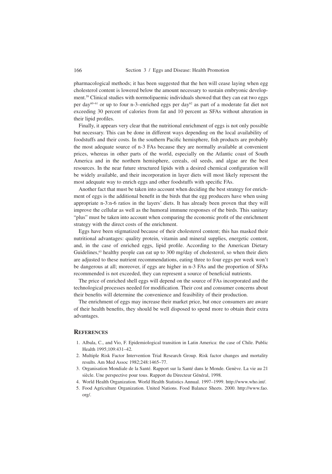pharmacological methods; it has been suggested that the hen will cease laying when egg cholesterol content is lowered below the amount necessary to sustain embryonic development.59 Clinical studies with normolipaemic individuals showed that they can eat two eggs per day<sup>60–61</sup> or up to four n-3–enriched eggs per day<sup>62</sup> as part of a moderate fat diet not exceeding 30 percent of calories from fat and 10 percent as SFAs without alteration in their lipid profiles.

Finally, it appears very clear that the nutritional enrichment of eggs is not only possible but necessary. This can be done in different ways depending on the local availability of foodstuffs and their costs. In the southern Pacific hemisphere, fish products are probably the most adequate source of n-3 FAs because they are normally available at convenient prices, whereas in other parts of the world, especially on the Atlantic coast of South America and in the northern hemisphere, cereals, oil seeds, and algae are the best resources. In the near future structured lipids with a desired chemical configuration will be widely available, and their incorporation in layer diets will most likely represent the most adequate way to enrich eggs and other foodstuffs with specific FAs.

Another fact that must be taken into account when deciding the best strategy for enrichment of eggs is the additional benefit in the birds that the egg producers have when using appropriate n-3:n-6 ratios in the layers' diets. It has already been proven that they will improve the cellular as well as the humoral immune responses of the birds. This sanitary "plus" must be taken into account when comparing the economic profit of the enrichment strategy with the direct costs of the enrichment.

Eggs have been stigmatized because of their cholesterol content; this has masked their nutritional advantages: quality protein, vitamin and mineral supplies, energetic content, and, in the case of enriched eggs, lipid profile. According to the American Dietary Guidelines, $63$  healthy people can eat up to 300 mg/day of cholesterol, so when their diets are adjusted to these nutrient recommendations, eating three to four eggs per week won't be dangerous at all; moreover, if eggs are higher in n-3 FAs and the proportion of SFAs recommended is not exceeded, they can represent a source of beneficial nutrients.

The price of enriched shell eggs will depend on the source of FAs incorporated and the technological processes needed for modification. Their cost and consumer concerns about their benefits will determine the convenience and feasibility of their production.

The enrichment of eggs may increase their market price, but once consumers are aware of their health benefits, they should be well disposed to spend more to obtain their extra advantages.

#### **REFERENCES**

- 1. Albala, C., and Vio, F. Epidemiological transition in Latin America: the case of Chile. Public Health 1995;109:431–42.
- 2. Multiple Risk Factor Intervention Trial Research Group. Risk factor changes and mortality results. Am Med Assoc 1982;248:1465–77.
- 3. Organisation Mondiale de la Santé. Rapport sur la Santé dans le Monde. Genève. La vie au 21 siècle. Une perspective pour tous. Rapport du Directeur Général, 1998.
- 4. World Health Organization. World Health Statistics Annual. 1997–1999. http://www.who.int/.
- 5. Food Agriculture Organization. United Nations. Food Balance Sheets. 2000. http://www.fao. org/.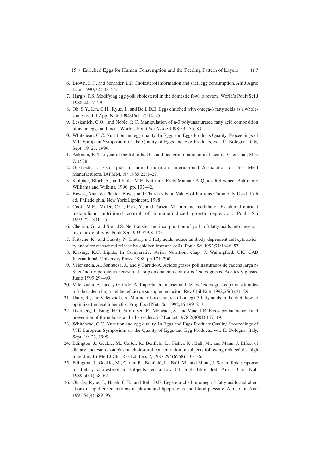- 6. Brown, D.J., and Schrader, L.F. Cholesterol information and shell egg consumption. Am J Agric Econ 1990;72:548–55.
- 7. Hargis, P.S. Modifying egg yolk cholesterol in the domestic fowl: a review. World's Poult Sci J 1988;44:17–29.
- 8. Oh, S.Y., Lin, C.H., Ryue, J., and Bell, D.E. Eggs enriched with omega-3 fatty acids as a wholesome food. J Appl Nutr 1994;46(1–2):14–25.
- 9. Leskanich, C.O., and Noble, R.C. Manipulation of n-3 polyunsaturated fatty acid composition of avian eggs and meat. World's Poult Sci Assoc 1998;53:155–83.
- 10. Whitehead, C.C. Nutrition and egg quality. In Eggs and Eggs Products Quality. Proceedings of VIII European Symposium on the Quality of Eggs and Egg Products, vol. II. Bologna, Italy, Sept. 19–23, 1999.
- 11. Ackman, R. The year of the fish oils. Oils and fats group international lecture. Chem Ind, Mar. 7, 1988.
- 12. Opstvedt, J. Fish lipids in animal nutrition. International Association of Fish Meal Manufacturers. IAFMM, N<sup>er</sup> 1985;22:1-27.
- 13. Stolpher, Bloch A., and Shils, M.E. Nutrition Facts Manual: A Quick Reference. Baltimore: Williams and Wilkins, 1996, pp. 137–42.
- 14. Bowes, Anna de Planter. Bowes and Church's Food Values of Portions Commonly Used. 17th ed. Philadelphia, New York:Lippincott, 1998.
- 15. Cook, M.E., Miller, C.C., Park, Y., and Pariza, M. Immune modulation by altered nutrient metabolism: nutritional control of immune-induced growth depression. Poult Sci 1993;72:1301—5.
- 16. Cherian, G., and Sim, J.S. Net transfer and incorporation of yolk n-3 fatty acids into developing chick embryos. Poult Sci 1993;72:98–105.
- 17. Fritsche, K., and Cassity, N. Dietary n-3 fatty acids reduce antibody-dependent cell cytotoxicity and alter eicosanoid release by chicken immune cells. Poult Sci 1992;71:1646–57.
- 18. Klasing, K.C. Lipids. In Comparative Avian Nutrition, chap. 7. Wallingford, UK: CAB International, University Press, 1998, pp 171–200.
- 19. Valenzuela, A., Sanhuesa, J., and y Garrido A. Acidos grasos poliinsaturados de cadena larga n-3: cuándo y porqué es necesaria la suplementación con estos ácidos grasos. Aceites y grasas. Junio 1999:294–99.
- 20. Valenzuela, A., and y Garrido, A. Importancia nutricional de los ácidos grasos poliinsaturados n-3 de cadena larga : el beneficio de su suplementación. Rev Chil Nutr 1998;25(3):21–29.
- 21. Uauy, R., and Valenzuela, A. Marine oils as a source of omega-3 fatty acids in the diet: how to optimize the health benefits. Prog Food Nutr Sci 1992;16:199–243.
- 22. Dyerberg, J., Bang, H.O., Stoffersen, E., Moncada, S., and Vane, J.R. Eicosapentanoic acid and prevention of thrombosis and atherosclerosis? Lancet 1978;2(8081):117–19.
- 23. Whitehead, C.C. Nutrition and egg quality. In Eggs and Eggs Products Quality, Proceedings of VIII European Symposium on the Quality of Eggs and Egg Products, vol. II. Bologna, Italy, Sept. 19–23, 1999.
- 24. Edington, J., Geekie, M., Carter, R., Benfield, L., Fisher, K., Ball, M., and Mann, J. Effect of dietary cholesterol on plasma cholesterol concentration in subjects following reduced fat, high fibre diet. Br Med J Clin Res Ed, Feb. 7, 1987;294(6568):333–36.
- 25. Edington, J., Geekie, M., Carter, R., Benfield, L., Ball, M., and Mann, J. Serum lipid response to dietary cholesterol in subjects fed a low fat, high fibre diet. Am J Clin Nutr 1989;50(1):58–62.
- 26. Oh, Sy, Ryue, J., Hsieh, C.H., and Bell, D.E. Eggs enriched in omega-3 fatty acids and alterations in lipid concentrations in plasma and lipoproteins and blood pressure. Am J Clin Nutr 1991;54(4):689–95.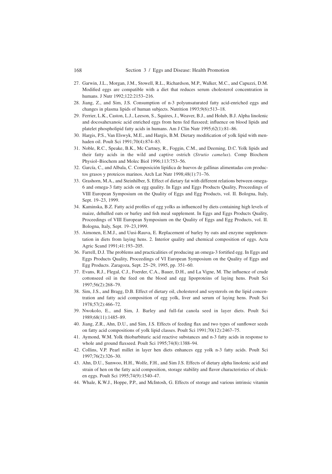- 27. Garwin, J.L., Morgan, J.M., Stowell, R.L., Richardson, M.P., Walker, M.C., and Capuzzi, D.M. Modified eggs are compatible with a diet that reduces serum cholesterol concentration in humans. J Nutr 1992;122:2153–216.
- 28. Jiang, Z., and Sim, J.S. Consumption of n-3 polyunsaturated fatty acid-enriched eggs and changes in plasma lipids of human subjects. Nutrition 1993;9(6):513–18.
- 29. Ferrier, L.K., Caston, L.J., Leeson, S., Squires, J., Weaver, B.J., and Holub, B.J. Alpha linolenic and docosahexanoic acid enriched eggs from hens fed flaxseed; influence on blood lipids and platelet phospholipid fatty acids in humans. Am J Clin Nutr 1995;62(1):81–86.
- 30. Hargis, P.S., Van Elswyk, M.E., and Hargis, B.M. Dietary modification of yolk lipid with menhaden oil. Poult Sci 1991;70(4):874–83.
- 31. Noble, R.C., Speake, B.K., Mc Cartney, R., Foggin, C.M., and Deeming, D.C. Yolk lipids and their fatty acids in the wild and captive ostrich (*Strutio camelus*). Comp Biochem Physiol–Biochem and Molec Biol 1996;113:753–56.
- 32. García, C., and Albala, C. Composición lipídica de huevos de gallinas alimentadas con productos grasos y proteicos marinos. Arch Lat Nutr 1998;48(1):71–76.
- 33. Grashorn, M.A., and Steinhilber, S. Effect of dietary fat with different relations between omega-6 and omega-3 fatty acids on egg quality. In Eggs and Eggs Products Quality, Proceedings of VIII European Symposium on the Quality of Eggs and Egg Products, vol. II. Bologna, Italy, Sept. 19–23, 1999.
- 34. Kaminska, B.Z. Fatty acid profiles of egg yolks as influenced by diets containing high levels of maize, dehulled oats or barley and fish meal supplement. In Eggs and Eggs Products Quality, Proceedings of VIII European Symposium on the Quality of Eggs and Egg Products, vol. II. Bologna, Italy, Sept. 19–23,1999.
- 35. Aimonen, E.M.J., and Uusi-Rauva, E. Replacement of barley by oats and enzyme supplementation in diets from laying hens. 2. Interior quality and chemical composition of eggs. Acta Agric Scand 1991;41:193–205.
- 36. Farrell, D.J. The problems and practicalities of producing an omega-3 fortified egg. In Eggs and Eggs Products Quality, Proceedings of VI European Symposium on the Quality of Eggs and Egg Products. Zaragoza, Sept. 25–29, 1995, pp. 351–60.
- 37. Evans, R.J., Flegal, C.J., Foerder, C.A., Bauer, D.H., and La Vigne, M. The influence of crude cottonseed oil in the feed on the blood and egg lipoproteins of laying hens. Poult Sci 1997;56(2):268–79.
- 38. Sim, J.S., and Bragg, D.B. Effect of dietary oil, cholesterol and soysterols on the lipid concentration and fatty acid composition of egg yolk, liver and serum of laying hens. Poult Sci 1978;57(2):466–72.
- 39. Nwokolo, E., and Sim, J. Barley and full-fat canola seed in layer diets. Poult Sci 1989;68(11):1485–89.
- 40. Jiang, Z.R., Ahn, D.U., and Sim, J.S. Effects of feeding flax and two types of sunflower seeds on fatty acid compositions of yolk lipid classes. Poult Sci 1991;70(12):2467–75.
- 41. Aymond, W.M. Yolk thiobarbituric acid reactive substances and n-3 fatty acids in response to whole and ground flaxseed. Poult Sci 1995;74(8):1388–94.
- 42. Collins, V.P. Pearl millet in layer hen diets enhances egg yolk n-3 fatty acids. Poult Sci 1997;76(2):326–30.
- 43. Ahn, D.U., Sunwoo, H.H., Wolfe, F.H., and Sim J.S. Effects of dietary alpha linolenic acid and strain of hen on the fatty acid composition, storage stability and flavor characteristics of chicken eggs. Poult Sci 1995;74(9):1540–47.
- 44. Whale, K.W.J., Hoppe, P.P., and McIntosh, G. Effects of storage and various intrinsic vitamin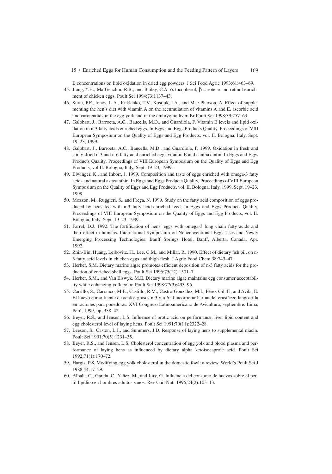E concentrations on lipid oxidation in dried egg powders. J Sci Food Agric 1993;61:463–69.

- 45. Jiang, Y.H., Ma Geachin, R.B., and Bailey, C.A. α tocopherol, β carotene and retinol enrichment of chicken eggs. Poult Sci 1994;73:1137–43.
- 46. Surai, P.F., Ionov, L.A., Kuklenko, T.V., Kostjuk, I.A., and Mac Pherson, A. Effect of supplementing the hen's diet with vitamin A on the accumulation of vitamins A and E, ascorbic acid and carotenoids in the egg yolk and in the embryonic liver. Br Poult Sci 1998;39:257–63.
- 47. Galobart, J., Barroeta, A.C., Baucells, M.D., and Guardiola, F. Vitamin E levels and lipid oxidation in n-3 fatty acids enriched eggs. In Eggs and Eggs Products Quality, Proceedings of VIII European Symposium on the Quality of Eggs and Egg Products, vol. II. Bologna, Italy, Sept. 19–23, 1999.
- 48. Galobart, J., Barroeta, A.C., Baucells, M.D., and Guardiola, F. 1999. Oxidation in fresh and spray-dried n-3 and n-6 fatty acid enriched eggs vitamin E and canthaxantin. In Eggs and Eggs Products Quality, Proceedings of VIII European Symposium on the Quality of Eggs and Egg Products, vol II. Bologna, Italy, Sept. 19–23, 1999.
- 49. Elwinger, K., and Inborr, J. 1999. Composition and taste of eggs enriched with omega-3 fatty acids and natural astaxanthin. In Eggs and Eggs Products Quality, Proceedings of VIII European Symposium on the Quality of Eggs and Egg Products, vol. II. Bologna, Italy, 1999, Sept. 19–23, 1999.
- 50. Mozzon, M., Ruggieri, S., and Frega, N. 1999. Study on the fatty acid composition of eggs produced by hens fed with n-3 fatty acid-enriched feed. In Eggs and Eggs Products Quality, Proceedings of VIII European Symposium on the Quality of Eggs and Egg Products, vol. II. Bologna, Italy, Sept. 19–23, 1999.
- 51. Farrel, D.J. 1992. The fortification of hens' eggs with omega-3 long chain fatty acids and their effect in humans. International Symposium on Nonconventional Eggs Uses and Newly Emerging Processing Technologies. Banff Springs Hotel, Banff, Alberta, Canada, Apr. 1992.
- 52. Zhin-Bin, Huang, Leibovitz, H., Lee, C.M., and Millar, R. 1990. Effect of dietary fish oil, on n-3 fatty acid levels in chicken eggs and thigh flesh. J Agric Food Chem 38:743–47.
- 53. Herber, S.M. Dietary marine algae promotes efficient deposition of n-3 fatty acids for the production of enriched shell eggs. Poult Sci 1996;75(12):1501–7.
- 54. Herber, S.M., and Van Elswyk, M.E. Dietary marine algae maintains egg consumer acceptability while enhancing yolk color. Poult Sci 1998;77(3):493–96.
- 55. Carrillo, S., Carranco, M.E., Castillo, R.M., Castro-González, M.I., Pérez-Gil, F., and Avila, E. El huevo como fuente de acidos grasos n-3 y n-6 al incorporar harina del crustáceo langostilla en raciones para ponedoras. XVI Congreso Latinoamericano de Avicultura, septiembre. Lima, Perú, 1999, pp. 338–42.
- 56. Beyer, R.S., and Jensen, L.S. Influence of orotic acid on performance, liver lipid content and egg cholesterol level of laying hens. Poult Sci 1991;70(11):2322–28.
- 57. Leeson, S., Caston, L.J., and Summers, J.D. Response of laying hens to supplemental niacin. Poult Sci 1991;70(5):1231–35.
- 58. Beyer, R.S., and Jensen, L.S. Cholesterol concentration of egg yolk and blood plasma and performance of laying hens as influenced by dietary alpha ketoisocaproic acid. Poult Sci 1992;71(1):170–72.
- 59. Hargis, P.S. Modifying egg yolk cholesterol in the domestic fowl: a review. World's Poult Sci J 1988;44:17–29.
- 60. Albala, C., García, C., Yañez, M., and Jury, G. Influencia del consumo de huevos sobre el perfil lipídico en hombres adultos sanos. Rev Chil Nutr 1996;24(2):103–13.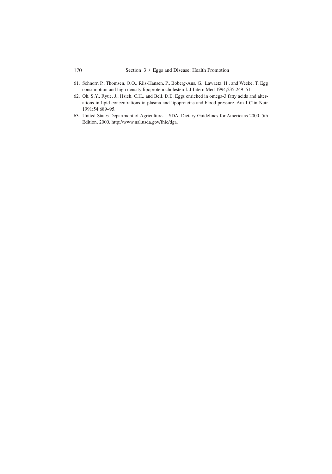- 61. Schnorr, P., Thomsen, O.O., Riis-Hansen, P., Boberg-Ans, G., Lawaetz, H., and Weeke, T. Egg consumption and high density lipoprotein cholesterol. J Intern Med 1994;235:249–51.
- 62. Oh, S.Y., Ryue, J., Hsieh, C.H., and Bell, D.E. Eggs enriched in omega-3 fatty acids and alterations in lipid concentrations in plasma and lipoproteins and blood pressure. Am J Clin Nutr 1991;54:689–95.
- 63. United States Department of Agriculture. USDA. Dietary Guidelines for Americans 2000. 5th Edition, 2000. http://www.nal.usda.gov/fnic/dga.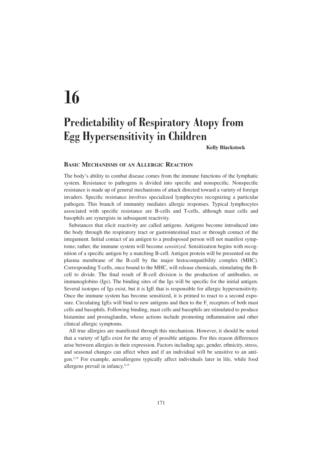# **16 Predictability of Respiratory Atopy from Egg Hypersensitivity in Children**

**Kelly Blackstock**

### **BASIC MECHANISMS OF AN ALLERGIC REACTION**

The body's ability to combat disease comes from the immune functions of the lymphatic system. Resistance to pathogens is divided into specific and nonspecific. Nonspecific resistance is made up of general mechanisms of attack directed toward a variety of foreign invaders. Specific resistance involves specialized lymphocytes recognizing a particular pathogen. This branch of immunity mediates allergic responses. Typical lymphocytes associated with specific resistance are B-cells and T-cells, although mast cells and basophils are synergists in subsequent reactivity.

Substances that elicit reactivity are called antigens. Antigens become introduced into the body through the respiratory tract or gastrointestinal tract or through contact of the integument. Initial contact of an antigen to a predisposed person will not manifest symptoms; rather, the immune system will become *sensitized*. Sensitization begins with recognition of a specific antigen by a matching B-cell. Antigen protein will be presented on the plasma membrane of the B-cell by the major histocompatibility complex (MHC). Corresponding T-cells, once bound to the MHC, will release chemicals, stimulating the Bcell to divide. The final result of B-cell division is the production of antibodies, or immunoglobins (Igs). The binding sites of the Igs will be specific for the initial antigen. Several isotopes of Igs exist, but it is IgE that is responsible for allergic hypersensitivity. Once the immune system has become sensitized, it is primed to react to a second exposure. Circulating IgEs will bind to new antigens and then to the  $F_c$  receptors of both mast cells and basophils. Following binding, mast cells and basophils are stimulated to produce histamine and prostaglandin, whose actions include promoting inflammation and other clinical allergic symptoms.

All true allergies are manifested through this mechanism. However, it should be noted that a variety of IgEs exist for the array of possible antigens. For this reason differences arise between allergies in their expression. Factors including age, gender, ethnicity, stress, and seasonal changes can affect when and if an individual will be sensitive to an antigen.2,15 For example, aeroallergens typically affect individuals later in life, while food allergens prevail in infancy.<sup>9,15</sup>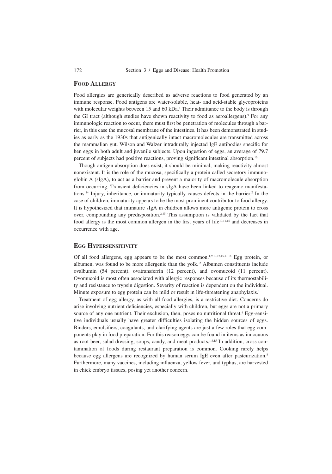#### **FOOD ALLERGY**

Food allergies are generically described as adverse reactions to food generated by an immune response. Food antigens are water-soluble, heat- and acid-stable glycoproteins with molecular weights between 15 and 60 kDa.<sup>1</sup> Their admittance to the body is through the GI tract (although studies have shown reactivity to food as aeroallergens).<sup>9</sup> For any immunologic reaction to occur, there must first be penetration of molecules through a barrier, in this case the mucosal membrane of the intestines. It has been demonstrated in studies as early as the 1930s that antigenically intact macromolecules are transmitted across the mammalian gut. Wilson and Walzer intradurally injected IgE antibodies specific for hen eggs in both adult and juvenile subjects. Upon ingestion of eggs, an average of 79.7 percent of subjects had positive reactions, proving significant intestinal absorption.<sup>16</sup>

Though antigen absorption does exist, it should be minimal, making reactivity almost nonexistent. It is the role of the mucosa, specifically a protein called secretory immunoglobin A (sIgA), to act as a barrier and prevent a majority of macromolecule absorption from occurring. Transient deficiencies in sIgA have been linked to reagenic manifestations.<sup>14</sup> Injury, inheritance, or immaturity typically causes defects in the barrier.<sup>2</sup> In the case of children, immaturity appears to be the most prominent contributor to food allergy. It is hypothesized that immature sIgA in children allows more antigenic protein to cross over, compounding any predisposition.2,15 This assumption is validated by the fact that food allergy is the most common allergen in the first years of life<sup>10,11,15</sup> and decreases in occurrence with age.

## **EGG HYPERSENSITIVITY**

Of all food allergens, egg appears to be the most common.<sup>1,9,10,12,15,17,18</sup> Egg protein, or albumen, was found to be more allergenic than the yolk.15 Albumen constituents include ovalbumin (54 percent), ovatransferrin (12 percent), and ovomucoid (11 percent). Ovomucoid is most often associated with allergic responses because of its thermostability and resistance to trypsin digestion. Severity of reaction is dependent on the individual. Minute exposure to egg protein can be mild or result in life-threatening anaphylaxis.<sup>1</sup>

Treatment of egg allergy, as with all food allergies, is a restrictive diet. Concerns do arise involving nutrient deficiencies, especially with children, but eggs are not a primary source of any one nutrient. Their exclusion, then, poses no nutritional threat.<sup>4</sup> Egg-sensitive individuals usually have greater difficulties isolating the hidden sources of eggs. Binders, emulsifiers, coagulants, and clarifying agents are just a few roles that egg components play in food preparation. For this reason eggs can be found in items as innocuous as root beer, salad dressing, soups, candy, and meat products.<sup>1,4,15</sup> In addition, cross contamination of foods during restaurant preparation is common. Cooking rarely helps because egg allergens are recognized by human serum IgE even after pasteurization.<sup>8</sup> Furthermore, many vaccines, including influenza, yellow fever, and typhus, are harvested in chick embryo tissues, posing yet another concern.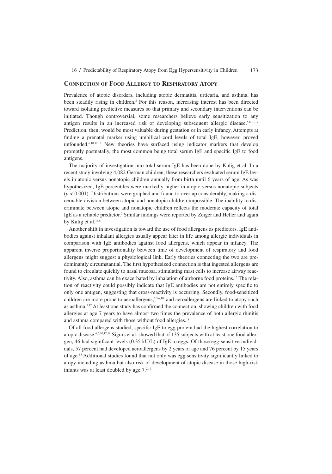#### **CONNECTION OF FOOD ALLERGY TO RESPIRATORY ATOPY**

Prevalence of atopic disorders, including atopic dermatitis, urticaria, and asthma, has been steadily rising in children.<sup>5</sup> For this reason, increasing interest has been directed toward isolating predictive measures so that primary and secondary interventions can be initiated. Though controversial, some researchers believe early sensitization to any antigen results in an increased risk of developing subsequent allergic disease.<sup>5,6,13,17</sup> Prediction, then, would be most valuable during gestation or in early infancy. Attempts at finding a prenatal marker using umbilical cord levels of total IgE, however, proved unfounded.<sup>6,10,12,17</sup> New theories have surfaced using indicator markers that develop promptly postnatally, the most common being total serum IgE and specific IgE to food antigens.

The majority of investigation into total serum IgE has been done by Kulig et al. In a recent study involving 4,082 German children, these researchers evaluated serum IgE levels in atopic versus nonatopic children annually from birth until 6 years of age. As was hypothesized, IgE percentiles were markedly higher in atopic versus nonatopic subjects  $(p < 0.001)$ . Distributions were graphed and found to overlap considerably, making a discernable division between atopic and nonatopic children impossible. The inability to discriminate between atopic and nonatopic children reflects the moderate capacity of total IgE as a reliable predictor.7 Similar findings were reported by Zeiger and Heller and again by Kulig et al.<sup>18,5</sup>

Another shift in investigation is toward the use of food allergens as predictors. IgE antibodies against inhalant allergies usually appear later in life among allergic individuals in comparison with IgE antibodies against food allergens, which appear in infancy. The apparent inverse proportionality between time of development of respiratory and food allergens might suggest a physiological link. Early theories connecting the two are predominantly circumstantial. The first hypothesized connection is that ingested allergens are found to circulate quickly to nasal mucosa, stimulating mast cells to increase airway reactivity. Also, asthma can be exacerbated by inhalation of airborne food proteins.15 The relation of reactivity could possibly indicate that IgE antibodies are not entirely specific to only one antigen, suggesting that cross-reactivity is occurring. Secondly, food-sensitized children are more prone to aeroallergens,<sup>2,5,6,10</sup> and aeroallergens are linked to atopy such as asthma.5,12 At least one study has confirmed the connection, showing children with food allergies at age 7 years to have almost two times the prevalence of both allergic rhinitis and asthma compared with those without food allergies.<sup>18</sup>

Of all food allergens studied, specific IgE to egg protein had the highest correlation to atopic disease.<sup>6,5,10,12,18</sup> Sigurs et al. showed that of 135 subjects with at least one food allergen, 46 had significant levels (0.35 kU/L) of IgE to eggs. Of those egg-sensitive individuals, 57 percent had developed aeroallergens by 2 years of age and 76 percent by 15 years of age.13 Additional studies found that not only was egg sensitivity significantly linked to atopy including asthma but also risk of development of atopic disease in those high-risk infants was at least doubled by age  $7.^{2,17}$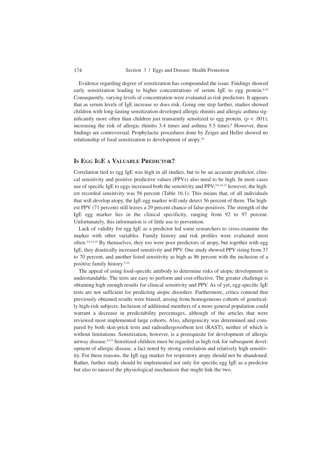Evidence regarding degree of sensitization has compounded the issue. Findings showed early sensitization leading to higher concentrations of serum IgE to egg protein.<sup>6,10</sup> Consequently, varying levels of concentration were evaluated as risk predictors. It appears that as serum levels of IgE increase so does risk. Going one step further, studies showed children with long-lasting sensitization developed allergic rhinitis and allergic asthma significantly more often than children just transiently sensitized to egg protein.  $(p < .001)$ , increasing the risk of allergic rhinitis 3.4 times and asthma 5.5 times.<sup>6</sup> However, these findings are controversial. Prophylactic procedures done by Zeiger and Heller showed no relationship of food sensitization to development of atopy.18

#### **IS EGG IGE A VALUABLE PREDICTOR?**

Correlation tied to egg IgE was high in all studies, but to be an accurate predictor, clinical sensitivity and positive predictive values (PPVs) also need to be high. In most cases use of specific IgE to eggs increased both the sensitivity and PPV;<sup>5,6,10,12</sup> however, the highest recorded sensitivity was 56 percent (Table 16.1). This means that, of all individuals that will develop atopy, the IgE egg marker will only detect 56 percent of them. The highest PPV (71 percent) still leaves a 29 percent chance of false-positives. The strength of the IgE egg marker lies in the clinical specificity, ranging from 92 to 97 percent. Unfortunately, this information is of little use to prevention.

Lack of validity for egg IgE as a predictor led some researchers to cross-examine the marker with other variables. Family history and risk profiles were evaluated most often.<sup>5,9,12,18</sup> By themselves, they too were poor predictors of atopy, but together with egg IgE, they drastically increased sensitivity and PPV. One study showed PPV rising from 37 to 70 percent, and another listed sensitivity as high as 86 percent with the inclusion of a positive family history.<sup>5,10</sup>

The appeal of using food-specific antibody to determine risks of atopic development is understandable. The tests are easy to perform and cost-effective. The greater challenge is obtaining high enough results for clinical sensitivity and PPV. As of yet, egg-specific IgE tests are not sufficient for predicting atopic disorders. Furthermore, critics contend that previously obtained results were biased, arising from homogeneous cohorts of genetically high-risk subjects. Inclusion of additional members of a more general population could warrant a decrease in predictability percentages, although of the articles that were reviewed most implemented large cohorts. Also, allergenicity was determined and compared by both skin-prick tests and radioallergosorbent test (RAST), neither of which is without limitations. Sensitization, however, is a prerequisite for development of allergic airway disease.6,5,9 Sensitized children must be regarded as high risk for subsequent development of allergic disease, a fact noted by strong correlation and relatively high sensitivity. For these reasons, the IgE egg marker for respiratory atopy should not be abandoned. Rather, further study should be implemented not only for specific egg IgE as a predictor but also to unravel the physiological mechanism that might link the two.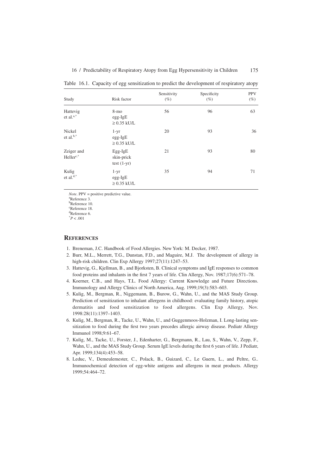16 / Predictability of Respiratory Atopy from Egg Hypersensitivity in Children 175

| Study                             | Risk factor                               | Sensitivity<br>$(\%)$ | Specificity<br>$(\%)$ | <b>PPV</b><br>(%) |
|-----------------------------------|-------------------------------------------|-----------------------|-----------------------|-------------------|
| Hattevig<br>et al. <sup>a,*</sup> | $8$ -mo<br>egg-IgE<br>$\geq$ 0.35 kU/L    | 56                    | 96                    | 63                |
| Nickel<br>et al. $b,*$            | $1 - yr$<br>$egg-IgE$<br>$\geq$ 0.35 kU/L | 20                    | 93                    | 36                |
| Zeiger and<br>$Heller^{c,*}$      | $Egg-IgE$<br>skin-prick<br>test $(1-yr)$  | 21                    | 93                    | 80                |
| Kulig<br>et al. $d,*$             | $1 - yr$<br>$egg-IgE$<br>$\geq$ 0.35 kU/L | 35                    | 94                    | 71                |

Table 16.1. Capacity of egg sensitization to predict the development of respiratory atopy

 $Note. PPV = positive predictive value.$ 

Reference 3.

b Reference 10.

c Reference 18.

d Reference 6.  $^*P < .001$ 

#### **REFERENCES**

- 1. Breneman, J.C. Handbook of Food Allergies. New York: M. Decker, 1987.
- 2. Burr, M.L., Merrett, T.G., Dunstan, F.D., and Maguire, M.J. The development of allergy in high-risk children. Clin Exp Allergy 1997;27(11):1247–53.
- 3. Hattevig, G., Kjellman, B., and Bjorksten, B. Clinical symptoms and IgE responses to common food proteins and inhalants in the first 7 years of life. Clin Allergy, Nov. 1987;17(6):571–78.
- 4. Koerner, C.B., and Hays, T.L. Food Allergy: Current Knowledge and Future Directions. Immunology and Allergy Clinics of North America, Aug. 1999;19(3):583–603.
- 5. Kulig, M., Bergman, R., Niggemann, B., Burow, G., Wahn, U., and the MAS Study Group. Prediction of sensitization to inhalant allergens in childhood: evaluating family history, atopic dermatitis and food sensitization to food allergens. Clin Exp Allergy, Nov. 1998:28(11):1397–1403.
- 6. Kulig, M., Bergman, R., Tacke, U., Wahn, U., and Guggenmoos-Holzman, I. Long-lasting sensitization to food during the first two years precedes allergic airway disease. Pediatr Allergy Immunol 1998;9:61–67.
- 7. Kulig, M., Tacke, U., Forster, J., Edenharter, G., Bergmann, R., Lau, S., Wahn, V., Zepp, F., Wahn, U., and the MAS Study Group. Serum IgE levels during the first 6 years of life. J Pediatr, Apr. 1999;134(4):453–58.
- 8. Leduc, V., Demeulemester, C., Polack, B., Guizard, C., Le Guern, L., and Peltre, G.. Immunochemical detection of egg-white antigens and allergens in meat products. Allergy 1999;54:464–72.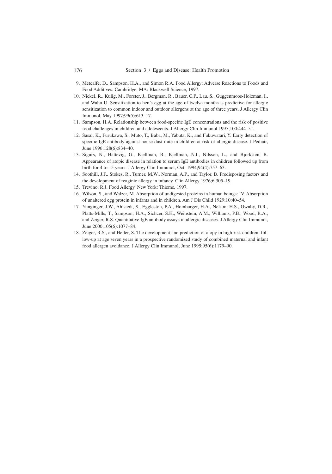- 9. Metcalfe, D., Sampson, H.A., and Simon R.A. Food Allergy: Adverse Reactions to Foods and Food Additives. Cambridge, MA: Blackwell Science, 1997.
- 10. Nickel, R., Kulig, M., Forster, J., Bergman, R., Bauer, C.P., Lau, S., Guggenmoos-Holzman, I., and Wahn U. Sensitization to hen's egg at the age of twelve months is predictive for allergic sensitization to common indoor and outdoor allergens at the age of three years. J Allergy Clin Immunol, May 1997;99(5):613–17.
- 11. Sampson, H.A. Relationship between food-specific IgE concentrations and the risk of positive food challenges in children and adolescents. J Allergy Clin Immunol 1997;100:444–51.
- 12. Sasai, K., Furukawa, S., Muto, T., Baba, M., Yabuta, K., and Fukuwatari, Y. Early detection of specific IgE antibody against house dust mite in children at risk of allergic disease. J Pediatr, June 1996;128(6):834–40.
- 13. Sigurs, N., Hattevig, G., Kjellman, B., Kjellman, N.I., Nilsson, L., and Bjorksten, B. Appearance of atopic disease in relation to serum IgE antibodies in children followed up from birth for 4 to 15 years. J Allergy Clin Immunol, Oct. 1994;94(4):757–63.
- 14. Soothill, J.F., Stokes, R., Turner, M.W., Norman, A.P., and Taylor, B. Predisposing factors and the development of reaginic allergy in infancy. Clin Allergy 1976;6:305–19.
- 15. Trevino, R.J. Food Allergy. New York: Thieme, 1997.
- 16. Wilson, S., and Walzer, M. Absorption of undigested proteins in human beings: IV. Absorption of unaltered egg protein in infants and in children. Am J Dis Child 1929;10:40–54.
- 17. Yunginger, J.W., Ahlstedt, S., Eggleston, P.A., Homburger, H.A., Nelson, H.S., Ownby, D.R., Platts-Mills, T., Sampson, H.A., Sichcer, S.H., Weinstein, A.M., Williams, P.B., Wood, R.A., and Zeiger, R.S. Quantitative IgE antibody assays in allergic diseases. J Allergy Clin Immunol, June 2000;105(6):1077–84.
- 18. Zeiger, R.S., and Heller, S. The development and prediction of atopy in high-risk children: follow-up at age seven years in a prospective randomized study of combined maternal and infant food allergen avoidance. J Allergy Clin Immunol, June 1995;95(6):1179–90.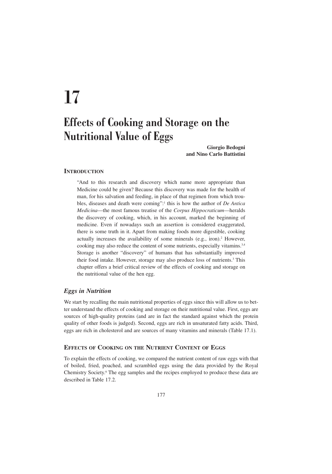# **17**

## **Effects of Cooking and Storage on the Nutritional Value of Eggs**

**Giorgio Bedogni and Nino Carlo Battistini**

#### **INTRODUCTION**

"And to this research and discovery which name more appropriate than Medicine could be given? Because this discovery was made for the health of man, for his salvation and feeding, in place of that regimen from which troubles, diseases and death were coming":1 this is how the author of *De Antica Medicina*—the most famous treatise of the *Corpus Hippocraticum*—heralds the discovery of cooking, which, in his account, marked the beginning of medicine. Even if nowadays such an assertion is considered exaggerated, there is some truth in it. Apart from making foods more digestible, cooking actually increases the availability of some minerals (e.g., iron).<sup>2</sup> However, cooking may also reduce the content of some nutrients, especially vitamins.<sup>3,4</sup> Storage is another "discovery" of humans that has substantially improved their food intake. However, storage may also produce loss of nutrients.<sup>3</sup> This chapter offers a brief critical review of the effects of cooking and storage on the nutritional value of the hen egg.

## *Eggs in Nutrition*

We start by recalling the main nutritional properties of eggs since this will allow us to better understand the effects of cooking and storage on their nutritional value. First, eggs are sources of high-quality proteins (and are in fact the standard against which the protein quality of other foods is judged). Second, eggs are rich in unsaturated fatty acids. Third, eggs are rich in cholesterol and are sources of many vitamins and minerals (Table 17.1).

#### **EFFECTS OF COOKING ON THE NUTRIENT CONTENT OF EGGS**

To explain the effects of cooking, we compared the nutrient content of raw eggs with that of boiled, fried, poached, and scrambled eggs using the data provided by the Royal Chemistry Society.6 The egg samples and the recipes employed to produce these data are described in Table 17.2.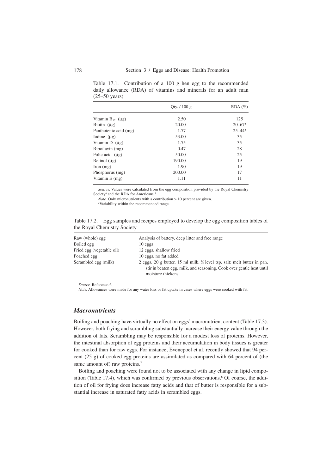Table 17.1. Contribution of a 100 g hen egg to the recommended daily allowance (RDA) of vitamins and minerals for an adult man (25–50 years)

|                        | Oty. / 100 g | RDA(%)                 |
|------------------------|--------------|------------------------|
| Vitamin $B_{12}$ (µg)  | 2.50         | 125                    |
| Biotin $(\mu g)$       | 20.00        | $20 - 67$ <sup>a</sup> |
| Panthotenic acid (mg)  | 1.77         | $25 - 44$ <sup>a</sup> |
| Iodine $(\mu g)$       | 53.00        | 35                     |
| Vitamin $D$ ( $\mu$ g) | 1.75         | 35                     |
| Riboflavin (mg)        | 0.47         | 28                     |
| Folic acid $(\mu g)$   | 50.00        | 25                     |
| Retinol $(\mu g)$      | 190.00       | 19                     |
| Iron $(mg)$            | 1.90         | 19                     |
| Phosphorus (mg)        | 200.00       | 17                     |
| Vitamin $E$ (mg)       | 1.11         | 11                     |

*Source.* Values were calculated from the egg composition provided by the Royal Chemistry Society<sup>6</sup> and the RDA for Americans.<sup>5</sup>

*Note.* Only micronutrients with a contribution > 10 percent are given.

a Variability within the recommended range.

Table 17.2. Egg samples and recipes employed to develop the egg composition tables of the Royal Chemistry Society

| Raw (whole) egg           | Analysis of battery, deep litter and free range                                                                                                                                   |
|---------------------------|-----------------------------------------------------------------------------------------------------------------------------------------------------------------------------------|
| Boiled egg                | $10$ eggs                                                                                                                                                                         |
| Fried egg (vegetable oil) | 12 eggs, shallow fried                                                                                                                                                            |
| Poached egg               | 10 eggs, no fat added                                                                                                                                                             |
| Scrambled egg (milk)      | 2 eggs, 20 g butter, 15 ml milk, $\frac{1}{2}$ level tsp. salt; melt butter in pan,<br>stir in beaten egg, milk, and seasoning. Cook over gentle heat until<br>moisture thickens. |

*Source.* Reference 6.

*Note.* Allowances were made for any water loss or fat uptake in cases where eggs were cooked with fat.

#### *Macronutrients*

Boiling and poaching have virtually no effect on eggs' macronutrient content (Table 17.3). However, both frying and scrambling substantially increase their energy value through the addition of fats. Scrambling may be responsible for a modest loss of proteins. However, the intestinal absorption of egg proteins and their accumulation in body tissues is greater for cooked than for raw eggs. For instance, Evenepoel et al*.* recently showed that 94 percent (25 g) of cooked egg proteins are assimilated as compared with 64 percent of (the same amount of) raw proteins.<sup>7</sup>

Boiling and poaching were found not to be associated with any change in lipid composition (Table 17.4), which was confirmed by previous observations.<sup>8</sup> Of course, the addition of oil for frying does increase fatty acids and that of butter is responsible for a substantial increase in saturated fatty acids in scrambled eggs.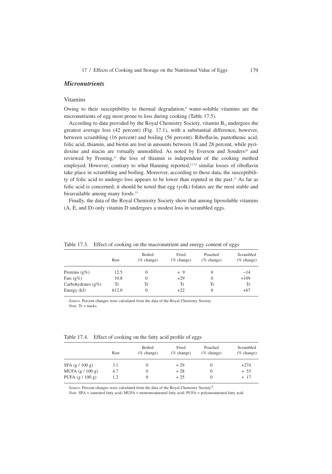## *Micronutrients*

#### Vitamins

Owing to their susceptibility to thermal degradation,<sup>9</sup> water-soluble vitamins are the micronutrients of egg most prone to loss during cooking (Table 17.5).

According to data provided by the Royal Chemistry Society, vitamin  $B_{12}$  undergoes the greatest average loss (42 percent) (Fig. 17.1), with a substantial difference, however, between scrambling (16 percent) and boiling (56 percent). Riboflavin, pantothenic acid, folic acid, thiamin, and biotin are lost in amounts between 18 and 28 percent, while pyridoxine and niacin are virtually unmodified. As noted by Everson and Souders<sup>10</sup> and reviewed by Froning,<sup>11</sup> the loss of thiamin is independent of the cooking method employed. However, contrary to what Hanning reported,<sup>11,12</sup> similar losses of riboflavin take place in scrambling and boiling. Moreover, according to these data, the susceptibility of folic acid to undergo loss appears to be lower than reputed in the past.<sup>11</sup> As far as folic acid is concerned, it should be noted that egg (yolk) folates are the most stable and bioavailable among many foods.<sup>13</sup>

Finally, the data of the Royal Chemistry Society show that among liposoluble vitamins (A, E, and D) only vitamin D undergoes a modest loss in scrambled eggs.

|                       | Raw   | Boiled<br>$(\%$ change) | Fried<br>$(\%$ change) | Poached<br>$(\%$ change) | Scrambled<br>$(\%$ change) |
|-----------------------|-------|-------------------------|------------------------|--------------------------|----------------------------|
| Proteins $(g\%)$      | 12.5  | $\Omega$                | $+9$                   |                          | $-14$                      |
| Fats $(g\%)$          | 10.8  | $\Omega$                | $+29$                  | $\theta$                 | $+109$                     |
| Carbohydrates $(g\%)$ | Tr    | Tr                      | Tr                     | Tr                       | Tr                         |
| Energy $(kJ)$         | 612.0 | $\Omega$                | $+22$                  |                          | $+67$                      |

Table 17.3. Effect of cooking on the macronutrient and energy content of eggs

*Source.* Percent changes were calculated from the data of the Royal Chemistry Society. *Note*  $\text{Tr}$  = tracks.

Table 17.4. Effect of cooking on the fatty acid profile of eggs

|                    | Raw | Boiled<br>$(\%$ change) | Fried<br>$(\%$ change) | Poached<br>$(\%$ change) | Scrambled<br>$(\%$ change) |
|--------------------|-----|-------------------------|------------------------|--------------------------|----------------------------|
| SFA $(g / 100 g)$  | 3.1 | 0                       | $+29$                  |                          | $+274$                     |
| MUFA $(g / 100 g)$ | 4.7 | 0                       | $+28$                  | $\cup$                   | $+ 53$                     |
| PUFA $(g / 100 g)$ | 1.2 | 0                       | $+25$                  |                          | $+17$                      |

*Source*. Percent changes were calculated from the data of the Royal Chemistry Society.<sup>6</sup>

*Note.* SFA = saturated fatty acid; MUFA = monounsaturated fatty acid; PUFA = polyunsaturated fatty acid.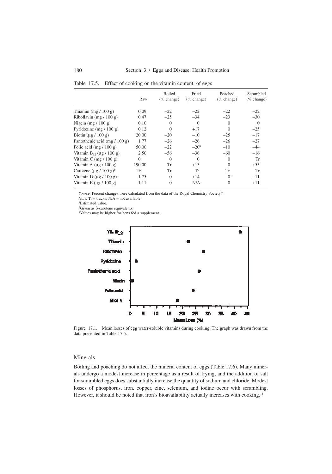Table 17.5. Effect of cooking on the vitamin content of eggs

|                                           | Raw      | Boiled<br>$(\%$ change) | Fried<br>$(\%$ change) | Poached<br>$(\%$ change) | Scrambled<br>$(\%$ change) |
|-------------------------------------------|----------|-------------------------|------------------------|--------------------------|----------------------------|
| Thiamin $(mg / 100 g)$                    | 0.09     | $-22$                   | $-22$                  | $-22$                    | $-22$                      |
| Riboflavin $(mg / 100 g)$                 | 0.47     | $-25$                   | $-34$                  | $-23$                    | $-30$                      |
| Niacin $(mg / 100 g)$                     | 0.10     | $\Omega$                | $\Omega$               | $\Omega$                 | $\Omega$                   |
| Pyridoxine $(mg / 100 g)$                 | 0.12     | $\Omega$                | $+17$                  | $\Omega$                 | $-25$                      |
| Biotin ( $\mu$ g / 100 g)                 | 20.00    | $-20$                   | $-10$                  | $-25$                    | $-17$                      |
| Pantothenic acid (mg / 100 g)             | 1.77     | $-26$                   | $-26$                  | $-26$                    | $-27$                      |
| Folic acid $(mg / 100 g)$                 | 50.00    | $-22$                   | $-20a$                 | $-10$                    | $-44$                      |
| Vitamin $B_{12}$ (µg / 100 g)             | 2.50     | $-56$                   | $-36$                  | $-60$                    | $-16$                      |
| Vitamin C $(mg / 100 g)$                  | $\Omega$ | $\Omega$                | $\Omega$               | $\Omega$                 | Tr                         |
| Vitamin A $(\mu$ g / 100 g)               | 190.00   | Tr                      | $+13$                  | $\Omega$                 | $+55$                      |
| Carotene ( $\mu$ g / 100 g) <sup>b</sup>  | Tr       | Tr                      | Tr                     | Tr                       | Tr                         |
| Vitamin D ( $\mu$ g / 100 g) <sup>c</sup> | 1.75     | $\Omega$                | $+14$                  | $0^a$                    | $-11$                      |
| Vitamin E ( $\mu$ g / 100 g)              | 1.11     | $\Omega$                | N/A                    | $\Omega$                 | $+11$                      |
|                                           |          |                         |                        |                          |                            |

*Source.* Percent changes were calculated from the data of the Royal Chemistry Society.6

 $Note.$   $Tr =$  tracks;  $N/A =$  not available.

Estimated value.

<sup>b</sup>Given as β-carotene equivalents.

Values may be higher for hens fed a supplement.



Figure 17.1. Mean losses of egg water-soluble vitamins during cooking. The graph was drawn from the data presented in Table 17.5.

## Minerals

Boiling and poaching do not affect the mineral content of eggs (Table 17.6). Many minerals undergo a modest increase in percentage as a result of frying, and the addition of salt for scrambled eggs does substantially increase the quantity of sodium and chloride. Modest losses of phosphorus, iron, copper, zinc, selenium, and iodine occur with scrambling. However, it should be noted that iron's bioavailability actually increases with cooking.<sup>14</sup>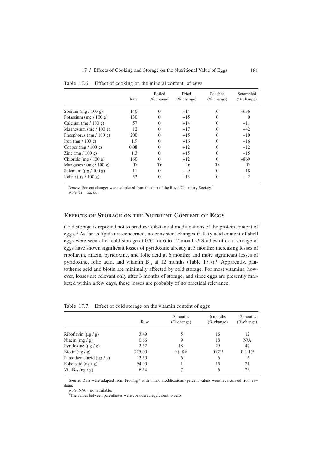|                            | Raw  | Boiled<br>$(\%$ change) | Fried<br>$(\%$ change) | Poached<br>$(\%$ change) | Scrambled<br>$(\%$ change) |
|----------------------------|------|-------------------------|------------------------|--------------------------|----------------------------|
| Sodium $(mg / 100 g)$      | 140  | $\Omega$                | $+14$                  | $\Omega$                 | $+636$                     |
| Potassium $(mg / 100 g)$   | 130  | $\Omega$                | $+15$                  |                          | $\Omega$                   |
| Calcium $(mg / 100 g)$     | 57   | $\Omega$                | $+14$                  |                          | $+11$                      |
| Magnesium $(mg / 100 g)$   | 12   | $\Omega$                | $+17$                  |                          | $+42$                      |
| Phosphorus (mg $/ 100$ g)  | 200  | $\Omega$                | $+15$                  | $\Omega$                 | $-10$                      |
| Iron $(mg / 100 g)$        | 1.9  | $\Omega$                | $+16$                  |                          | $-16$                      |
| Copper $(mg / 100 g)$      | 0.08 | $\Omega$                | $+12$                  |                          | $-12$                      |
| Zinc $(mg / 100 g)$        | 1.3  | $\Omega$                | $+15$                  | $\Omega$                 | $-15$                      |
| Chloride $(mg / 100 g)$    | 160  | $\Omega$                | $+12$                  | $\Omega$                 | $+869$                     |
| Manganese (mg / 100 g)     | Tr   | Tr                      | Tr                     | Tr                       | Tr                         |
| Selenium $(\mu g / 100 g)$ | 11   | $\Omega$                | $+9$                   | $\Omega$                 | $-18$                      |
| Iodine ( $\mu$ g / 100 g)  | 53   | $\Omega$                | $+13$                  |                          | $-2$                       |

Table 17.6. Effect of cooking on the mineral content of eggs

*Source.* Percent changes were calculated from the data of the Royal Chemistry Society.6

*Note.* Tr = tracks.

## **EFFECTS OF STORAGE ON THE NUTRIENT CONTENT OF EGGS**

Cold storage is reported not to produce substantial modifications of the protein content of eggs.11 As far as lipids are concerned, no consistent changes in fatty acid content of shell eggs were seen after cold storage at  $0^{\circ}$ C for 6 to 12 months.<sup>8</sup> Studies of cold storage of eggs have shown significant losses of pyridoxine already at 3 months; increasing losses of riboflavin, niacin, pyridoxine, and folic acid at 6 months; and more significant losses of pyridoxine, folic acid, and vitamin  $B_{12}$  at 12 months (Table 17.7).<sup>11</sup> Apparently, pantothenic acid and biotin are minimally affected by cold storage. For most vitamins, however, losses are relevant only after 3 months of storage, and since eggs are presently marketed within a few days, these losses are probably of no practical relevance.

Table 17.7. Effect of cold storage on the vitamin content of eggs

|                                 | Raw    | 3 months<br>$(\%$ change) | 6 months<br>$(\%$ change) | 12 months<br>$(\%$ change) |
|---------------------------------|--------|---------------------------|---------------------------|----------------------------|
| Riboflavin $(\mu g / g)$        | 3.49   |                           | 16                        | 12                         |
| Niacin $(mg/g)$                 | 0.66   | 9                         | 18                        | N/A                        |
| Pyridoxine $(\mu g / g)$        | 2.52   | 18                        | 29                        | 47                         |
| Biotin $(ng/g)$                 | 225.00 | $(0 - 8)^a$               | $(2)^{a}$                 | $0(-1)^a$                  |
| Pantothenic acid ( $\mu$ g / g) | 12.50  | 6                         | 6                         | 6                          |
| Folic acid $(ng/g)$             | 94.00  |                           | 15                        | 21                         |
| Vit. $B_{12}$ (ng / g)          | 6.54   |                           | 6                         | 23                         |

Source. Data were adapted from Froning<sup>11</sup> with minor modifications (percent values were recalculated from raw data).

 $Note. N/A = not available.$ 

<sup>a</sup>The values between parentheses were considered equivalent to zero.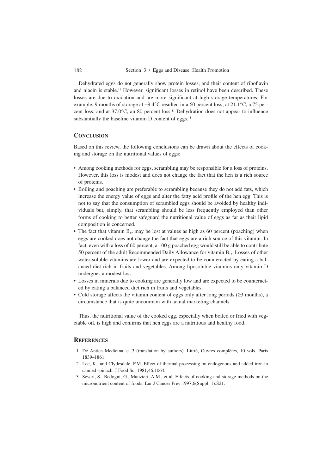Dehydrated eggs do not generally show protein losses, and their content of riboflavin and niacin is stable.<sup>11</sup> However, significant losses in retinol have been described. These losses are due to oxidation and are more significant at high storage temperatures. For example, 9 months of storage at −9.4°C resulted in a 60 percent loss; at 21.1°C, a 75 percent loss; and at 37.0°C, an 80 percent loss.11 Dehydration does not appear to influence substantially the baseline vitamin  $D$  content of eggs.<sup>11</sup>

#### **CONCLUSION**

Based on this review, the following conclusions can be drawn about the effects of cooking and storage on the nutritional values of eggs:

- Among cooking methods for eggs, scrambling may be responsible for a loss of proteins. However, this loss is modest and does not change the fact that the hen is a rich source of proteins.
- Boiling and poaching are preferable to scrambling because they do not add fats, which increase the energy value of eggs and alter the fatty acid profile of the hen egg. This is not to say that the consumption of scrambled eggs should be avoided by healthy individuals but, simply, that scrambling should be less frequently employed than other forms of cooking to better safeguard the nutritional value of eggs as far as their lipid composition is concerned.
- The fact that vitamin  $B_{12}$  may be lost at values as high as 60 percent (poaching) when eggs are cooked does not change the fact that eggs are a rich source of this vitamin. In fact, even with a loss of 60 percent, a 100 g poached egg would still be able to contribute 50 percent of the adult Recommended Daily Allowance for vitamin  $B_{12}$ . Losses of other water-soluble vitamins are lower and are expected to be counteracted by eating a balanced diet rich in fruits and vegetables. Among liposoluble vitamins only vitamin D undergoes a modest loss.
- Losses in minerals due to cooking are generally low and are expected to be counteracted by eating a balanced diet rich in fruits and vegetables.
- Cold storage affects the vitamin content of eggs only after long periods (≥3 months), a circumstance that is quite uncommon with actual marketing channels.

Thus, the nutritional value of the cooked egg, especially when boiled or fried with vegetable oil, is high and confirms that hen eggs are a nutritious and healthy food.

#### **REFERENCES**

- 1. De Antica Medicina, c. 3 (translation by authors). Littré, Ouvres complètes, 10 vols. Paris 1839–1861.
- 2. Lee, K., and Clydesdale, F.M. Effect of thermal processing on endogenous and added iron in canned spinach. J Food Sci 1981;46:1064.
- 3. Severi, S., Bedogni, G., Manzieri, A.M., et al. Effects of cooking and storage methods on the micronutrient content of foods. Eur J Cancer Prev 1997;6(Suppl. 1):S21.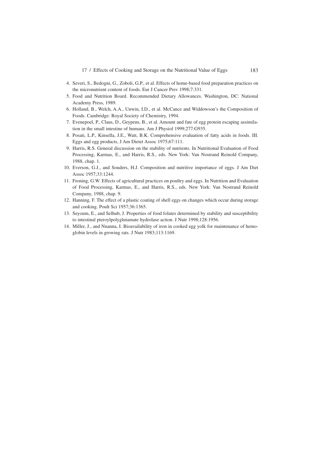- 4. Severi, S., Bedogni, G., Zoboli, G.P., et al. Effects of home-based food preparation practices on the micronutrient content of foods. Eur J Cancer Prev 1998;7:331.
- 5. Food and Nutrition Board. Recommended Dietary Allowances. Washington, DC: National Academy Press, 1989.
- 6. Holland, B., Welch, A.A., Unwin, I.D., et al. McCance and Widdowson's the Composition of Foods. Cambridge: Royal Society of Chemistry, 1994.
- 7. Evenepoel, P., Claus, D., Geypens, B., et al. Amount and fate of egg protein escaping assimilation in the small intestine of humans. Am J Physiol 1999;277:G935.
- 8. Posati, L.P., Kinsella, J.E., Watt, B.K. Comprehensive evaluation of fatty acids in foods. III. Eggs and egg products, J Am Dietet Assoc 1975;67:111.
- 9. Harris, R.S. General discussion on the stability of nutrients. In Nutritional Evaluation of Food Processing, Karmas, E., and Harris, R.S., eds. New York: Van Nostrand Reinold Company, 1988, chap. 1.
- 10. Everson, G.J., and Souders, H.J. Composition and nutritive importance of eggs. J Am Diet Assoc 1957;33:1244.
- 11. Froning, G.W. Effects of agricultural practices on poultry and eggs. In Nutrition and Evaluation of Food Processing, Karmas, E., and Harris, R.S., eds. New York: Van Nostrand Reinold Company, 1988, chap. 9.
- 12. Hanning, F. The effect of a plastic coating of shell eggs on changes which occur during storage and cooking. Poult Sci 1957;36:1365.
- 13. Seyoum, E., and Selhub, J. Properties of food folates determined by stability and susceptibility to intestinal pteroylpolyglutamate hydrolase action. J Nutr 1998;128:1956.
- 14. Miller, J., and Nnanna, I. Bioavailability of iron in cooked egg yolk for maintenance of hemoglobin levels in growing rats. J Nutr 1983;113:1169.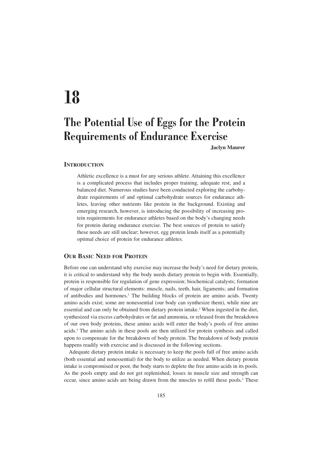# **18**

## **The Potential Use of Eggs for the Protein Requirements of Endurance Exercise**

**Jaclyn Maurer**

#### **INTRODUCTION**

Athletic excellence is a must for any serious athlete. Attaining this excellence is a complicated process that includes proper training, adequate rest, and a balanced diet. Numerous studies have been conducted exploring the carbohydrate requirements of and optimal carbohydrate sources for endurance athletes, leaving other nutrients like protein in the background. Existing and emerging research, however, is introducing the possibility of increasing protein requirements for endurance athletes based on the body's changing needs for protein during endurance exercise. The best sources of protein to satisfy these needs are still unclear; however, egg protein lends itself as a potentially optimal choice of protein for endurance athletes.

#### **OUR BASIC NEED FOR PROTEIN**

Before one can understand why exercise may increase the body's need for dietary protein, it is critical to understand why the body needs dietary protein to begin with. Essentially, protein is responsible for regulation of gene expression; biochemical catalysts; formation of major cellular structural elements: muscle, nails, teeth, hair, ligaments; and formation of antibodies and hormones.<sup>1</sup> The building blocks of protein are amino acids. Twenty amino acids exist; some are nonessential (our body can synthesize them), while nine are essential and can only be obtained from dietary protein intake.<sup>2</sup> When ingested in the diet, synthesized via excess carbohydrates or fat and ammonia, or released from the breakdown of our own body proteins, these amino acids will enter the body's pools of free amino acids.<sup>3</sup> The amino acids in these pools are then utilized for protein synthesis and called upon to compensate for the breakdown of body protein. The breakdown of body protein happens readily with exercise and is discussed in the following sections.

Adequate dietary protein intake is necessary to keep the pools full of free amino acids (both essential and nonessential) for the body to utilize as needed. When dietary protein intake is compromised or poor, the body starts to deplete the free amino acids in its pools. As the pools empty and do not get replenished, losses in muscle size and strength can occur, since amino acids are being drawn from the muscles to refill these pools.<sup>3</sup> These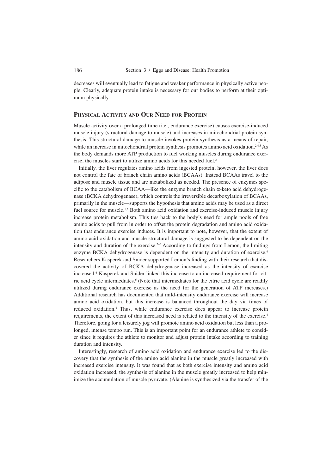decreases will eventually lead to fatigue and weaker performance in physically active people. Clearly, adequate protein intake is necessary for our bodies to perform at their optimum physically.

## **PHYSICAL ACTIVITY AND OUR NEED FOR PROTEIN**

Muscle activity over a prolonged time (i.e., endurance exercise) causes exercise-induced muscle injury (structural damage to muscle) and increases in mitochondrial protein synthesis. This structural damage to muscle invokes protein synthesis as a means of repair, while an increase in mitochondrial protein synthesis promotes amino acid oxidation.<sup>2,4,5</sup> As the body demands more ATP production to fuel working muscles during endurance exercise, the muscles start to utilize amino acids for this needed fuel.2

Initially, the liver regulates amino acids from ingested protein; however, the liver does not control the fate of branch chain amino acids (BCAAs). Instead BCAAs travel to the adipose and muscle tissue and are metabolized as needed. The presence of enzymes specific to the catabolism of BCAA—like the enzyme branch chain  $\alpha$ -keto acid dehydrogenase (BCKA dehydrogenase), which controls the irreversible decarboxylation of BCAAs, primarily in the muscle—supports the hypothesis that amino acids may be used as a direct fuel source for muscle.<sup>1,2</sup> Both amino acid oxidation and exercise-induced muscle injury increase protein metabolism. This ties back to the body's need for ample pools of free amino acids to pull from in order to offset the protein degradation and amino acid oxidation that endurance exercise induces. It is important to note, however, that the extent of amino acid oxidation and muscle structural damage is suggested to be dependent on the intensity and duration of the exercise.<sup> $2-5$ </sup> According to findings from Lemon, the limiting enzyme BCKA dehydrogenase is dependent on the intensity and duration of exercise.<sup>4</sup> Researchers Kasperek and Snider supported Lemon's finding with their research that discovered the activity of BCKA dehydrogenase increased as the intensity of exercise increased.6 Kasperek and Snider linked this increase to an increased requirement for citric acid cycle intermediates.<sup>6</sup> (Note that intermediates for the citric acid cycle are readily utilized during endurance exercise as the need for the generation of ATP increases.) Additional research has documented that mild-intensity endurance exercise will increase amino acid oxidation, but this increase is balanced throughout the day via times of reduced oxidation.2 Thus, while endurance exercise does appear to increase protein requirements, the extent of this increased need is related to the intensity of the exercise.4 Therefore, going for a leisurely jog will promote amino acid oxidation but less than a prolonged, intense tempo run. This is an important point for an endurance athlete to consider since it requires the athlete to monitor and adjust protein intake according to training duration and intensity.

Interestingly, research of amino acid oxidation and endurance exercise led to the discovery that the synthesis of the amino acid alanine in the muscle greatly increased with increased exercise intensity. It was found that as both exercise intensity and amino acid oxidation increased, the synthesis of alanine in the muscle greatly increased to help minimize the accumulation of muscle pyruvate. (Alanine is synthesized via the transfer of the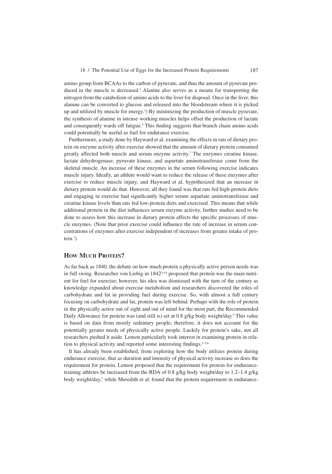amino group from BCAAs to the carbon of pyruvate, and thus the amount of pyruvate produced in the muscle is decreased.<sup>5</sup> Alanine also serves as a means for transporting the nitrogen from the catabolism of amino acids to the liver for disposal. Once in the liver, this alanine can be converted to glucose and released into the bloodstream where it is picked up and utilized by muscle for energy.1 ) By minimizing the production of muscle pyruvate, the synthesis of alanine in intense working muscles helps offset the production of lactate and consequently wards off fatigue.<sup>5</sup> This finding suggests that branch chain amino acids could potentially be useful as fuel for endurance exercise.

Furthermore, a study done by Hayward et al. examining the effects in rats of dietary protein on enzyme activity after exercise showed that the amount of dietary protein consumed greatly affected both muscle and serum enzyme activity.<sup>7</sup> The enzymes creatine kinase, lactate dehydrogenase, pyruvate kinase, and aspartate aminotransferase come from the skeletal muscle. An increase of these enzymes in the serum following exercise indicates muscle injury. Ideally, an athlete would want to reduce the release of these enzymes after exercise to reduce muscle injury, and Hayward et al. hypothesized that an increase in dietary protein would do that. However, all they found was that rats fed high-protein diets and engaging in exercise had significantly higher serum aspartate aminotransferase and creatine kinase levels than rats fed low-protein diets and exercised. This means that while additional protein in the diet influences serum enzyme activity, further studies need to be done to assess how this increase in dietary protein affects the specific processes of muscle enzymes. (Note that prior exercise could influence the rate of increase in serum concentrations of enzymes after exercise independent of increases from greater intake of protein.7 )

#### **HOW MUCH PROTEIN?**

As far back as 1840, the debate on how much protein a physically active person needs was in full swing. Researcher von Liebig in 1842<sup>3,4,8</sup> proposed that protein was the main nutrient for fuel for exercise; however, his idea was dismissed with the turn of the century as knowledge expanded about exercise metabolism and researchers discovered the roles of carbohydrate and fat in providing fuel during exercise. So, with almost a full century focusing on carbohydrate and fat, protein was left behind. Perhaps with the role of protein in the physically active out of sight and out of mind for the most part, the Recommended Daily Allowance for protein was (and still is) set at 0.8 g/kg body weight/day.<sup>4</sup> This value is based on data from mostly sedentary people; therefore, it does not account for the potentially greater needs of physically active people. Luckily for protein's sake, not all researchers pushed it aside. Lemon particularly took interest in examining protein in relation to physical activity and reported some interesting findings.3–5,8

It has already been established, from exploring how the body utilizes protein during endurance exercise, that as duration and intensity of physical activity increase so does the requirement for protein. Lemon proposed that the requirement for protein for endurancetraining athletes be increased from the RDA of 0.8 g/kg body weight/day to 1.2–1.4 g/kg body weight/day,<sup>3</sup> while Meredith et al. found that the protein requirement in endurance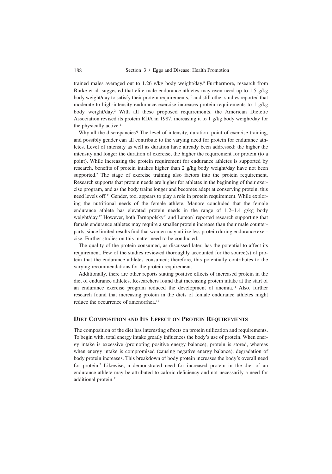trained males averaged out to 1.26 g/kg body weight/day.9 Furthermore, research from Burke et al. suggested that elite male endurance athletes may even need up to 1.5 g/kg body weight/day to satisfy their protein requirements,<sup>10</sup> and still other studies reported that moderate to high-intensity endurance exercise increases protein requirements to 1 g/kg body weight/day.2 With all these proposed requirements, the American Dietetic Association revised its protein RDA in 1987, increasing it to 1 g/kg body weight/day for the physically active.<sup>11</sup>

Why all the discrepancies? The level of intensity, duration, point of exercise training, and possibly gender can all contribute to the varying need for protein for endurance athletes. Level of intensity as well as duration have already been addressed: the higher the intensity and longer the duration of exercise, the higher the requirement for protein (to a point). While increasing the protein requirement for endurance athletes is supported by research, benefits of protein intakes higher than 2 g/kg body weight/day have not been supported.<sup>2</sup> The stage of exercise training also factors into the protein requirement. Research supports that protein needs are higher for athletes in the beginning of their exercise program, and as the body trains longer and becomes adept at conserving protein, this need levels off.11 Gender, too, appears to play a role in protein requirement. While exploring the nutritional needs of the female athlete, Manore concluded that the female endurance athlete has elevated protein needs in the range of 1.2–1.4 g/kg body weight/day.<sup>12</sup> However, both Tarnopolsky<sup>11</sup> and Lemon<sup>3</sup> reported research supporting that female endurance athletes may require a smaller protein increase than their male counterparts, since limited results find that women may utilize less protein during endurance exercise. Further studies on this matter need to be conducted.

The quality of the protein consumed, as discussed later, has the potential to affect its requirement. Few of the studies reviewed thoroughly accounted for the source(s) of protein that the endurance athletes consumed; therefore, this potentially contributes to the varying recommendations for the protein requirement.

Additionally, there are other reports stating positive effects of increased protein in the diet of endurance athletes. Researchers found that increasing protein intake at the start of an endurance exercise program reduced the development of anemia.11 Also, further research found that increasing protein in the diets of female endurance athletes might reduce the occurrence of amenorrhea.<sup>11</sup>

#### **DIET COMPOSITION AND ITS EFFECT ON PROTEIN REQUIREMENTS**

The composition of the diet has interesting effects on protein utilization and requirements. To begin with, total energy intake greatly influences the body's use of protein. When energy intake is excessive (promoting positive energy balance), protein is stored, whereas when energy intake is compromised (causing negative energy balance), degradation of body protein increases. This breakdown of body protein increases the body's overall need for protein.2 Likewise, a demonstrated need for increased protein in the diet of an endurance athlete may be attributed to caloric deficiency and not necessarily a need for additional protein.<sup>11</sup>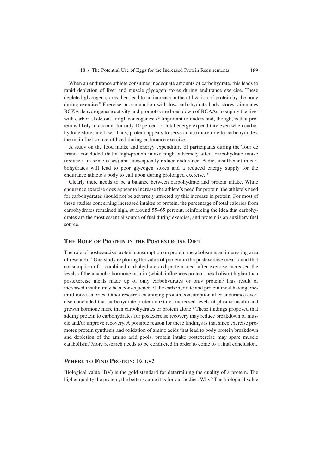When an endurance athlete consumes inadequate amounts of carbohydrate, this leads to rapid depletion of liver and muscle glycogen stores during endurance exercise. These depleted glycogen stores then lead to an increase in the utilization of protein by the body during exercise.<sup>8</sup> Exercise in conjunction with low-carbohydrate body stores stimulates BCKA dehydrogenase activity and promotes the breakdown of BCAAs to supply the liver with carbon skeletons for gluconeogenesis.<sup>2</sup> Important to understand, though, is that protein is likely to account for only 10 percent of total energy expenditure even when carbohydrate stores are low.2 Thus, protein appears to serve an auxiliary role to carbohydrates, the main fuel source utilized during endurance exercise.

A study on the food intake and energy expenditure of participants during the Tour de France concluded that a high-protein intake might adversely affect carbohydrate intake (reduce it in some cases) and consequently reduce endurance. A diet insufficient in carbohydrates will lead to poor glycogen stores and a reduced energy supply for the endurance athlete's body to call upon during prolonged exercise.<sup>13</sup>

Clearly there needs to be a balance between carbohydrate and protein intake. While endurance exercise does appear to increase the athlete's need for protein, the athlete's need for carbohydrates should not be adversely affected by this increase in protein. For most of these studies concerning increased intakes of protein, the percentage of total calories from carbohydrates remained high, at around 55–65 percent, reinforcing the idea that carbohydrates are the most essential source of fuel during exercise, and protein is an auxiliary fuel source.

#### **THE ROLE OF PROTEIN IN THE POSTEXERCISE DIET**

The role of postexercise protein consumption on protein metabolism is an interesting area of research.14 One study exploring the value of protein in the postexercise meal found that consumption of a combined carbohydrate and protein meal after exercise increased the levels of the anabolic hormone insulin (which influences protein metabolism) higher than postexercise meals made up of only carbohydrates or only protein.2 This result of increased insulin may be a consequence of the carbohydrate and protein meal having onethird more calories. Other research examining protein consumption after endurance exercise concluded that carbohydrate-protein mixtures increased levels of plasma insulin and growth hormone more than carbohydrates or protein alone.<sup>2</sup> These findings proposed that adding protein to carbohydrates for postexercise recovery may reduce breakdown of muscle and/or improve recovery. A possible reason for these findings is that since exercise promotes protein synthesis and oxidation of amino acids that lead to body protein breakdown and depletion of the amino acid pools, protein intake postexercise may spare muscle catabolism.2 More research needs to be conducted in order to come to a final conclusion.

#### **WHERE TO FIND PROTEIN: EGGS?**

Biological value (BV) is the gold standard for determining the quality of a protein. The higher quality the protein, the better source it is for our bodies. Why? The biological value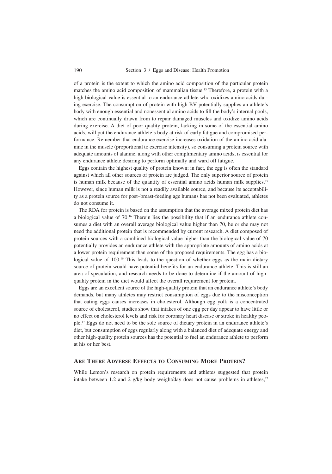of a protein is the extent to which the amino acid composition of the particular protein matches the amino acid composition of mammalian tissue.<sup>15</sup> Therefore, a protein with a high biological value is essential to an endurance athlete who oxidizes amino acids during exercise. The consumption of protein with high BV potentially supplies an athlete's body with enough essential and nonessential amino acids to fill the body's internal pools, which are continually drawn from to repair damaged muscles and oxidize amino acids during exercise. A diet of poor quality protein, lacking in some of the essential amino acids, will put the endurance athlete's body at risk of early fatigue and compromised performance. Remember that endurance exercise increases oxidation of the amino acid alanine in the muscle (proportional to exercise intensity), so consuming a protein source with adequate amounts of alanine, along with other complimentary amino acids, is essential for any endurance athlete desiring to perform optimally and ward off fatigue.

Eggs contain the highest quality of protein known; in fact, the egg is often the standard against which all other sources of protein are judged. The only superior source of protein is human milk because of the quantity of essential amino acids human milk supplies.<sup>15</sup> However, since human milk is not a readily available source, and because its acceptability as a protein source for post–breast-feeding age humans has not been evaluated, athletes do not consume it.

The RDA for protein is based on the assumption that the average mixed protein diet has a biological value of 70.16 Therein lies the possibility that if an endurance athlete consumes a diet with an overall average biological value higher than 70, he or she may not need the additional protein that is recommended by current research. A diet composed of protein sources with a combined biological value higher than the biological value of 70 potentially provides an endurance athlete with the appropriate amounts of amino acids at a lower protein requirement than some of the proposed requirements. The egg has a biological value of 100.<sup>16</sup> This leads to the question of whether eggs as the main dietary source of protein would have potential benefits for an endurance athlete. This is still an area of speculation, and research needs to be done to determine if the amount of highquality protein in the diet would affect the overall requirement for protein.

Eggs are an excellent source of the high-quality protein that an endurance athlete's body demands, but many athletes may restrict consumption of eggs due to the misconception that eating eggs causes increases in cholesterol. Although egg yolk is a concentrated source of cholesterol, studies show that intakes of one egg per day appear to have little or no effect on cholesterol levels and risk for coronary heart disease or stroke in healthy people.17 Eggs do not need to be the sole source of dietary protein in an endurance athlete's diet, but consumption of eggs regularly along with a balanced diet of adequate energy and other high-quality protein sources has the potential to fuel an endurance athlete to perform at his or her best.

### **ARE THERE ADVERSE EFFECTS TO CONSUMING MORE PROTEIN?**

While Lemon's research on protein requirements and athletes suggested that protein intake between 1.2 and 2 g/kg body weight/day does not cause problems in athletes, $17$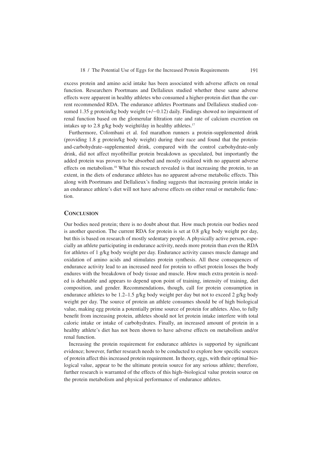excess protein and amino acid intake has been associated with adverse affects on renal function. Researchers Poortmans and Dellalieux studied whether these same adverse effects were apparent in healthy athletes who consumed a higher-protein diet than the current recommended RDA. The endurance athletes Poortmans and Dellalieux studied consumed 1.35 g protein/kg body weight (+/-0.12) daily. Findings showed no impairment of renal function based on the glomerular filtration rate and rate of calcium excretion on intakes up to 2.8 g/kg body weight/day in healthy athletes.<sup>17</sup>

Furthermore, Colombani et al. fed marathon runners a protein-supplemented drink (providing 1.8 g protein/kg body weight) during their race and found that the proteinand-carbohydrate–supplemented drink, compared with the control carbohydrate-only drink, did not affect myofibrillar protein breakdown as speculated, but importantly the added protein was proven to be absorbed and mostly oxidized with no apparent adverse effects on metabolism.<sup>18</sup> What this research revealed is that increasing the protein, to an extent, in the diets of endurance athletes has no apparent adverse metabolic effects. This along with Poortmans and Dellalieux's finding suggests that increasing protein intake in an endurance athlete's diet will not have adverse effects on either renal or metabolic function.

#### **CONCLUSION**

Our bodies need protein; there is no doubt about that. How much protein our bodies need is another question. The current RDA for protein is set at 0.8 g/kg body weight per day, but this is based on research of mostly sedentary people. A physically active person, especially an athlete participating in endurance activity, needs more protein than even the RDA for athletes of 1 g/kg body weight per day. Endurance activity causes muscle damage and oxidation of amino acids and stimulates protein synthesis. All these consequences of endurance activity lead to an increased need for protein to offset protein losses the body endures with the breakdown of body tissue and muscle. How much extra protein is needed is debatable and appears to depend upon point of training, intensity of training, diet composition, and gender. Recommendations, though, call for protein consumption in endurance athletes to be 1.2–1.5 g/kg body weight per day but not to exceed 2 g/kg body weight per day. The source of protein an athlete consumes should be of high biological value, making egg protein a potentially prime source of protein for athletes. Also, to fully benefit from increasing protein, athletes should not let protein intake interfere with total caloric intake or intake of carbohydrates. Finally, an increased amount of protein in a healthy athlete's diet has not been shown to have adverse effects on metabolism and/or renal function.

Increasing the protein requirement for endurance athletes is supported by significant evidence; however, further research needs to be conducted to explore how specific sources of protein affect this increased protein requirement. In theory, eggs, with their optimal biological value, appear to be the ultimate protein source for any serious athlete; therefore, further research is warranted of the effects of this high–biological value protein source on the protein metabolism and physical performance of endurance athletes.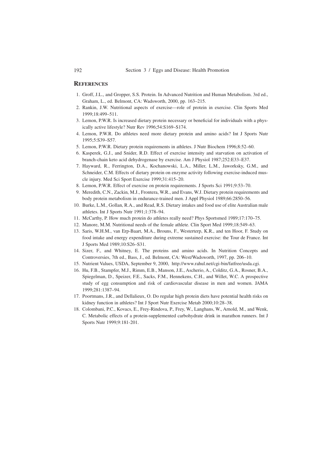#### **REFERENCES**

- 1. Groff, J.L., and Gropper, S.S. Protein. In Advanced Nutrition and Human Metabolism. 3rd ed., Graham, L., ed. Belmont, CA: Wadsworth, 2000, pp. 163–215.
- 2. Rankin, J.W. Nutritional aspects of exercise—role of protein in exercise. Clin Sports Med 1999;18:499–511.
- 3. Lemon, P.W.R. Is increased dietary protein necessary or beneficial for individuals with a physically active lifestyle? Nutr Rev 1996;54:S169–S174.
- 4. Lemon, P.W.R. Do athletes need more dietary protein and amino acids? Int J Sports Nutr 1995;5:S39–S57.
- 5. Lemon, P.W.R. Dietary protein requirements in athletes. J Nutr Biochem 1996;8:52–60.
- 6. Kasperek, G.J., and Snider, R.D. Effect of exercise intensity and starvation on activation of branch-chain keto acid dehydrogenase by exercise. Am J Physiol 1987;252:E33–E37.
- 7. Hayward, R., Ferrington, D.A., Kochanowski, L.A., Miller, L.M., Jaworksky, G.M., and Schneider, C.M. Effects of dietary protein on enzyme activity following exercise-induced muscle injury. Med Sci Sport Exercise 1999;31:415–20.
- 8. Lemon, P.W.R. Effect of exercise on protein requirements. J Sports Sci 1991;9:53–70.
- 9. Meredith, C.N., Zackin, M.J., Frontera, W.R., and Evans, W.J. Dietary protein requirements and body protein metabolism in endurance-trained men. J Appl Physiol 1989;66:2850–56.
- 10. Burke, L.M., Gollan, R.A., and Read, R.S. Dietary intakes and food use of elite Australian male athletes. Int J Sports Nutr 1991;1:378–94.
- 11. McCarthy, P. How much protein do athletes really need? Phys Sportsmed 1989;17:170–75.
- 12. Manore, M.M. Nutritional needs of the female athlete. Clin Sport Med 1999;18:549–63.
- 13. Saris, W.H.M., van Erp-Baart, M.A., Brouns, F., Westerterp, K.R., and ten Hoor, F. Study on food intake and energy expenditure during extreme sustained exercise: the Tour de France. Int J Sports Med 1989;10:S26–S31.
- 14. Sizer, F., and Whitney, E. The proteins and amino acids. In Nutrition Concepts and Controversies, 7th ed., Bass, J., ed. Belmont, CA: West/Wadsworth, 1997, pp. 206–10.
- 15. Nutrient Values, USDA, September 9, 2000, http://www.rahul.net/cgi-bin/fatfree/usda.cgi.
- 16. Hu, F.B., Stampfer, M.J., Rimm, E.B., Manson, J.E., Ascherio, A., Colditz, G.A., Rosner, B.A., Spiegelman, D., Speizer, F.E., Sacks, F.M., Hennekens, C.H., and Willet, W.C. A prospective study of egg consumption and risk of cardiovascular disease in men and women. JAMA 1999;281:1387–94.
- 17. Poortmans, J.R., and Dellalieux, O. Do regular high protein diets have potential health risks on kidney function in athletes? Int J Sport Nutr Exercise Metab 2000;10:28–38.
- 18. Colombani, P.C., Kovacs, E., Frey-Rindova, P., Frey, W., Langhans, W., Arnold, M., and Wenk, C. Metabolic effects of a protein-supplemented carbohydrate drink in marathon runners. Int J Sports Nutr 1999;9:181-201.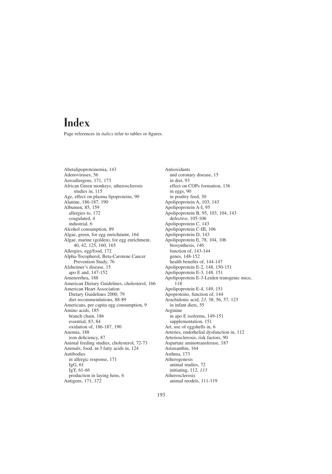Page references in *italics* refer to tables or figures.

Abetalipoproteinemia, 143 Adenoviruses, 56 Aeroallergens, 171, 173 African Green monkeys, atherosclerosis studies in, 115 Age, effect on plasma lipoproteins, 90 Alanine, 186-187, 190 Albumen, 85, 159 allergies to, 172 coagulated, 4 industrial, 6 Alcohol consumption, 89 Algae, green, for egg enrichment, 164 Algae, marine (golden), for egg enrichment, 40, 42, 125, 160, 165 Allergies, egg/food, 172 Alpha-Tocopherol, Beta-Carotene Cancer Prevention Study, 76 Alzheimer's disease, 15 apo E and, 147-152 Amenorrhea, 188 American Dietary Guidelines, cholesterol, 166 American Heart Association Dietary Guidelines 2000, 79 diet recommendations, 88-89 Americans, per capita egg consumption, 9 Amino acids, 185 branch chain, 186 essential, 83, 84 oxidation of, 186-187, 190 Anemia, 188 iron deficiency, 87 Animal feeding studies, cholesterol, 72-73 Animals, food, ω-3 fatty acids in, 124 Antibodies in allergic response, 171 IgG, 61 IgY, 61-*66* production in laying hens, 6 Antigens, 171, 172

Antioxidants and coronary disease, 15 in diet, 93 effect on COPs formation, 136 in eggs, 90 in poultry feed, 30 Apolipoprotein A, 103, 143 Apolipoprotein A-I, 95 Apolipoprotein B, 95, 103, 104, 143 defective, 105-106 Apolipoprotein C, 143 Apolipoprotein C-III, 106 Apolipoprotein D, 143 Apolipoprotein E, 78, 104, 106 biosynthesis, *146* function of, 143-144 genes, 148-152 health benefits of, 144-147 Apolipoprotein E-2, 148, 150-151 Apolipoprotein E-3, 148, 151 Apolipoprotein E-3-Leiden transgenic mice, 118 Apolipoprotein E-4, 149, 151 Apoproteins, function of, 144 Arachidonic acid, *23*, 38, 56, 57, 123 in infant diets, 55 Arginine in apo E isoforms, 149-151 supplementation, 151 Art, use of eggshells in, 6 Arteries, endothelial dysfunction in, 112 Arteriosclerosis, risk factors, 90 Aspartate aminotransferase, 187 Astaxanthin, 164 Asthma, 173 Atherogenesis animal studies, 72 initiating, 112, *113* Atherosclerosis animal models, 111-119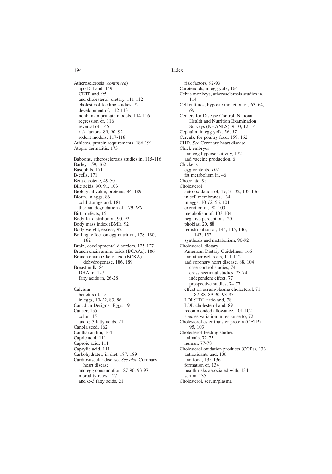Atherosclerosis (*continued*) apo E-4 and, 149 CETP and, 95 and cholesterol, dietary, 111-112 cholesterol-feeding studies, 72 development of, 112-113 nonhuman primate models, 114-116 regression of, 116 reversal of, 145 risk factors, 89, 90, 92 rodent models, 117-118 Athletes, protein requirements, 186-191 Atopic dermatitis, 173 Baboons, atherosclerosis studies in, 115-116 Barley, 159, 162 Basophils, 171 B-cells, 171 Beta-carotene, 49-50 Bile acids, 90, 91, 103 Biological value, proteins, 84, 189 Biotin, in eggs, 86 cold storage and, 181 thermal degradation of, 179-*180* Birth defects, 15 Body fat distribution, 90, 92 Body mass index (BMI), 92 Body weight, excess, 92 Boiling, effect on egg nutrition, 178, 180, 182 Brain, developmental disorders, 125-127 Branch chain amino acids (BCAAs), 186 Branch chain α-keto acid (BCKA) dehydrogenase, 186, 189 Breast milk, 84 DHA in, 127 fatty acids in, 26-28 Calcium benefits of, 15 in eggs, 10-*12*, 83, 86 Canadian Designer Eggs, 19 Cancer, 155 colon, 15 and ω-3 fatty acids, 21 Canola seed, 162 Canthaxanthin, 164 Capric acid, 111 Caproic acid, 111 Caprylic acid, 111 Carbohydrates, in diet, 187, 189 Cardiovascular disease. *See also* Coronary heart disease and egg consumption, 87-90, 93-97 mortality rates, 127

and ω-3 fatty acids, 21

194 Index

risk factors, 92-93 Carotenoids, in egg yolk, 164 Cebus monkeys, atherosclerosis studies in, 114 Cell cultures, hypoxic induction of, 63, 64, *66* Centers for Disease Control, National Health and Nutrition Examination Surveys (NHANES), 9-10, 12, 14 Cephalin, in egg yolk, 56, *57* Cereals, for poultry feed, 159, 162 CHD. *See* Coronary heart disease Chick embryos and egg hypersensitivity, 172 and vaccine production, 6 Chickens egg contents, *102* fat metabolism in, 46 Chocolate, 95 Cholesterol auto-oxidation of, 19, 31-32, 133-136 in cell membranes, 134 in eggs, 10-*12*, 56, 101 excretion of, 90, 103 metabolism of, 103-104 negative perceptions, 20 phobias, 20, 88 redistribution of, 144, 145, 146, 147, 152 synthesis and metabolism, 90-92 Cholesterol, dietary American Dietary Guidelines, 166 and atherosclerosis, 111-112 and coronary heart disease, 88, 104 case-control studies, 74 cross-sectional studies, 73-74 independent effect, 77 prospective studies, 74-77 effect on serum/plasma cholesterol, 71, 87-88, 89-90, 93-97 LDL:HDL ratio and, 78 LDL-cholesterol and, 89 recommended allowance, 101-102 species variation in response to, 72 Cholesterol ester transfer protein (CETP), 95, 103 Cholesterol-feeding studies animals, 72-73 human, 77-78 Cholesterol oxidation products (COPs), 133 antioxidants and, 136 and food, 135-136 formation of, 134 health risks associated with, 134 serum, 135 Cholesterol, serum/plasma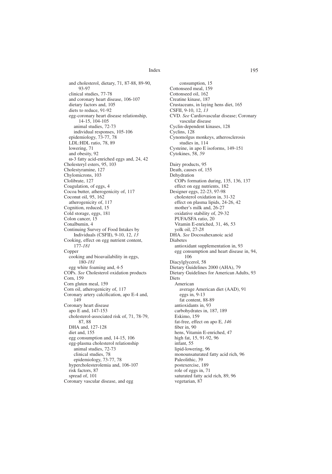and cholesterol, dietary, 71, 87-88, 89-90, 93-97 clinical studies, 77-78 and coronary heart disease, 106-107 dietary factors and, 105 diets to reduce, 91-92 egg-coronary heart disease relationship, 14-15, 104-105 animal studies, 72-73 individual responses, 105-106 epidemiology, 73-77, 78 LDL:HDL ratio, 78, 89 lowering, 71 and obesity, 92 ω-3 fatty acid-enriched eggs and, 24, 42 Cholesteryl esters, 95, 103 Cholestyramine, 127 Chylomicrons, 103 Clolibrate, 127 Coagulation, of eggs, 4 Cocoa butter, atherogenicity of, 117 Coconut oil, 95, 162 atherogenicity of, 117 Cognition, reduced, 15 Cold storage, eggs, 181 Colon cancer, 15 Conalbumin, 4 Continuing Survey of Food Intakes by Individuals (CSFII), 9-10, 12, *13* Cooking, effect on egg nutrient content, 177-*181* Copper cooking and bioavailability in eggs, 180-*181* egg white foaming and, 4-5 COPs. *See* Cholesterol oxidation products Corn, 159 Corn gluten meal, 159 Corn oil, atherogenicity of, 117 Coronary artery calcification, apo E-4 and, 149 Coronary heart disease apo E and, 147-153 cholesterol-associated risk of, 71, 78-79, 87, 88 DHA and, 127-128 diet and, 155 egg consumption and, 14-15, 106 egg-plasma cholesterol relationship animal studies, 72-73 clinical studies, 78 epidemiology, 73-77, 78 hypercholesterolemia and, 106-107 risk factors, 87 spread of, 101 Coronary vascular disease, and egg

consumption, 15 Cottonseed meal, 159 Cottonseed oil, 162 Creatine kinase, 187 Crustaceans, in laying hens diet, 165 CSFII, 9-10, 12, *13* CVD. *See* Cardiovascular disease; Coronary vascular disease Cyclin-dependent kinases, 128 Cyclins, 128 Cynomolgus monkeys, atherosclerosis studies in, 114 Cysteine, in apo E isoforms, 149-151 Cytokines, 58, *59* Dairy products, 95 Death, causes of, 155 Dehydration COPs formation during, 135, 136, 137 effect on egg nutrients, 182 Designer eggs, 22-23, 97-98 cholesterol oxidation in, 31-32 effect on plasma lipids, 24-26, 42 mother's milk and, 26-27 oxidative stability of, 29-32 PUFA/SFA ratio, 20 Vitamin E-enriched, 31, 46, 53 yolk oil, 27-*28* DHA. *See* Docosahexanoic acid Diabetes antioxidant supplementation in, 93 egg consumption and heart disease in, 94, 106 Diacylglycerol, 58 Dietary Guidelines 2000 (AHA), 79 Dietary Guidelines for American Adults, 93 Diets American average American diet (AAD), 91 eggs in, 9-13 fat content, 88-89 antioxidants in, 93 carbohydrates in, 187, 189 Eskimo, 159 fat-free, effect on apo E, *146* fiber in, 90 hens, Vitamin E-enriched, 47 high fat, 15, 91-92, 96 infant, 55 lipid-lowering, 96 monounsaturated fatty acid rich, 96 Paleolithic, 39 postexercise, 189 role of eggs in, 71 saturated fatty acid rich, 89, 96 vegetarian, 87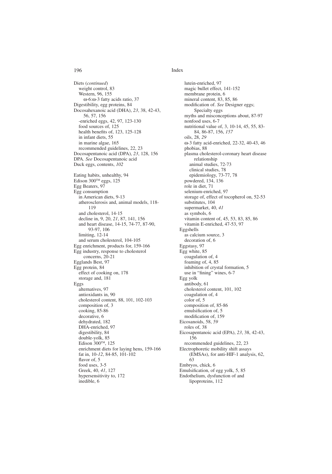Diets (*continued*) weight control, 83 Western, 96, 155 ω-6:ω-3 fatty acids ratio, 37 Digestibility, egg proteins, 84 Docosahexanoic acid (DHA), *23*, 38, 42-43, 56, 57, 156 -enriched eggs, 42, 97, 123-130 food sources of, 125 health benefits of, 123, 125-128 in infant diets, 55 in marine algae, 165 recommended guidelines, 22, 23 Docosapentanoic acid (DPA), *23*, 128, 156 DPA. *See* Docosapentanoic acid Duck eggs, contents, *102* Eating habits, unhealthy, 94 Edison  $300^{\text{TM}}$  eggs,  $125$ Egg Beaters, 97 Egg consumption in American diets, 9-13 atherosclerosis and, animal models, 118- 119 and cholesterol, 14-15 decline in, 9, 20, *21*, 87, 141, 156 and heart disease, 14-15, 74-77, 87-90, 93-97, 106 limiting, 12-14 and serum cholesterol, 104-105 Egg enrichment, products for, 159-166 Egg industry, response to cholesterol concerns, 20-21 Egglands Best, 97 Egg protein, 84 effect of cooking on, 178 storage and, 181 Eggs alternatives, 97 antioxidants in, 90 cholesterol content, 88, 101, 102-103 composition of, 3 cooking, 85-86 decorative, 6 dehydrated, 182 DHA-enriched, 97 digestibility, 84 double-yolk, 85 Edison  $300^{\text{TM}}$ , 125 enrichment diets for laying hens, 159-166 fat in, 10-*12*, 84-85, 101-102 flavor of, 5 food uses, 3-5 Greek, 40, *41*, 127 hypersensitivity to, 172 inedible, 6

lutein-enriched, 97 magic bullet effect, 141-152 membrane protein, 6 mineral content, 83, 85, 86 modification of. *See* Designer eggs; Specialty eggs myths and misconceptions about, 87-97 nonfood uses, 6-7 nutritional value of, 3, 10-14, 45, 55, 83- 84, 86-87, 156, *157* oils, 28, *29* ω-3 fatty acid-enriched, 22-32, 40-43, 46 phobias, 88 plasma cholesterol-coronary heart disease relationship animal studies, 72-73 clinical studies, 78 epidemiology, 73-77, 78 powdered, 134, 136 role in diet, 71 selenium-enriched, 97 storage of, effect of tocopherol on, 52-53 substitutes, 104 supermarket, 40, *41* as symbols, 6 vitamin content of, 45, 53, 83, 85, 86 vitamin E-enriched, 47-53, 97 Eggshells as calcium source, 3 decoration of, 6 Eggstasy, 97 Egg white, 85 coagulation of, 4 foaming of, 4, 85 inhibition of crystal formation, 5 use in "fining" wines, 6-7 Egg yolk antibody, 61 cholesterol content, 101, 102 coagulation of, 4 color of, 5 composition of, 85-86 emulsification of, 5 modification of, 159 Eicosanoids, 58, *59* roles of, 38 Eicosapentanoic acid (EPA), *23*, 38, 42-43, 156 recommended guidelines, 22, 23 Electrophoretic mobility shift assays (EMSAs), for anti-HIF-1 analysis, 62, 63 Embryos, chick, 6 Emulsification, of egg yolk, 5, 85 Endothelium, dysfunction of and lipoproteins, 112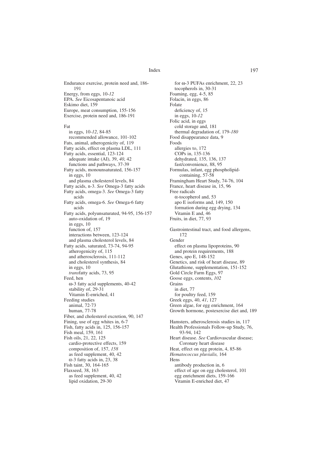Endurance exercise, protein need and, 186- 191 Energy, from eggs, 10-*12* EPA. *See* Eicosapentanoic acid Eskimo diet, 159 Europe, meat consumption, 155-156 Exercise, protein need and, 186-191

#### Fat

in eggs, 10-*12*, 84-85 recommended allowance, 101-102 Fats, animal, atherogenicity of, 119 Fatty acids, effect on plasma LDL, 111 Fatty acids, essential, 123-124 adequate intake (AI), 39, *40*, 42 functions and pathways, 37-39 Fatty acids, monounsaturated, 156-157 in eggs, 10 and plasma cholesterol levels, 84 Fatty acids, n-3. *See* Omega-3 fatty acids Fatty acids, omega-3. *See* Omega-3 fatty acids Fatty acids, omega-6. *See* Omega-6 fatty acids Fatty acids, polyunsaturated, 94-95, 156-157 auto-oxidation of, 19 in eggs, 10 function of, 157 interactions between, 123-124 and plasma cholesterol levels, 84 Fatty acids, saturated, 73-74, 94-95 atherogenicity of, 115 and atherosclerosis, 111-112 and cholesterol synthesis, 84 in eggs, 10 *trans*fatty acids, 73, 95 Feed, hen ω-3 fatty acid supplements, 40-42 stability of, 29-31 Vitamin E-enriched, 41 Feeding studies animal, 72-73 human, 77-78 Fiber, and cholesterol excretion, 90, 147 Fining, use of egg whites in, 6-7 Fish, fatty acids in, 125, 156-157 Fish meal, 159, 161 Fish oils, 21, 22, 125 cardio-protective effects, 159 composition of, 157, *158* as feed supplement, 40, 42 α-3 fatty acids in, 23, 38 Fish taint, 30, 164-165 Flaxseed, 38, 163 as feed supplement, 40, 42 lipid oxidation, 29-30

for ω-3 PUFAs enrichment, 22, 23 tocopherols in, 30-31 Foaming, egg, 4-5, 85 Folacin, in eggs, 86 Folate deficiency of, 15 in eggs, 10-*12* Folic acid, in eggs cold storage and, 181 thermal degradation of, 179-*180* Food disappearance data, 9 Foods allergies to, 172 COPs in, 135-136 dehydrated, 135, 136, 137 fast/convenience, 88, 95 Formulas, infant, egg phospholipidcontaining, 57-58 Framingham Heart Study, 74-76, 104 France, heart disease in, 15, 96 Free radicals α-tocopherol and, 53 apo E isoforms and, 149, 150 formation during egg drying, 134 Vitamin E and, 46 Fruits, in diet, 77, 93 Gastrointestinal tract, and food allergens, 172 Gender effect on plasma lipoproteins, 90 and protein requirements, 188 Genes, apo E, 148-152 Genetics, and risk of heart disease, 89 Glutathione, supplementation, 151-152 Gold Circle Farm Eggs, 97 Goose eggs, contents, *102* Grains in diet, 77 for poultry feed, 159 Greek eggs, 40, *41*, 127 Green algae, for egg enrichment, 164 Growth hormone, postexercise diet and, 189 Hamsters, atherosclerosis studies in, 117 Health Professionals Follow-up Study, 76, 93-94, 142 Heart disease. *See* Cardiovascular disease; Coronary heart disease Heat, effect on egg protein, 4, 85-86 *Hematococcus pluvialis,* 164 Hens antibody production in, 6 effect of age on egg cholesterol, 101 egg enrichment diets, 159-166 Vitamin E-enriched diet, 47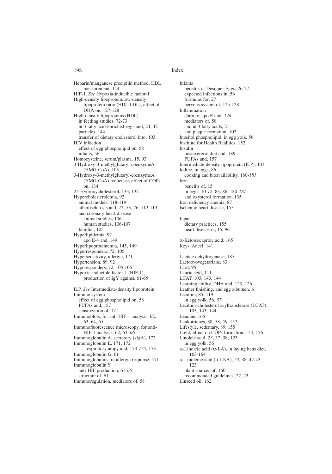Heparin/manganese precipitin method, HDL measurement, 144 HIF-1. *See* Hypoxia-inducible factor-1 High-density lipoprotein:low-density lipoprotein ratio (HDL:LDL), effect of DHA on, 127-128 High-density lipoproteins (HDL) in feeding studies, 72-73 ω-3 fatty acid-enriched eggs and, 24, 42 particles, 144 transfer of dietary cholesterol into, 103 HIV infection effect of egg phospholipid on, 58 infants, 56 Homocysteine, serum/plasma, 15, 93 3-Hydroxy-3-methylglutaryl-coenzymeA (HMG-CoA), 103 3-Hydroxy-3-methylglutaryl-coenzymeA (HMG-CoA) reductase, effect of COPs on, 134 25-Hydroxycholesterol, 133, 134 Hypercholesterolemia, 92 animal models, 118-119 atherosclerosis and, 72, 73, 76, 112-113 and coronary heart disease animal studies, 106 human studies, 106-107 familial, 105 Hyperlipidemia, 92 apo E-4 and, 149 Hyperlipoproteinemia, 145, 149 Hyperresponders, 72, 105 Hypersensitivity, allergic, 171 Hypertension, 89, 92 Hyporesponders, 72, 105-106 Hypoxia-inducible factor-1 (HIF-1), production of IgY against, 61-*66* ILP. *See* Intermediate-density lipoprotein Immune system effect of egg phospholipid on, 58 PUFAs and, 157 sensitization of, 171 Immunoblots, for anti-HIF-1 analysis, 62, 63, 64, *65* Immunofluorescence microscopy, for anti-HIF-1 analysis, 62, 63, *66* Immunoglobulin A, secretory (sIgA), 172 Immunoglobulin E, 171, 172 respiratory atopy and, 173-*175*, 173 Immunoglobulin G, 61

Infants benefits of Designer Eggs, 26-27 expected infections in, 56 formulas for, 27 nervous system of, 125-128 Inflammation chronic, apo E and, *146* mediators of, 58 and ω-3 fatty acids, 21 and plaque formation, 107 Inositol phospholipid, in egg yolk, 56 Institute for Health Realities, 152 Insulin postexercise diet and, 189  $P$ UFAs and, 157 Intermediate-density lipoprotein (ILP), 103 Iodine, in eggs, 86 cooking and bioavailability, 180-*181* Iron benefits of, 15 in eggs, 10-*12*, 83, 86, 180-*181* and oxysterol formation, 135 Iron deficiency anemia, 87 Ischemic heart disease, 155 Japan dietary practices, 155 heart disease in, 15, 96 α-Ketoisocaproic acid, 165 Keys, Ancel, 141 Lactate dehydrogenase, 187 Lactoovovegetarians, 83 Lard, 95 Lauric acid, 111 LCAT, 103, 143, 144 Learning ability, DHA and, 123, 126 Leather finishing, and egg albumen, 6 Lecithin, 85, 119 in egg yolk, 56, *57* Lecithin-cholesterol acyltransferase (LCAT), 103, 143, 144 Leucine, 165 Leukotrienes, 38, 58, *59*, 157 Lifestyle, sedentary, 89, 155 Light, effect on COPs formation, 134, 136 Linoleic acid, *23*, 37, 38, 123 in egg yolk, 56 α-Linoleic acid (α-LA), in laying hens diet, 163-164 α-Linolenic acid (α-LNA), *23*, 38, 42-43, 123 plant sources of, 160 recommended guidelines, 22, 23

Linseed oil, 162

Immunoregulation, mediators of, 58

Immunoglobulins, in allergic response, 171

anti-HIF production, 61-*66* structure of, 61

Immunoglobulin Y

198 Index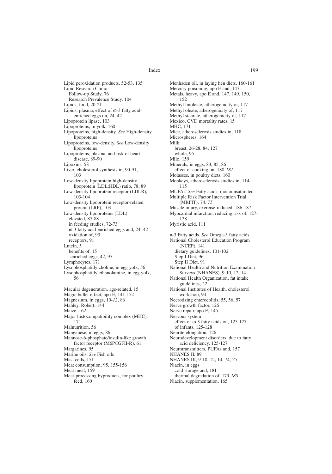Lipid peroxidation products, 52-53, 135 Lipid Research Clinic Follow-up Study, 76 Research Prevalence Study, 104 Lipids, food, 20-21 Lipids, plasma, effect of ω-3 fatty acidenriched eggs on, 24, 42 Lipoprotein lipase, 103 Lipoproteins, in yolk, 160 Lipoproteins, high-density. *See* High-density lipoproteins Lipoproteins, low-density. *See* Low-density lipoproteins Lipoproteins, plasma, and risk of heart disease, 89-90 Lipoxins, 58 Liver, cholesterol synthesis in, 90-91, 103 Low-density lipoprotein:high-density lipoprotein (LDL:HDL) ratio, 78, 89 Low-density lipoprotein receptor (LDLR), 103-104 Low-density lipoprotein receptor-related protein (LRP), 103 Low-density lipoproteins (LDL) elevated, 87-88 in feeding studies, 72-73 ω-3 fatty acid-enriched eggs and, 24, 42 oxidation of, 93 receptors, 91 Lutein, 5 benefits of, 15 -enriched eggs, 42, 97 Lymphocytes, 171 Lysophosphatidylcholine, in egg yolk, 56 Lysophosphatidylethanolamine, in egg yolk, 56 Macular degeneration, age-related, 15 Magic bullet effect, apo E, 141-152 Magnesium, in eggs, 10-*12*, 86 Mahley, Robert, 144 Maize, 162 Major histocompatibility complex (MHC), 171 Malnutrition, 56 Manganese, in eggs, 86 Mannose-6-phosphate/insulin-like growth factor receptor (M6P/IGFII-R), 61 Margarines, 95 Marine oils. *See* Fish oils Mast cells, 171 Meat consumption, 95, 155-156 Meat meal, 159 Meat-processing byproducts, for poultry feed, 160

Menhaden oil, in laying hen diets, 160-161 Mercury poisoning, apo E and, 147 Metals, heavy, apo E and, 147, 149, 150, 152 Methyl linoleate, atherogenicity of, 117 Methyl oleate, atherogenicity of, 117 Methyl stearate, atherogenicity of, 117 Mexico, CVD mortality rates, 15 MHC, 171 Mice, atherosclerosis studies in, 118 Microspheres, 164 Milk breast, 26-28, 84, 127 whole, 95 Milo, 159 Minerals, in eggs, 83, 85, 86 effect of cooking on, 180-*181* Molasses, in poultry diets, 160 Monkeys, atherosclerosis studies in, 114- 115 MUFAs. *See* Fatty acids, monounsaturated Multiple Risk Factor Intervention Trial (MRFIT), 74, *75* Muscle injury, exercise-induced, 186-187 Myocardial infarction, reducing risk of, 127- 128 Myristic acid, 111 n-3 Fatty acids. *See* Omega-3 fatty acids National Cholesterol Education Program (NCEP), 141 dietary guidelines, 101-102 Step I Diet, 96 Step II Diet, 91 National Health and Nutrition Examination Surveys (NHANES), 9-10, 12, 14 National Health Organization, fat intake guidelines, *22* National Institutes of Health, cholesterol workshop, 94 Necrotizing enterocolitis, 55, 56, 57 Nerve growth factor, 126 Nerve repair, apo E, 145 Nervous system effect of ω-3 fatty acids on, 125-127 of infants, 125-128 Neurite elongation, 126 Neurodevelopment disorders, due to fatty acid deficiency, 125-127 Neurotransmitters, PUFAs and, 157 NHANES II, 89 NHANES III, 9-10, 12, 14, 74, *75* Niacin, in eggs cold storage and, 181 thermal degradation of, 179-*180*

- Niacin, supplementation, 165
	-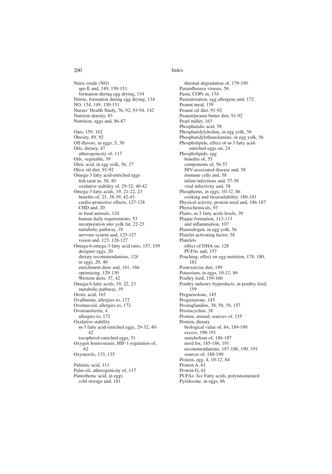Nitric oxide (NO) apo E and, 149, 150-151 formation during egg drying, 134 Nitrite, formation during egg drying, 134 NO, 134, 149, 150-151 Nurses' Health Study, 76, 92, 93-94, 142 Nutrient density, 83 Nutrition, eggs and, 86-87 Oats, 159, 162 Obesity, 89, 92 Off-flavors, in eggs, 5, 30 Oils, dietary, 47 atherogenicity of, 117 Oils, vegetable, 39 Oleic acid, in egg yolk, 56, *57* Olive oil diet, 91-92 Omega-3 fatty acid-enriched eggs fish taint in, 30, 40 oxidative stability of, 29-32, 40-42 Omega-3 fatty acids, 19, 21-22, *23* benefits of, 21, 38-39, 42-43 cardio-protective effects, 127-128 CHD and, 20 in food animals, 124 human daily requirements, 53 incorporation into yolk fat, 22-23 metabolic pathway, *39* nervous system and, 125-127 vision and, 123, 126-127 Omega-6:omega-3 fatty acid ratio, 157, 159 designer eggs, 20 dietary recommendations, 124 in eggs, 20, 40 enrichment diets and, 161, 166 optimizing, 129-130 Western diets, 37, 42 Omega-6 fatty acids, 19, 22, *23* metabolic pathway, *39* Orotic acid, 165 Ovalbumin, allergies to, 172 Ovomucoid, allergies to, 172 Ovotransferrin, 4 allergies to, 172 Oxidative stability ω-3 fatty acid-enriched eggs, 29-32, 40- 42 tocopherol-enriched eggs, 51 Oxygen homeostasis, HIF-1 regulation of, 62 Oxysterols, 133, 135 Palmitic acid, 111 Palm oil, atherogenicity of, 117 Pantothenic acid, in eggs cold storage and, 181

thermal degradation of, 179-*180* Parainfluenza viruses, 56 Pasta, COPs in, 134 Pasteurization, egg allergens and, 172 Peanut meal, 159 Peanut oil diet, 91-92 Peanut/peanut butter diet, 91-92 Pearl millet, 163 Phosphatidic acid, 58 Phosphatidylcholine, in egg yolk, 56 Phosphatidylethanolamine, in egg yolk, 56 Phospholipids, effect of ω-3 fatty acidenriched eggs on, 24 Phospholipids, egg benefits of, 55 components of, 56-57 HIV-associated disease and, 58 immune cells and, 58 infant infections and, 57-58 viral infectivity and, 58 Phosphorus, in eggs, 10-*12*, 86 cooking and bioavailability, 180-*181* Physical activity, protein need and, 186-187 Phytochemicals, 93 Plants, ω-3 fatty acids levels, 39 Plaque formation, 113-*113* and inflammation, 107 Plasmalogen, in egg yolk, 56 Platelet-activating factor, 58 Platelets effect of DHA on, 128 PUFAs and, 157 Poaching, effect on egg nutrition, 178, 180, 182 Postexercise diet, 189 Potassium, in eggs, 10-*12*, 86 Poultry feed, 159-160 Poultry industry byproducts, in poultry feed, 159 Pregnenolone, 145 Progesterone, 145 Prostaglandins, 38, 58, *59*, 157 Prostacyclins, 38 Protein, animal, sources of, 155 Protein, dietary biological value of, 84, 189-190 excess, 190-191 metabolism of, 186-187 need for, 185-186, 191 recommendations, 187-188, 190, 191 sources of, 188-190 Protein, egg, 4, 10-*12*, 84 Protein A, 61 Protein G, 61 PUFAs. *See* Fatty acids, polyunsaturated Pyridoxine, in eggs, 86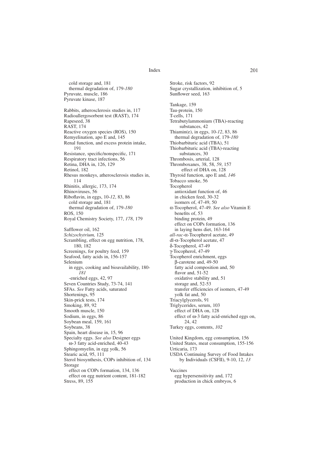## Index 201

cold storage and, 181 thermal degradation of, 179-*180* Pyruvate, muscle, 186 Pyruvate kinase, 187 Rabbits, atherosclerosis studies in, 117 Radioallergosorbent test (RAST), 174 Rapeseed, 38 RAST, 174 Reactive oxygen species (ROS), 150 Remyelination, apo E and, 145 Renal function, and excess protein intake, 191 Resistance, specific/nonspecific, 171 Respiratory tract infections, 56 Retina, DHA in, 126, 129 Retinol, 182 Rhesus monkeys, atherosclerosis studies in, 114 Rhinitis, allergic, 173, 174 Rhinoviruses, 56 Riboflavin, in eggs, 10-*12*, 83, 86 cold storage and, 181 thermal degradation of, 179-*180* ROS, 150 Royal Chemistry Society, 177, *178*, 179 Safflower oil, 162 *Schizochytrium,* 125 Scrambling, effect on egg nutrition, 178, 180, 182 Screenings, for poultry feed, 159 Seafood, fatty acids in, 156-157 Selenium in eggs, cooking and bioavailability, 180- *181* -enriched eggs, 42, 97 Seven Countries Study, 73-74, 141 SFAs. *See* Fatty acids, saturated Shortenings, 95 Skin-prick tests, 174 Smoking, 89, 92 Smooth muscle, 150 Sodium, in eggs, 86 Soybean meal, 159, 161 Soybeans, 38 Spain, heart disease in, 15, 96 Specialty eggs. *See also* Designer eggs ω-3 fatty acid-enriched, 40-43 Sphingomyelin, in egg yolk, 56 Stearic acid, 95, 111 Sterol biosynthesis, COPs inhibition of, 134 Storage effect on COPs formation, 134, 136 effect on egg nutrient content, 181-182

Stress, 89, 155

Stroke, risk factors, 92 Sugar crystallization, inhibition of, 5 Sunflower seed, 163 Tankage, 159 Tau-protein, 150 T-cells, 171 Tetrabutylammonium (TBA)-reacting substances, 42 Thiamin(e), in eggs, 10-*12*, 83, 86 thermal degradation of, 179-*180* Thiobarbituric acid (TBA), 51 Thiobarbituric acid (TBA)-reacting substances, 30 Thrombosis, arterial, 128 Thromboxanes, 38, 58, *59*, 157 effect of DHA on, 128 Thyroid function, apo E and, *146* Tobacco smoke, 56 Tocopherol antioxidant function of, 46 in chicken feed, 30-32 isomers of, 47-49, 50 α-Tocopherol, 47-49. *See also* Vitamin E benefits of, 53 binding protein, 49 effect on COPs formation, 136 in laying hens diet, 163-164 *all*-*rac*-α-Tocopherol acetate, 49 dl-α-Tocopherol acetate, 47 δ-Tocopherol, 47-49 γ-Tocopherol, 47-49 Tocopherol enrichment, eggs β-carotene and, 49-50 fatty acid composition and, 50 flavor and, 51-52 oxidative stability and, 51 storage and, 52-53 transfer efficiencies of isomers, 47-49 yolk fat and, 50 Triacylglycerols, 91 Triglycerides, serum, 103 effect of DHA on, 128 effect of ω-3 fatty acid-enriched eggs on, 24, 42 Turkey eggs, contents, *102* United Kingdom, egg consumption, 156 United States, meat consumption, 155-156 Urticaria, 173

USDA Continuing Survey of Food Intakes by Individuals (CSFII), 9-10, 12, *13*

Vaccines egg hypersensitivity and, 172 production in chick embryos, 6